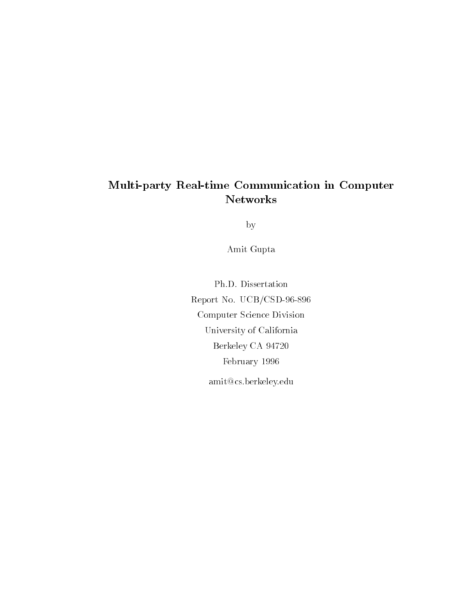### Multi-party Real-time Communication in Computer Networks

by

Amit Gupta

Ph.D. Dissertation Report No. UCB/CSD-96-896 Computer Science Division University of California Berkeley CA 94720 February 1996 amit@cs.berkeley.edu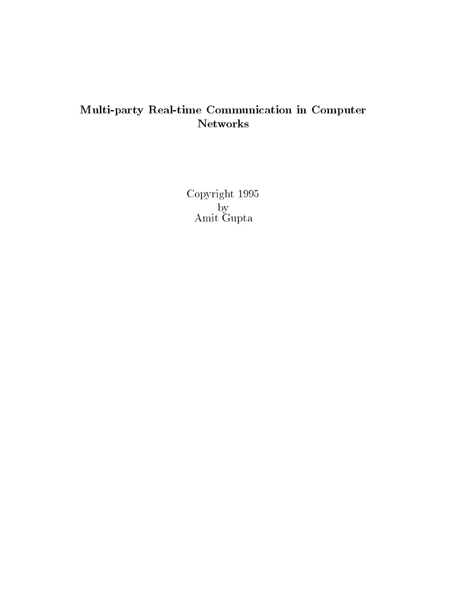## Multi-party Real-time Communication in Computer Networks

Copyright 1995  $\mathbf{b} = \mathbf{b}$  , and a set of  $\mathbf{b}$ Amit Gupta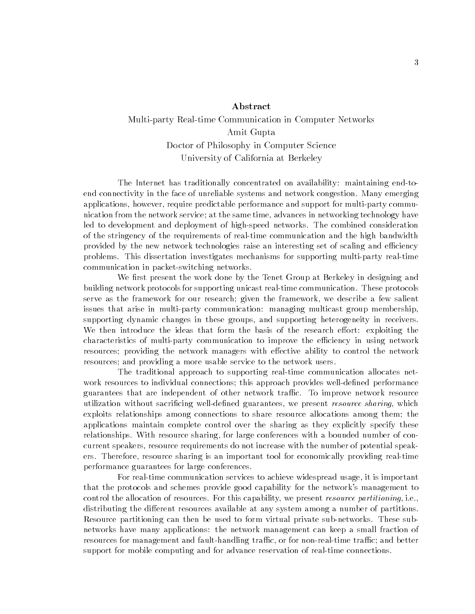#### Abstract

### Multi-party Real-time Communication in Computer Networks Amit Gupta Doctor of Philosophy in Computer Science University of California at Berkeley

The Internet has traditionally concentrated on availability: maintaining end-toend connectivity in the face of unreliable systems and network congestion. Many emerging applications, however, require predictable performance and support for multi-party communication from the network service; at the same time, advances in networking technology have led to development and deployment of high-speed networks. The combined consideration of the stringency of the requirements of real-time communication and the high bandwidth provided by the new network technologies raise an interesting set of scaling and efficiency problems. This dissertation investigates mechanisms for supporting multi-party real-time communication in packet-switching networks.

We first present the work done by the Tenet Group at Berkeley in designing and building network protocols for supporting unicast real-time communication. These protocols serve as the framework for our research; given the framework, we describe a few salient issues that arise in multi-party communication: managing multicast group membership, supporting dynamic changes in these groups, and supporting heterogeneity in receivers. We then introduce the ideas that form the basis of the research effort: exploiting the characteristics of multi-party communication to improve the efficiency in using network resources; providing the network managers with effective ability to control the network resources; and providing a more usable service to the network users.

The traditional approach to supporting real-time communication allocates network resources to individual connections; this approach provides well-defined performance guarantees that are independent of other network trac. To improve network resource utilization without sacrificing well-defined guarantees, we present *resource sharing*, which exploits relationships among connections to share resource allocations among them; the applications maintain complete control over the sharing as they explicitly specify these relationships. With resource sharing, for large conferences with a bounded number of concurrent speakers, resource requirements do not increase with the number of potential speakers. Therefore, resource sharing is an important tool for economically providing real-time performance guarantees for large conferences.

For real-time communication services to achieve widespread usage, it is important that the protocols and schemes provide good capability for the network's management to control the allocation of resources. For this capability, we present *resource partitioning*, i.e., distributing the different resources available at any system among a number of partitions. Resource partitioning can then be used to form virtual private sub-networks. These subnetworks have many applications: the network management can keep a small fraction of resources for management and fault-handling traffic, or for non-real-time traffic; and better support for mobile computing and for advance reservation of real-time connections.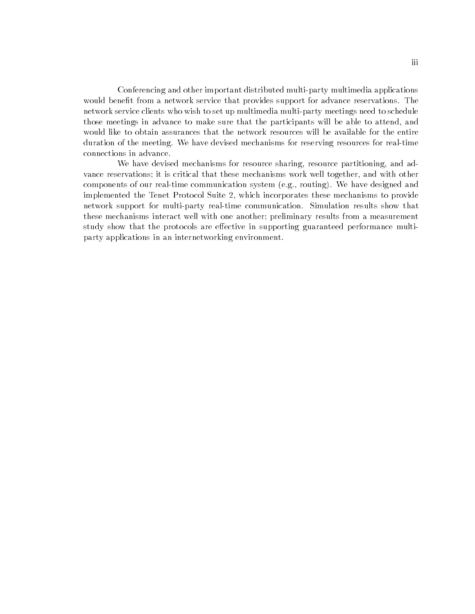Conferencing and other important distributed multi-party multimedia applications would benefit from a network service that provides support for advance reservations. The network service clients who wish to set up multimedia multi-party meetings need to schedule those meetings in advance to make sure that the participants will be able to attend, and would like to obtain assurances that the network resources will be available for the entire duration of the meeting. We have devised mechanisms for reserving resources for real-time connections in advance.

We have devised mechanisms for resource sharing, resource partitioning, and advance reservations; it is critical that these mechanisms work well together, and with other components of our real-time communication system (e.g., routing). We have designed and implemented the Tenet Protocol Suite 2, which incorporates these mechanisms to provide network support for multi-party real-time communication. Simulation results show that these mechanisms interact well with one another; preliminary results from a measurement study show that the protocols are effective in supporting guaranteed performance multiparty applications in an internetworking environment.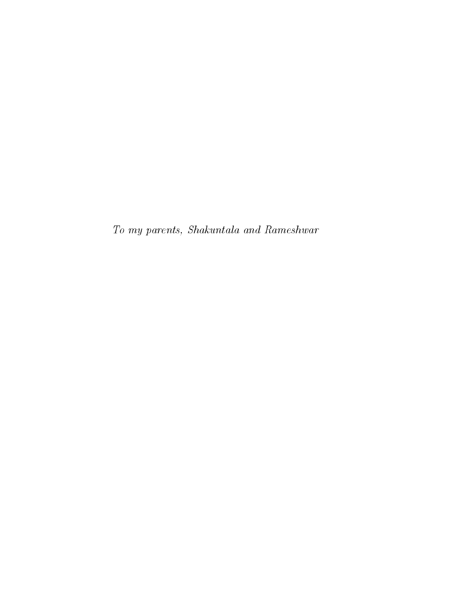To my parents, Shakuntala and Rameshwar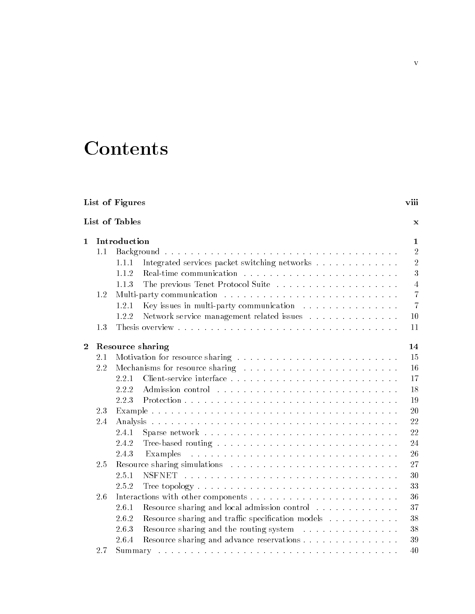## **Contents**

| List of Figures |     |                                                            |                |
|-----------------|-----|------------------------------------------------------------|----------------|
|                 |     | List of Tables                                             | X              |
| $\mathbf{1}$    |     | Introduction                                               | 1              |
|                 | 1.1 |                                                            | $\overline{2}$ |
|                 |     | Integrated services packet switching networks<br>1.1.1     | $\overline{2}$ |
|                 |     | 1.1.2                                                      | 3              |
|                 |     | The previous Tenet Protocol Suite<br>1.1.3                 | $\overline{4}$ |
|                 | 1.2 |                                                            | $\overline{7}$ |
|                 |     | Key issues in multi-party communication<br>1.2.1           | $\overline{7}$ |
|                 |     | Network service management related issues<br>1.2.2         | 10             |
|                 | 1.3 |                                                            | 11             |
| $\overline{2}$  |     | Resource sharing                                           | 14             |
|                 | 2.1 |                                                            | 15             |
|                 | 2.2 |                                                            | 16             |
|                 |     | 2.2.1                                                      | 17             |
|                 |     | 2.2.2                                                      | 18             |
|                 |     | 2.2.3                                                      | 19             |
|                 | 2.3 |                                                            | 20             |
|                 | 2.4 |                                                            | 22             |
|                 |     | 2.4.1                                                      | 22             |
|                 |     | 2.4.2                                                      | 24             |
|                 |     | 2.4.3<br>Examples                                          | 26             |
|                 | 2.5 |                                                            | 27             |
|                 |     | 2.5.1<br><b>NSFNET</b>                                     | 30             |
|                 |     | 2.5.2                                                      | 33             |
|                 | 2.6 |                                                            | 36             |
|                 |     | Resource sharing and local admission control<br>2.6.1      | 37             |
|                 |     | Resource sharing and traffic specification models<br>2.6.2 | 38             |
|                 |     | Resource sharing and the routing system<br>2.6.3           | 38             |
|                 |     | Resource sharing and advance reservations<br>2.6.4         | 39             |
|                 | 2.7 |                                                            | 40             |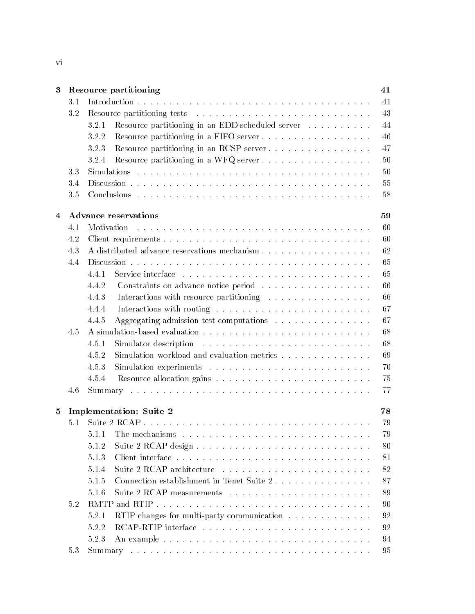| 3            |     | Resource partitioning                                                                                                | 41 |  |
|--------------|-----|----------------------------------------------------------------------------------------------------------------------|----|--|
|              | 3.1 |                                                                                                                      | 41 |  |
|              | 3.2 |                                                                                                                      | 43 |  |
|              |     | Resource partitioning in an EDD-scheduled server<br>3.2.1                                                            | 44 |  |
|              |     | Resource partitioning in a FIFO server<br>3.2.2                                                                      | 46 |  |
|              |     | Resource partitioning in an RCSP server<br>3.2.3                                                                     | 47 |  |
|              |     | Resource partitioning in a WFQ server<br>3.2.4                                                                       | 50 |  |
|              | 3.3 |                                                                                                                      | 50 |  |
|              | 3.4 |                                                                                                                      |    |  |
|              | 3.5 |                                                                                                                      | 58 |  |
| 4            |     | <b>Advance reservations</b>                                                                                          | 59 |  |
|              | 4.1 | Motivation                                                                                                           | 60 |  |
|              | 4.2 |                                                                                                                      | 60 |  |
|              | 4.3 |                                                                                                                      | 62 |  |
|              | 4.4 |                                                                                                                      | 65 |  |
|              |     | 4.4.1                                                                                                                | 65 |  |
|              |     | 4.4.2<br>Constraints on advance notice period                                                                        | 66 |  |
|              |     | 4.4.3<br>Interactions with resource partitioning                                                                     | 66 |  |
|              |     | 4.4.4                                                                                                                | 67 |  |
|              |     | Aggregating admission test computations<br>4.4.5                                                                     | 67 |  |
|              | 4.5 |                                                                                                                      | 68 |  |
|              |     | 4.5.1<br>Simulator description<br>والمتواط والمتواط والمتواط والمتواط والمتواط والمتواط والمتواط والمتواطئ والمتواطئ | 68 |  |
|              |     | Simulation workload and evaluation metrics<br>4.5.2                                                                  | 69 |  |
|              |     | 4.5.3                                                                                                                | 70 |  |
|              |     | 4.5.4                                                                                                                | 75 |  |
|              | 4.6 |                                                                                                                      | 77 |  |
| $\mathbf{5}$ |     | <b>Implementation: Suite 2</b>                                                                                       | 78 |  |
|              | 5.1 |                                                                                                                      | 79 |  |
|              |     | 5.1.1                                                                                                                | 79 |  |
|              |     | 5.1.2                                                                                                                | 80 |  |
|              |     | 5.1.3                                                                                                                | 81 |  |
|              |     |                                                                                                                      | 82 |  |
|              |     | 5.1.4                                                                                                                |    |  |
|              |     | 5.1.5<br>Connection establishment in Tenet Suite 2                                                                   | 87 |  |
|              |     | 5.1.6                                                                                                                | 89 |  |
|              | 5.2 |                                                                                                                      | 90 |  |
|              |     | RTIP changes for multi-party communication<br>5.2.1                                                                  | 92 |  |
|              |     | 5.2.2                                                                                                                | 92 |  |
|              |     | 5.2.3                                                                                                                | 94 |  |
|              | 5.3 |                                                                                                                      | 95 |  |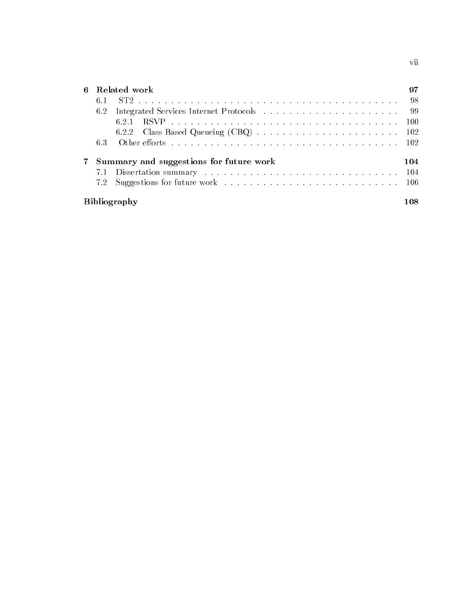6 Related work 97  $6.1$ 6.1 ST2 :::::::::::::::::::::::::::::::::::::::: 98 98 6.2 Integrated Services Internet Protocols ::::::::::::::::::::::::: 99 6.2.1 RSVP ::::::::::::::::::::::::::::::::::: 100 6.2.2 Class Based Queueing (CBQ) :::::::::::::::::::::: 102 6.3 Other eorts ::::::::::::::::::::::::::::::::::: 102 7 Summary and suggestions for future work 104 7.1 Dissertation summary :::::::::::::::::::::::::::::: 104 7.2 Suggestions for future work ::::::::::::::::::::::::::::::::: 106 Bibliography 108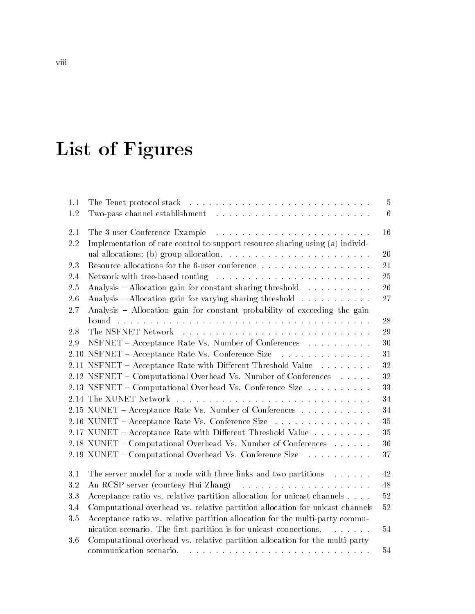# List of Figures

| 1.1     |                                                                                      | 5           |
|---------|--------------------------------------------------------------------------------------|-------------|
| 1.2     |                                                                                      | 6           |
| 2.1     |                                                                                      | 16          |
| $2.2\,$ | Implementation of rate control to support resource sharing using (a) individ-        |             |
|         |                                                                                      | 20          |
| 2.3     | Resource allocations for the 6-user conference                                       | 21          |
| 2.4     |                                                                                      | 25          |
| 2.5     | Analysis - Allocation gain for constant sharing threshold                            | 26          |
| 2.6     | Analysis – Allocation gain for varying sharing threshold $\ldots \ldots \ldots$      | 27          |
| 2.7     | Analysis - Allocation gain for constant probability of exceeding the gain            |             |
|         |                                                                                      | $\sqrt{28}$ |
| 2.8     |                                                                                      | 29          |
| 2.9     | NSFNET - Acceptance Rate Vs. Number of Conferences                                   | 30          |
| 2.10    | NSFNET - Acceptance Rate Vs. Conference Size                                         | 31          |
|         | 2.11 NSFNET - Acceptance Rate with Different Threshold Value                         | 32          |
|         | 2.12 NSFNET – Computational Overhead Vs. Number of Conferences                       | 32          |
|         | 2.13 NSFNET – Computational Overhead Vs. Conference Size                             | 33          |
|         |                                                                                      | 34          |
|         | 2.15 XUNET – Acceptance Rate Vs. Number of Conferences                               | 34          |
|         | 2.16 XUNET – Acceptance Rate Vs. Conference Size                                     | 35          |
|         | 2.17 XUNET - Acceptance Rate with Different Threshold Value                          | 35          |
|         | 2.18 XUNET - Computational Overhead Vs. Number of Conferences                        | 36          |
|         | 2.19 XUNET - Computational Overhead Vs. Conference Size                              | 37          |
| 3.1     | The server model for a node with three links and two partitions                      | 42          |
| $3.2\,$ |                                                                                      | 48          |
| 3.3     | Acceptance ratio vs. relative partition allocation for unicast channels              | 52          |
| 3.4     | Computational overhead vs. relative partition allocation for unicast channels        | 52          |
| 3.5     | Acceptance ratio vs. relative partition allocation for the multi-party commu-        |             |
|         | nication scenario. The first partition is for unicast connections.<br>and a state of | 54          |
| 3.6     | Computational overhead vs. relative partition allocation for the multi-party         |             |
|         |                                                                                      | 54          |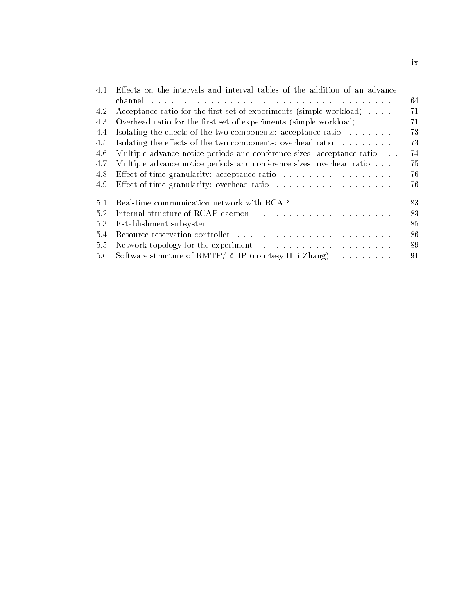| 4.1 | Effects on the intervals and interval tables of the addition of an advance |    |
|-----|----------------------------------------------------------------------------|----|
|     |                                                                            | 64 |
| 4.2 | Acceptance ratio for the first set of experiments (simple workload)        | 71 |
| 4.3 | Overhead ratio for the first set of experiments (simple workload)          | 71 |
| 4.4 | Isolating the effects of the two components: acceptance ratio              | 73 |
| 4.5 | Isolating the effects of the two components: overhead ratio                | 73 |
| 4.6 | Multiple advance notice periods and conference sizes: acceptance ratio     | 74 |
| 4.7 | Multiple advance notice periods and conference sizes: overhead ratio       | 75 |
| 4.8 |                                                                            | 76 |
| 4.9 |                                                                            | 76 |
| 5.1 | Real-time communication network with RCAP                                  | 83 |
| 52  |                                                                            | 83 |
| 5.3 |                                                                            | 85 |
| 5.4 |                                                                            | 86 |
| 5.5 |                                                                            | 89 |
| 5.6 | Software structure of RMTP/RTIP (courtesy Hui Zhang)                       | 91 |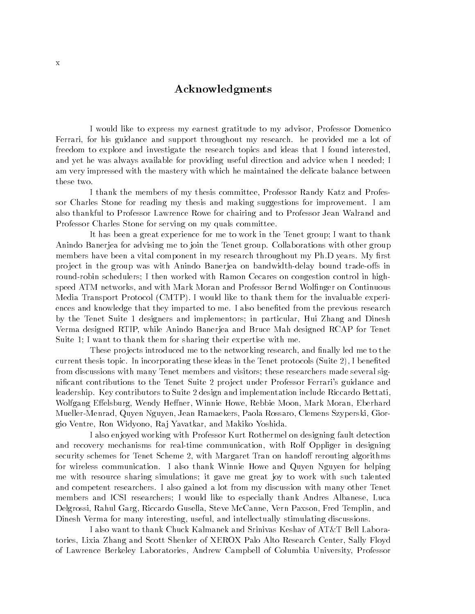#### Acknowledgments

I would like to express my earnest gratitude to my advisor, Professor Domenico Ferrari, for his guidance and support throughout my research. he provided me a lot of freedom to explore and investigate the research topics and ideas that I found interested, and yet he was always available for providing useful direction and advice when I needed; I am very impressed with the mastery with which he maintained the delicate balance between these two.

I thank the members of my thesis committee, Professor Randy Katz and Professor Charles Stone for reading my thesis and making suggestions for improvement. I am also thankful to Professor Lawrence Rowe for chairing and to Professor Jean Walrand and Professor Charles Stone for serving on my quals committee.

It has been a great experience for me to work in the Tenet group; I want to thank Anindo Banerjea for advising me to join the Tenet group. Collaborations with other group members have been a vital component in my research throughout my Ph.D years. My first project in the group was with Anindo Banerjea on bandwidth-delay bound trade-offs in round-robin schedulers; I then worked with Ramon Cecares on congestion control in highspeed ATM networks, and with Mark Moran and Professor Bernd Wolfinger on Continuous Media Transport Protocol (CMTP). I would like to thank them for the invaluable experiences and knowledge that they imparted to me. I also benefited from the previous research by the Tenet Suite 1 designers and implementors; in particular, Hui Zhang and Dinesh Verma designed RTIP, while Anindo Banerjea and Bruce Mah designed RCAP for Tenet Suite 1; I want to thank them for sharing their expertise with me.

These projects introduced me to the networking research, and finally led me to the current thesis topic. In incorporating these ideas in the Tenet protocols (Suite 2), I benefited from discussions with many Tenet members and visitors; these researchers made several significant contributions to the Tenet Suite 2 project under Professor Ferrari's guidance and leadership. Key contributors to Suite 2 design and implementation include Riccardo Bettati, Wolfgang Effelsburg, Wendy Heffner, Winnie Howe, Rebbie Moon, Mark Moran, Eberhard Mueller-Menrad, Quyen Nguyen, Jean Ramaekers, Paola Rossaro, Clemens Szyperski, Giorgio Ventre, Ron Widyono, Ra j Yavatkar, and Makiko Yoshida.

I also enjoyed working with Professor Kurt Rothermel on designing fault detection and recovery mechanisms for real-time communication, with Rolf Oppliger in designing security schemes for Tenet Scheme 2, with Margaret Tran on handoff rerouting algorithms for wireless communication. I also thank Winnie Howe and Quyen Nguyen for helping me with resource sharing simulations; it gave me great joy to work with such talented and competent researchers. I also gained a lot from my discussion with many other Tenet members and ICSI researchers; I would like to especially thank Andres Albanese, Luca Delgrossi, Rahul Garg, Riccardo Gusella, Steve McCanne, Vern Paxson, Fred Templin, and Dinesh Verma for many interesting, useful, and intellectually stimulating discussions.

I also want to thank Chuck Kalmanek and Srinivas Keshav of AT&T Bell Laboratories, Lixia Zhang and Scott Shenker of XEROX Palo Alto Research Center, Sally Floyd of Lawrence Berkeley Laboratories, Andrew Campbell of Columbia University, Professor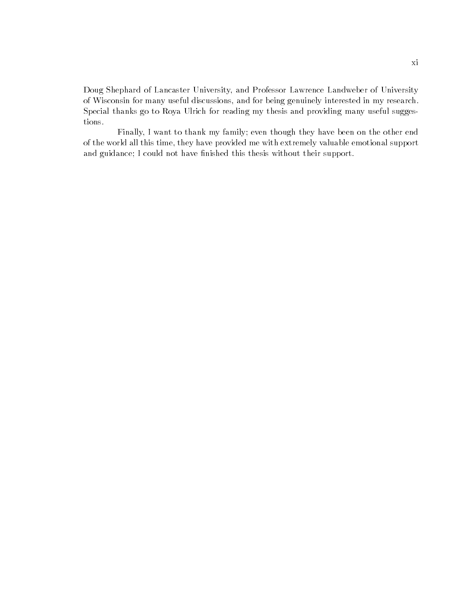Doug Shephard of Lancaster University, and Professor Lawrence Landweber of University of Wisconsin for many useful discussions, and for being genuinely interested in my research. Special thanks go to Roya Ulrich for reading my thesis and providing many useful suggestions.

Finally,Iwant to thank my family; even though they have been on the other end of the world all this time, they have provided me with extremely valuable emotional support and guidance; I could not have finished this thesis without their support.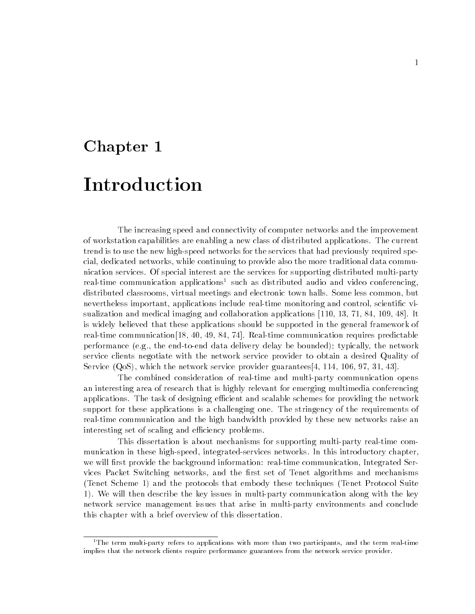# Chapter 1 Introduction

The increasing speed and connectivity of computer networks and the improvement of workstation capabilities are enabling a new class of distributed applications. The current trend is to use the new high-speed networks for the services that had previously required special, dedicated networks, while continuing to provide also the more traditional data communication services. Of special interest are the services for supporting distributed multi-party real-time communication applications<sup>1</sup> such as distributed audio and video conferencing, distributed classrooms, virtual meetings and electronic town halls. Some less common, but nevertheless important, applications include real-time monitoring and control, scientic visualization and medical imaging and collaboration applications [110, 13, 71, 84, 109, 48]. It is widely believed that these applications should be supported in the general framework of real-time communication[18, 40, 49, 84, 74]. Real-time communication requires predictable performance (e.g., the end-to-end data delivery delay be bounded); typically, the network service clients negotiate with the network service provider to obtain a desired Quality of Service (QoS), which the network service provider guarantees[4, 114, 106, 97, 31, 43].

The combined consideration of real-time and multi-party communication opens an interesting area of research that is highly relevant for emerging multimedia conferencing applications. The task of designing efficient and scalable schemes for providing the network support for these applications is a challenging one. The stringency of the requirements of real-time communication and the high bandwidth provided by these new networks raise an interesting set of scaling and efficiency problems.

This dissertation is about mechanisms for supporting multi-party real-time communication in these high-speed, integrated-services networks. In this introductory chapter, we will first provide the background information: real-time communication, Integrated Services Packet Switching networks, and the first set of Tenet algorithms and mechanisms (Tenet Scheme 1) and the protocols that embody these techniques (Tenet Protocol Suite 1). We will then describe the key issues in multi-party communication along with the key network service management issues that arise in multi-party environments and conclude this chapter with a brief overview of this dissertation.

 $1$ <sup>1</sup>The term multi-party refers to applications with more than two participants, and the term real-time implies that the network clients require performance guarantees from the network service provider.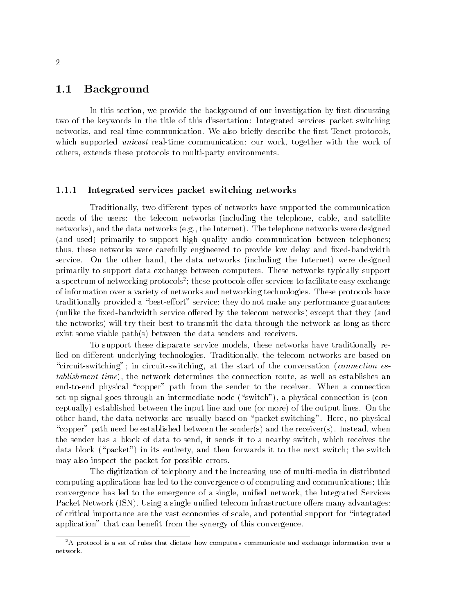#### 1.1 Background

In this section, we provide the background of our investigation by first discussing two of the keywords in the title of this dissertation: Integrated services packet switching networks, and real-time communication. We also briefly describe the first Tenet protocols, which supported *unicast* real-time communication; our work, together with the work of others, extends these protocols to multi-party environments.

#### 1.1.1 Integrated services packet switching networks

Traditionally, two different types of networks have supported the communication needs of the users: the telecom networks (including the telephone, cable, and satellite networks), and the data networks (e.g., the Internet). The telephone networks were designed (and used) primarily to support high quality audio communication between telephones; thus, these networks were carefully engineered to provide low delay and fixed-bandwidth service. On the other hand, the data networks (including the Internet) were designed primarily to support data exchange between computers. These networks typically support a spectrum of networking protocols<sup>-</sup>; these protocols oner services to facilitate easy exchange of information over a variety of networks and networking technologies. These protocols have traditionally provided a "best-effort" service; they do not make any performance guarantees (unlike the fixed-bandwidth service offered by the telecom networks) except that they (and the networks) will try their best to transmit the data through the network as long as there exist some viable path(s) between the data senders and receivers.

To support these disparate service models, these networks have traditionally relied on different underlying technologies. Traditionally, the telecom networks are based on "circuit-switching"; in circuit-switching, at the start of the conversation (connection establishment time), the network determines the connection route, as well as establishes an end-to-end physical "copper" path from the sender to the receiver. When a connection set-up signal goes through an intermediate node ("switch"), a physical connection is (conceptually) established between the input line and one (or more) of the output lines. On the other hand, the data networks are usually based on "packet-switching". Here, no physical "copper" path need be established between the sender(s) and the receiver(s). Instead, when the sender has a block of data to send, it sends it to a nearby switch, which receives the data block ("packet") in its entirety, and then forwards it to the next switch; the switch may also inspect the packet for possible errors.

The digitization of telephony and the increasing use of multi-media in distributed computing applications has led to the convergence o of computing and communications; this convergence has led to the emergence of a single, unified network, the Integrated Services Packet Network (ISN). Using a single unified telecom infrastructure offers many advantages; of critical importance are the vast economies of scale, and potential support for \integrated application" that can benefit from the synergy of this convergence.

<sup>&</sup>lt;sup>2</sup>A protocol is a set of rules that dictate how computers communicate and exchange information over a network.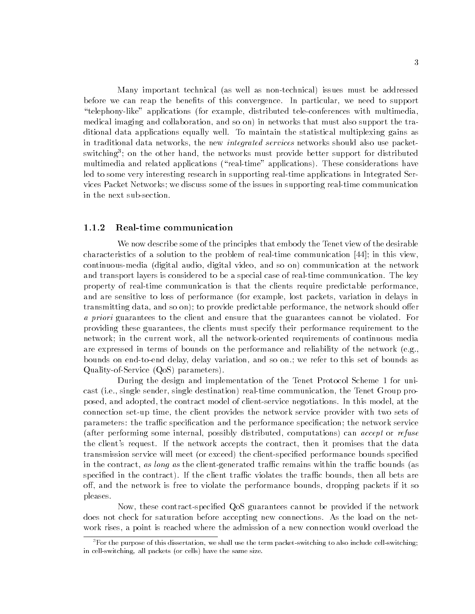Many important technical (as well as non-technical) issues must be addressed before we can reap the benefits of this convergence. In particular, we need to support \telephony-like" applications (for example, distributed tele-conferences with multimedia, medical imaging and collaboration, and so on) in networks that must also support the traditional data applications equally well. To maintain the statistical multiplexing gains as in traditional data networks, the new integrated services networks should also use packetswitching"; on the other hand, the networks must provide better support for distributed multimedia and related applications ("real-time" applications). These considerations have led to some very interesting research in supporting real-time applications in Integrated Services Packet Networks; we discuss some of the issues in supporting real-time communication in the next sub-section.

#### 1.1.2 Real-time communication

We now describe some of the principles that embody the Tenet view of the desirable characteristics of a solution to the problem of real-time communication [44]; in this view, continuous-media (digital audio, digital video, and so on) communication at the network and transport layers is considered to be a special case of real-time communication. The key property of real-time communication is that the clients require predictable performance, and are sensitive to loss of performance (for example, lost packets, variation in delays in transmitting data, and so on); to provide predictable performance, the network should offer a priori guarantees to the client and ensure that the guarantees cannot be violated. For providing these guarantees, the clients must specify their performance requirement to the network; in the current work, all the network-oriented requirements of continuous media are expressed in terms of bounds on the performance and reliability of the network (e.g., bounds on end-to-end delay, delay variation, and so on.; we refer to this set of bounds as Quality-of-Service (QoS) parameters).

During the design and implementation of the Tenet Protocol Scheme 1 for unicast (i.e., single sender, single destination) real-time communication, the Tenet Group proposed, and adopted, the contract model of client-service negotiations. In this model, at the connection set-up time, the client provides the network service provider with two sets of parameters: the traffic specification and the performance specification; the network service (after performing some internal, possibly distributed, computations) can accept or refuse the client's request. If the network accepts the contract, then it promises that the data transmission service will meet (or exceed) the client-specied performance bounds specied in the contract, as long as the client-generated traffic remains within the traffic bounds (as specified in the contract). If the client traffic violates the traffic bounds, then all bets are off, and the network is free to violate the performance bounds, dropping packets if it so pleases.

Now, these contract-specied QoS guarantees cannot be provided if the network does not check for saturation before accepting new connections. As the load on the network rises, a point is reached where the admission of a new connection would overload the

 ${}^{3}$  For the purpose of this dissertation, we shall use the term packet-switching to also include cell-switching; in cell-switching, all packets (or cells) have the same size.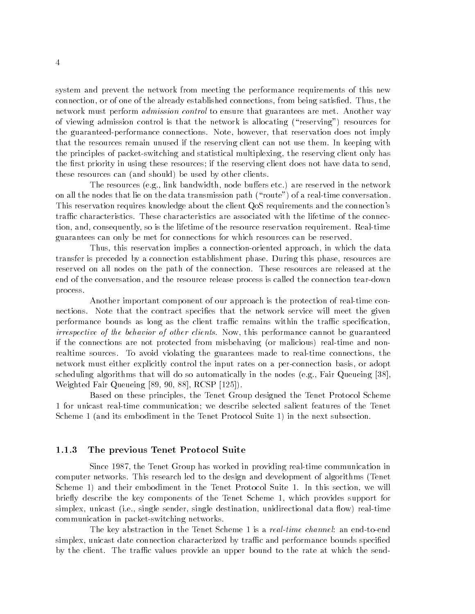system and prevent the network from meeting the performance requirements of this new connection, or of one of the already established connections, from being satised. Thus, the network must perform *admission control* to ensure that guarantees are met. Another way of viewing admission control is that the network is allocating (\reserving") resources for the guaranteed-performance connections. Note, however, that reservation does not imply that the resources remain unused if the reserving client can not use them. In keeping with the principles of packet-switching and statistical multiplexing, the reserving client only has the first priority in using these resources; if the reserving client does not have data to send, these resources can (and should) be used by other clients.

The resources (e.g., link bandwidth, node buffers etc.) are reserved in the network on all the nodes that lie on the data transmission path ("route") of a real-time conversation. This reservation requires knowledge about the client QoS requirements and the connection's traffic characteristics. These characteristics are associated with the lifetime of the connection, and, consequently, so is the lifetime of the resource reservation requirement. Real-time guarantees can only be met for connections for which resources can be reserved.

Thus, this reservation implies a connection-oriented approach, in which the data transfer is preceded by a connection establishment phase. During this phase, resources are reserved on all nodes on the path of the connection. These resources are released at the end of the conversation, and the resource release process is called the connection tear-down process.

Another important component of our approach is the protection of real-time connections. Note that the contract specifies that the network service will meet the given performance bounds as long as the client traffic remains within the traffic specification, irrespective of the behavior of other clients. Now, this performance cannot be guaranteed if the connections are not protected from misbehaving (or malicious) real-time and nonrealtime sources. To avoid violating the guarantees made to real-time connections, the network must either explicitly control the input rates on a per-connection basis, or adopt scheduling algorithms that will do so automatically in the nodes (e.g., Fair Queueing [38], Weighted Fair Queueing [89, 90, 88], RCSP [125]).

Based on these principles, the Tenet Group designed the Tenet Protocol Scheme 1 for unicast real-time communication; we describe selected salient features of the Tenet Scheme 1 (and its embodiment in the Tenet Protocol Suite 1) in the next subsection.

#### 1.1.3 The previous Tenet Protocol Suite

Since 1987, the Tenet Group has worked in providing real-time communication in computer networks. This research led to the design and development of algorithms (Tenet Scheme 1) and their embodiment in the Tenet Protocol Suite 1. In this section, we will briefly describe the key components of the Tenet Scheme 1, which provides support for simplex, unicast (i.e., single sender, single destination, unidirectional data flow) real-time communication in packet-switching networks.

The key abstraction in the Tenet Scheme 1 is a *real-time channel*: an end-to-end simplex, unicast date connection characterized by traffic and performance bounds specified by the client. The traffic values provide an upper bound to the rate at which the send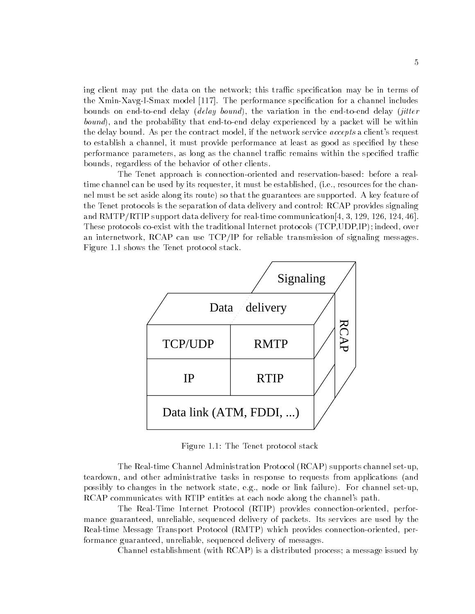ing client may put the data on the network; this traffic specification may be in terms of the Xmin-Xavg-I-Smax model [117]. The performance specication for a channel includes bounds on end-to-end delay (delay bound), the variation in the end-to-end delay (jitter bound), and the probability that end-to-end delay experienced by a packet will be within the delay bound. As per the contract model, if the network service *accepts* a client's request to establish a channel, it must provide performance at least as good as specied by these performance parameters, as long as the channel traffic remains within the specified traffic bounds, regardless of the behavior of other clients.

The Tenet approach is connection-oriented and reservation-based: before a realtime channel can be used by its requester, it must be established, (i.e., resources for the channel must be set aside along its route) so that the guarantees are supported. A key feature of the Tenet protocols is the separation of data delivery and control: RCAP provides signaling and RMTP/RTIP support data delivery for real-time communication[4, 3, 129, 126, 124, 46]. These protocols co-exist with the traditional Internet protocols (TCP,UDP,IP); indeed, over an internetwork, RCAP can use TCP/IP for reliable transmission of signaling messages. Figure 1.1 shows the Tenet protocol stack.



Figure 1.1: The Tenet protocol stack

The Real-time Channel Administration Protocol (RCAP) supports channel set-up, teardown, and other administrative tasks in response to requests from applications (and possibly to changes in the network state, e.g., node or link failure). For channel set-up, RCAP communicates with RTIP entities at each node along the channel's path.

The Real-Time Internet Protocol (RTIP) provides connection-oriented, performance guaranteed, unreliable, sequenced delivery of packets. Its services are used by the Real-time Message Transport Protocol (RMTP) which provides connection-oriented, performance guaranteed, unreliable, sequenced delivery of messages.

Channel establishment (with RCAP) is a distributed process; a message issued by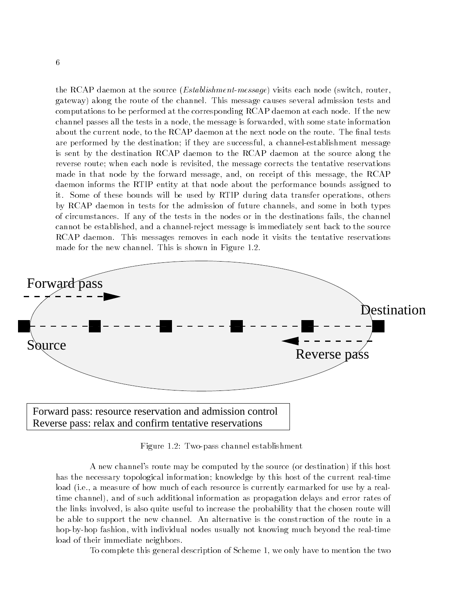the RCAP daemon at the source *(Establishment-message)* visits each node (switch, router, gateway) along the route of the channel. This message causes several admission tests and computations to be performed at the corresponding RCAP daemon at each node. If the new channel passes all the tests in a node, the message is forwarded, with some state information about the current node, to the RCAP daemon at the next node on the route. The final tests are performed by the destination; if they are successful, a channel-establishment message is sent by the destination RCAP daemon to the RCAP daemon at the source along the reverse route; when each node is revisited, the message corrects the tentative reservations made in that node by the forward message, and, on receipt of this message, the RCAP daemon informs the RTIP entity at that node about the performance bounds assigned to it. Some of these bounds will be used by RTIP during data transfer operations, others by RCAP daemon in tests for the admission of future channels, and some in both types of circumstances. If any of the tests in the nodes or in the destinations fails, the channel cannot be established, and a channel-reject message is immediately sent back to the source RCAP daemon. This messages removes in each node it visits the tentative reservations made for the new channel. This is shown in Figure 1.2.



Figure 1.2: Two-pass channel establishment

A new channel's route may be computed by the source (or destination) if this host has the necessary topological information; knowledge by this host of the current real-time load (i.e., a measure of how much of each resource is currently earmarked for use by a realtime channel), and of such additional information as propagation delays and error rates of the links involved, is also quite useful to increase the probability that the chosen route will be able to support the new channel. An alternative is the construction of the route in a hop-by-hop fashion, with individual nodes usually not knowing much beyond the real-time load of their immediate neighbors.

To complete this general description of Scheme 1, we only have to mention the two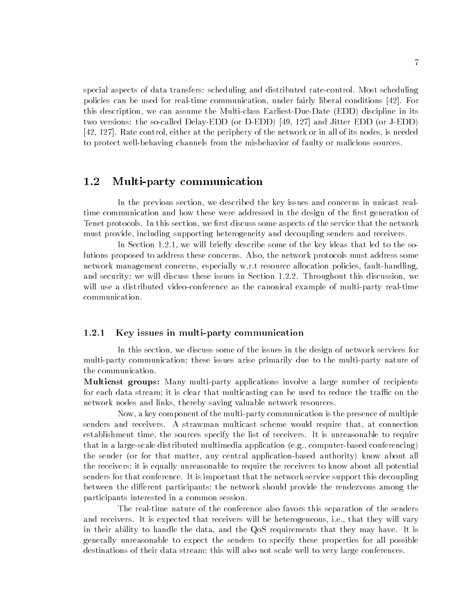special aspects of data transfers: scheduling and distributed rate-control. Most scheduling policies can be used for real-time communication, under fairly liberal conditions [42]. For this description, we can assume the Multi-class Earliest-Due-Date (EDD) discipline in its two versions: the so-called Delay-EDD (or D-EDD) [49, 127] and Jitter EDD (or J-EDD) [42, 127]. Rate control, either at the periphery of the network or in all of its nodes, is needed to protect well-behaving channels from the misbehavior of faulty or malicious sources.

#### 1.2 Multi-party communication

In the previous section, we described the key issues and concerns in unicast realtime communication and how these were addressed in the design of the first generation of Tenet protocols. In this section, we first discuss some aspects of the service that the network must provide, including supporting heterogeneity and decoupling senders and receivers.

In Section 1.2.1, we will briefly describe some of the key ideas that led to the solutions proposed to address these concerns. Also, the network protocols must address some network management concerns, especially w.r.t resource allocation policies, fault-handling, and security; we will discuss these issues in Section 1.2.2. Throughout this discussion, we will use a distributed video-conference as the canonical example of multi-party real-time communication.

#### 1.2.1 Key issues in multi-party communication

In this section, we discuss some of the issues in the design of network services for multi-party communication; these issues arise primarily due to the multi-party nature of the communication.

Multicast groups: Many multi-party applications involve a large number of recipients for each data stream; it is clear that multicasting can be used to reduce the traffic on the network nodes and links, thereby saving valuable network resources.

Now, a key component of the multi-party communication is the presence of multiple senders and receivers. A strawman multicast scheme would require that, at connection establishment time, the sources specify the list of receivers. It is unreasonable to require that in a large-scale distributed multimedia application (e.g., computer-based conferencing) the sender (or for that matter, any central application-based authority) know about all the receivers; it is equally unreasonable to require the receivers to know about all potential senders for that conference. It is important that the network service support this decoupling between the different participants; the network should provide the rendezvous among the participants interested in a common session.

The real-time nature of the conference also favors this separation of the senders and receivers. It is expected that receivers will be heterogeneous, i.e., that they will vary in their ability to handle the data, and the QoS requirements that they may have. It is generally unreasonable to expect the senders to specify these properties for all possible destinations of their data stream; this will also not scale well to very large conferences.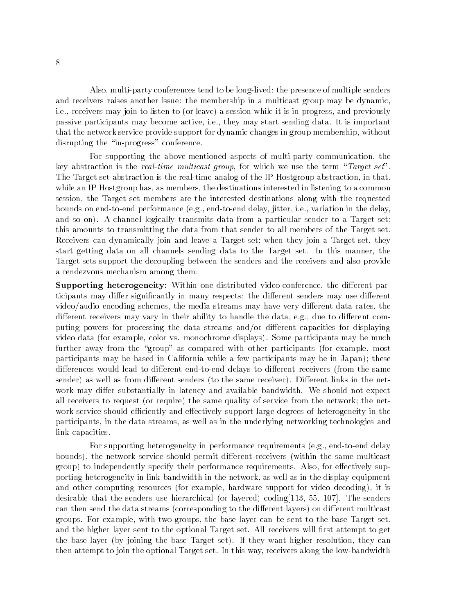Also, multi-party conferences tend to be long-lived; the presence of multiple senders and receivers raises another issue: the membership in a multicast group may be dynamic, i.e., receivers may join to listen to (or leave) a session while it is in progress, and previously passive participants may become active, i.e., they may start sending data. It is important that the network service provide support for dynamic changes in group membership, without disrupting the "in-progress" conference.

For supporting the above-mentioned aspects of multi-party communication, the key abstraction is the real-time multicast group, for which we use the term "Target set". The Target set abstraction is the real-time analog of the IP Hostgroup abstraction, in that, while an IP Hostgroup has, as members, the destinations interested in listening to a common session, the Target set members are the interested destinations along with the requested bounds on end-to-end performance (e.g., end-to-end delay, jitter, i.e., variation in the delay, and so on). A channel logically transmits data from a particular sender to a Target set; this amounts to transmitting the data from that sender to all members of the Target set. Receivers can dynamically join and leave a Target set; when they join a Target set, they start getting data on all channels sending data to the Target set. In this manner, the Target sets support the decoupling between the senders and the receivers and also provide a rendezvous mechanism among them.

Supporting heterogeneity: Within one distributed video-conference, the different participants may differ significantly in many respects: the different senders may use different video/audio encoding schemes, the media streams may have very different data rates, the different receivers may vary in their ability to handle the data, e.g., due to different computing powers for processing the data streams and/or different capacities for displaying video data (for example, color vs. monochrome displays). Some participants may be much further away from the "group" as compared with other participants (for example, most participants may be based in California while a few participants may be in Japan); these differences would lead to different end-to-end delays to different receivers (from the same sender) as well as from different senders (to the same receiver). Different links in the network may differ substantially in latency and available bandwidth. We should not expect all receivers to request (or require) the same quality of service from the network; the network service should efficiently and effectively support large degrees of heterogeneity in the participants, in the data streams, as well as in the underlying networking technologies and link capacities.

For supporting heterogeneity in performance requirements (e.g., end-to-end delay bounds), the network service should permit different receivers (within the same multicast group) to independently specify their performance requirements. Also, for effectively supporting heterogeneity in link bandwidth in the network, as well as in the display equipment and other computing resources (for example, hardware support for video decoding), it is desirable that the senders use hierarchical (or layered) coding[113, 55, 107]. The senders can then send the data streams (corresponding to the different layers) on different multicast groups. For example, with two groups, the base layer can be sent to the base Target set, and the higher layer sent to the optional Target set. All receivers will first attempt to get the base layer (by joining the base Target set). If they want higher resolution, they can then attempt to join the optional Target set. In this way, receivers along the low-bandwidth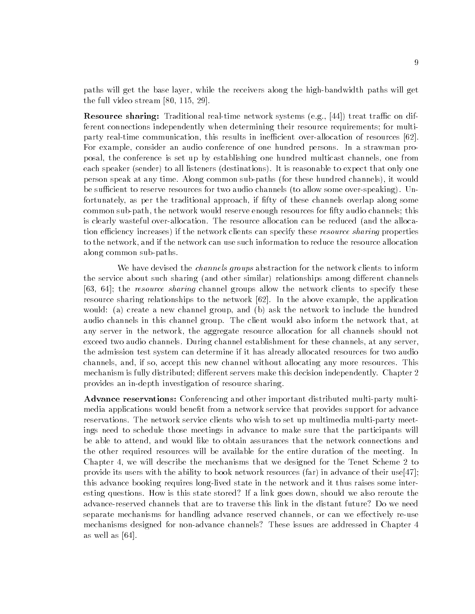paths will get the base layer, while the receivers along the high-bandwidth paths will get the full video stream [80, 115, 29].

**Resource sharing:** Traditional real-time network systems (e.g., [44]) treat traffic on different connections independently when determining their resource requirements; for multiparty real-time communication, this results in inefficient over-allocation of resources [62]. For example, consider an audio conference of one hundred persons. In a strawman proposal, the conference is set up by establishing one hundred multicast channels, one from each speaker (sender) to all listeners (destinations). It is reasonable to expect that only one person speak at any time. Along common sub-paths (for these hundred channels), it would be sufficient to reserve resources for two audio channels (to allow some over-speaking). Unfortunately, as per the traditional approach, if fifty of these channels overlap along some common sub-path, the network would reserve enough resources for fty audio channels; this is clearly wasteful over-allocation. The resource allocation can be reduced (and the allocation efficiency increases) if the network clients can specify these *resource sharing* properties to the network, and if the network can use such information to reduce the resource allocation along common sub-paths.

We have devised the *channels groups* abstraction for the network clients to inform the service about such sharing (and other similar) relationships among different channels [63, 64]; the *resource sharing* channel groups allow the network clients to specify these resource sharing relationships to the network [62]. In the above example, the application would: (a) create a new channel group, and (b) ask the network to include the hundred audio channels in this channel group. The client would also inform the network that, at any server in the network, the aggregate resource allocation for all channels should not exceed two audio channels. During channel establishment for these channels, at any server, the admission test system can determine if it has already allocated resources for two audio channels, and, if so, accept this new channel without allocating any more resources. This mechanism is fully distributed; different servers make this decision independently. Chapter 2 provides an in-depth investigation of resource sharing.

Advance reservations: Conferencing and other important distributed multi-party multimedia applications would benefit from a network service that provides support for advance reservations. The network service clients who wish to set up multimedia multi-party meetings need to schedule those meetings in advance to make sure that the participants will be able to attend, and would like to obtain assurances that the network connections and the other required resources will be available for the entire duration of the meeting. In Chapter 4, we will describe the mechanisms that we designed for the Tenet Scheme 2 to provide its users with the ability to book network resources (far) in advance of their use[47]; this advance booking requires long-lived state in the network and it thus raises some interesting questions. How is this state stored? If a link goes down, should we also reroute the advance-reserved channels that are to traverse this link in the distant future? Do we need separate mechanisms for handling advance reserved channels, or can we effectively re-use mechanisms designed for non-advance channels? These issues are addressed in Chapter 4 as well as [64].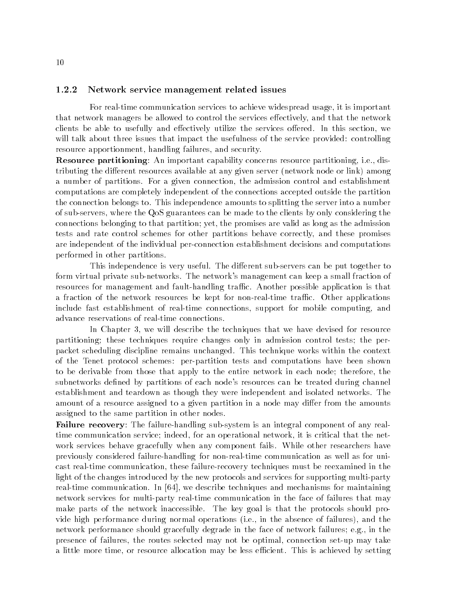#### 1.2.2 Network service management related issues

For real-time communication services to achieve widespread usage, it is important that network managers be allowed to control the services effectively, and that the network clients be able to usefully and effectively utilize the services offered. In this section, we will talk about three issues that impact the usefulness of the service provided: controlling resource apportionment, handling failures, and security.

Resource partitioning: An important capability concerns resource partitioning, i.e., distributing the different resources available at any given server (network node or link) among a number of partitions. For a given connection, the admission control and establishment computations are completely independent of the connections accepted outside the partition the connection belongs to. This independence amounts to splitting the server into a number of sub-servers, where the QoS guarantees can be made to the clients by only considering the connections belonging to that partition; yet, the promises are valid as long as the admission tests and rate control schemes for other partitions behave correctly, and these promises are independent of the individual per-connection establishment decisions and computations performed in other partitions.

This independence is very useful. The different sub-servers can be put together to form virtual private sub-networks. The network's management can keep a small fraction of resources for management and fault-handling traffic. Another possible application is that a fraction of the network resources be kept for non-real-time traffic. Other applications include fast establishment of real-time connections, support for mobile computing, and advance reservations of real-time connections.

In Chapter 3, we will describe the techniques that we have devised for resource partitioning; these techniques require changes only in admission control tests; the perpacket scheduling discipline remains unchanged. This technique works within the context of the Tenet protocol schemes: per-partition tests and computations have been shown to be derivable from those that apply to the entire network in each node; therefore, the subnetworks defined by partitions of each node's resources can be treated during channel establishment and teardown as though they were independent and isolated networks. The amount of a resource assigned to a given partition in a node may differ from the amounts assigned to the same partition in other nodes.

Failure recovery: The failure-handling sub-system is an integral component of any realtime communication service; indeed, for an operational network, it is critical that the network services behave gracefully when any component fails. While other researchers have previously considered failure-handling for non-real-time communication as well as for unicast real-time communication, these failure-recovery techniques must be reexamined in the light of the changes introduced by the new protocols and services for supporting multi-party real-time communication. In [64], we describe techniques and mechanisms for maintaining network services for multi-party real-time communication in the face of failures that may make parts of the network inaccessible. The key goal is that the protocols should provide high performance during normal operations (i.e., in the absence of failures), and the network performance should gracefully degrade in the face of network failures; e.g., in the presence of failures, the routes selected may not be optimal, connection set-up may take a little more time, or resource allocation may be less efficient. This is achieved by setting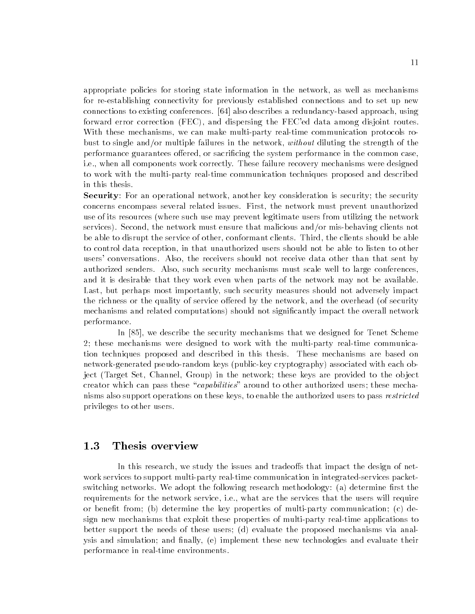appropriate policies for storing state information in the network, as well as mechanisms for re-establishing connectivity for previously established connections and to set up new connections to existing conferences. [64] also describes a redundancy-based approach, using forward error correction (FEC), and dispersing the FEC'ed data among disjoint routes. With these mechanisms, we can make multi-party real-time communication protocols robust to single and/or multiple failures in the network, without diluting the strength of the performance guarantees offered, or sacrificing the system performance in the common case. i.e., when all components work correctly. These failure recovery mechanisms were designed to work with the multi-party real-time communication techniques proposed and described in this thesis.

Security: For an operational network, another key consideration is security; the security concerns encompass several related issues. First, the network must prevent unauthorized use of its resources (where such use may prevent legitimate users from utilizing the network services). Second, the network must ensure that malicious and/or mis-behaving clients not be able to disrupt the service of other, conformant clients. Third, the clients should be able to control data reception, in that unauthorized users should not be able to listen to other users' conversations. Also, the receivers should not receive data other than that sent by authorized senders. Also, such security mechanisms must scale well to large conferences, and it is desirable that they work even when parts of the network may not be available. Last, but perhaps most importantly, such security measures should not adversely impact the richness or the quality of service offered by the network, and the overhead (of security mechanisms and related computations) should not significantly impact the overall network performance.

In [85], we describe the security mechanisms that we designed for Tenet Scheme 2; these mechanisms were designed to work with the multi-party real-time communication techniques proposed and described in this thesis. These mechanisms are based on network-generated pseudo-random keys (public-key cryptography) associated with each object (Target Set, Channel, Group) in the network; these keys are provided to the object creator which can pass these "capabilities" around to other authorized users; these mechanisms also support operations on these keys, to enable the authorized users to pass *restricted* privileges to other users.

#### $1.3\,$ Thesis overview

In this research, we study the issues and tradeoffs that impact the design of network services to support multi-party real-time communication in integrated-services packetswitching networks. We adopt the following research methodology: (a) determine first the requirements for the network service, i.e., what are the services that the users will require or benefit from; (b) determine the key properties of multi-party communication; (c) design new mechanisms that exploit these properties of multi-party real-time applications to better support the needs of these users; (d) evaluate the proposed mechanisms via analysis and simulation; and finally, (e) implement these new technologies and evaluate their performance in real-time environments.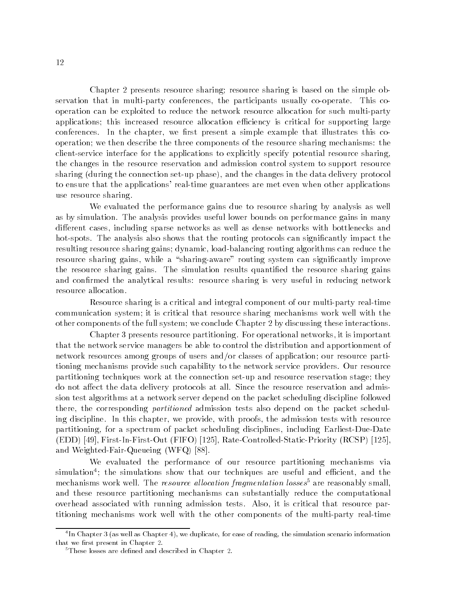Chapter 2 presents resource sharing; resource sharing is based on the simple observation that in multi-party conferences, the participants usually co-operate. This cooperation can be exploited to reduce the network resource allocation for such multi-party applications; this increased resource allocation efficiency is critical for supporting large conferences. In the chapter, we first present a simple example that illustrates this cooperation; we then describe the three components of the resource sharing mechanisms: the client-service interface for the applications to explicitly specify potential resource sharing, the changes in the resource reservation and admission control system to support resource sharing (during the connection set-up phase), and the changes in the data delivery protocol to ensure that the applications' real-time guarantees are met even when other applications use resource sharing.

We evaluated the performance gains due to resource sharing by analysis as well as by simulation. The analysis provides useful lower bounds on performance gains in many different cases, including sparse networks as well as dense networks with bottlenecks and hot-spots. The analysis also shows that the routing protocols can significantly impact the resulting resource sharing gains; dynamic, load-balancing routing algorithms can reduce the resource sharing gains, while a "sharing-aware" routing system can significantly improve the resource sharing gains. The simulation results quantified the resource sharing gains and confirmed the analytical results: resource sharing is very useful in reducing network resource allocation.

Resource sharing is a critical and integral component of our multi-party real-time communication system; it is critical that resource sharing mechanisms work well with the other components of the full system; we conclude Chapter 2 by discussing these interactions.

Chapter 3 presents resource partitioning. For operational networks, it is important that the network service managers be able to control the distribution and apportionment of network resources among groups of users and/or classes of application; our resource partitioning mechanisms provide such capability to the network service providers. Our resource partitioning techniques work at the connection set-up and resource reservation stage; they do not affect the data delivery protocols at all. Since the resource reservation and admission test algorithms at a network server depend on the packet scheduling discipline followed there, the corresponding *partitioned* admission tests also depend on the packet scheduling discipline. In this chapter, we provide, with proofs, the admission tests with resource partitioning, for a spectrum of packet scheduling disciplines, including Earliest-Due-Date (EDD) [49], First-In-First-Out (FIFO) [125], Rate-Controlled-Static-Priority (RCSP) [125], and Weighted-Fair-Queueing (WFQ) [88].

We evaluated the performance of our resource partitioning mechanisms via simulation ; the simulations show that our techniques are useful and emclent, and the mechanisms work well. The *resource allocation fragmentation losses*<sup>5</sup> are reasonably small, and these resource partitioning mechanisms can substantially reduce the computational overhead associated with running admission tests. Also, it is critical that resource partitioning mechanisms work well with the other components of the multi-party real-time

<sup>4</sup> In Chapter 3 (as well as Chapter 4), we duplicate, for ease of reading, the simulation scenario information that we first present in Chapter 2.

 ${}^5$ These losses are defined and described in Chapter 2.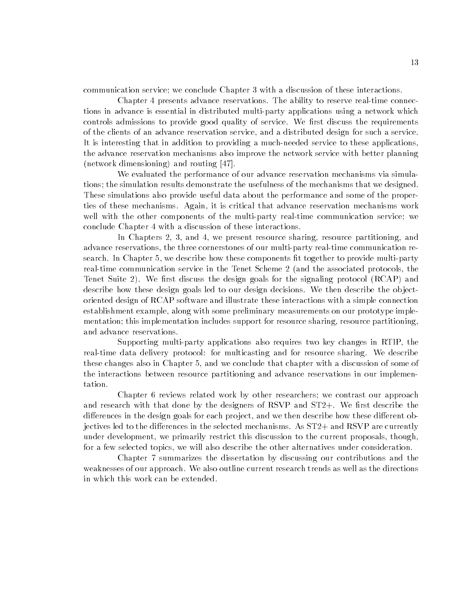communication service; we conclude Chapter 3 with a discussion of these interactions.

Chapter 4 presents advance reservations. The ability to reserve real-time connections in advance is essential in distributed multi-party applications using a network which controls admissions to provide good quality of service. We first discuss the requirements of the clients of an advance reservation service, and a distributed design for such a service. It is interesting that in addition to providing a much-needed service to these applications, the advance reservation mechanisms also improve the network service with better planning (network dimensioning) and routing [47].

We evaluated the performance of our advance reservation mechanisms via simulations; the simulation results demonstrate the usefulness of the mechanisms that we designed. These simulations also provide useful data about the performance and some of the properties of these mechanisms. Again, it is critical that advance reservation mechanisms work well with the other components of the multi-party real-time communication service; we conclude Chapter 4 with a discussion of these interactions.

In Chapters 2, 3, and 4, we present resource sharing, resource partitioning, and advance reservations, the three cornerstones of our multi-party real-time communication research. In Chapter 5, we describe how these components fit together to provide multi-party real-time communication service in the Tenet Scheme 2 (and the associated protocols, the Tenet Suite 2). We first discuss the design goals for the signaling protocol (RCAP) and describe how these design goals led to our design decisions. We then describe the objectoriented design of RCAP software and illustrate these interactions with a simple connection establishment example, along with some preliminary measurements on our prototype implementation; this implementation includes support for resource sharing, resource partitioning, and advance reservations.

Supporting multi-party applications also requires two key changes in RTIP, the real-time data delivery protocol: for multicasting and for resource sharing. We describe these changes also in Chapter 5, and we conclude that chapter with a discussion of some of the interactions between resource partitioning and advance reservations in our implementation.

Chapter 6 reviews related work by other researchers; we contrast our approach and research with that done by the designers of RSVP and  $ST2+$ . We first describe the differences in the design goals for each project, and we then describe how these different objectives led to the differences in the selected mechanisms. As  $ST2+$  and  $RSVP$  are currently under development, we primarily restrict this discussion to the current proposals, though, for a few selected topics, we will also describe the other alternatives under consideration.

Chapter 7 summarizes the dissertation by discussing our contributions and the weaknesses of our approach. We also outline current research trends as well as the directions in which this work can be extended.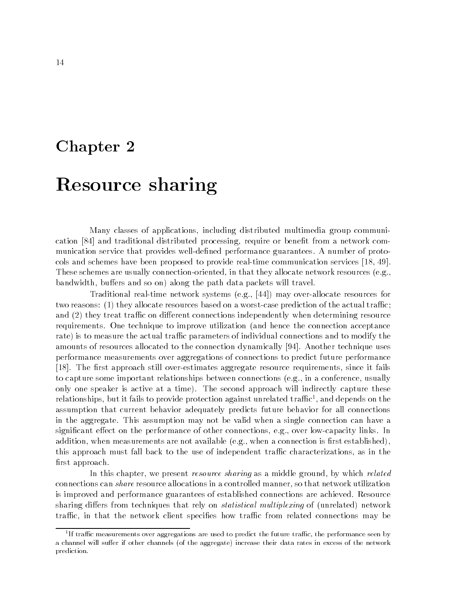## Chapter 2

## Resource sharing

Many classes of applications, including distributed multimedia group communication [84] and traditional distributed processing, require or benet from a network communication service that provides well-defined performance guarantees. A number of protocols and schemes have been proposed to provide real-time communication services [18, 49]. These schemes are usually connection-oriented, in that they allocate network resources (e.g., bandwidth, buffers and so on) along the path data packets will travel.

Traditional real-time network systems (e.g., [44]) may over-allocate resources for two reasons:  $(1)$  they allocate resources based on a worst-case prediction of the actual traffic; and  $(2)$  they treat traffic on different connections independently when determining resource requirements. One technique to improve utilization (and hence the connection acceptance rate) is to measure the actual traffic parameters of individual connections and to modify the amounts of resources allocated to the connection dynamically [94]. Another technique uses performance measurements over aggregations of connections to predict future performance [18]. The first approach still over-estimates aggregate resource requirements, since it fails to capture some important relationships between connections (e.g., in a conference, usually only one speaker is active at a time). The second approach will indirectly capture these relationships, but it fails to provide protection against unrelated trainc<sup>-</sup>, and depends on the assumption that current behavior adequately predicts future behavior for all connections in the aggregate. This assumption may not be valid when a single connection can have a significant effect on the performance of other connections, e.g., over low-capacity links. In addition, when measurements are not available (e.g., when a connection is first established), this approach must fall back to the use of independent traffic characterizations, as in the first approach.

In this chapter, we present *resource sharing* as a middle ground, by which *related* connections can share resource allocations in a controlled manner, so that network utilization is improved and performance guarantees of established connections are achieved. Resource sharing differs from techniques that rely on *statistical multiplexing* of (unrelated) network traffic, in that the network client specifies how traffic from related connections may be

TI trame measurements over aggregations are used to predict the future trame, the performance seen by the form a channel will suffer if other channels (of the aggregate) increase their data rates in excess of the network prediction.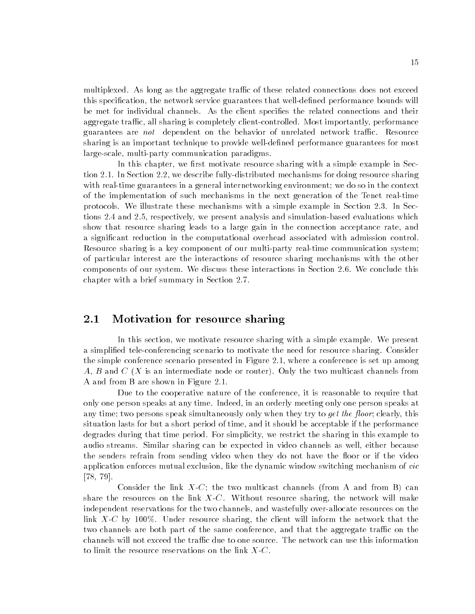multiplexed. As long as the aggregate traffic of these related connections does not exceed this specification, the network service guarantees that well-defined performance bounds will be met for individual channels. As the client species the related connections and their aggregate traffic, all sharing is completely client-controlled. Most importantly, performance guarantees are *not* dependent on the behavior of unrelated network traffic. Resource sharing is an important technique to provide well-defined performance guarantees for most large-scale, multi-party communication paradigms.

In this chapter, we first motivate resource sharing with a simple example in Section 2.1. In Section 2.2, we describe fully-distributed mechanisms for doing resource sharing with real-time guarantees in a general internetworking environment; we do so in the context of the implementation of such mechanisms in the next generation of the Tenet real-time protocols. We illustrate these mechanisms with a simple example in Section 2.3. In Sections 2.4 and 2.5, respectively, we present analysis and simulation-based evaluations which show that resource sharing leads to a large gain in the connection acceptance rate, and a signicant reduction in the computational overhead associated with admission control. Resource sharing is a key component of our multi-party real-time communication system; of particular interest are the interactions of resource sharing mechanisms with the other components of our system. We discuss these interactions in Section 2.6. We conclude this chapter with a brief summary in Section 2.7.

### 2.1 Motivation for resource sharing

In this section, we motivate resource sharing with a simple example. We present a simplied tele-conferencing scenario to motivate the need for resource sharing. Consider the simple conference scenario presented in Figure 2.1, where a conference is set up among A, B and  $C(X)$  is an intermediate node or router). Only the two multicast channels from A and from B are shown in Figure 2.1.

Due to the cooperative nature of the conference, it is reasonable to require that only one person speaks at any time. Indeed, in an orderly meeting only one person speaks at any time; two persons speak simultaneously only when they try to *get the floor*; clearly, this situation lasts for but a short period of time, and it should be acceptable if the performance degrades during that time period. For simplicity, we restrict the sharing in this example to audio streams. Similar sharing can be expected in video channels as well, either because the senders refrain from sending video when they do not have the floor or if the video application enforces mutual exclusion, like the dynamic window switching mechanism of vic [78, 79].

Consider the link  $X-C$ ; the two multicast channels (from A and from B) can share the resources on the link  $X-C$ . Without resource sharing, the network will make independent reservations for the two channels, and wastefully over-allocate resources on the link X-C by 100%. Under resource sharing, the client will inform the network that the two channels are both part of the same conference, and that the aggregate traffic on the channels will not exceed the traffic due to one source. The network can use this information to limit the resource reservations on the link  $X-C$ .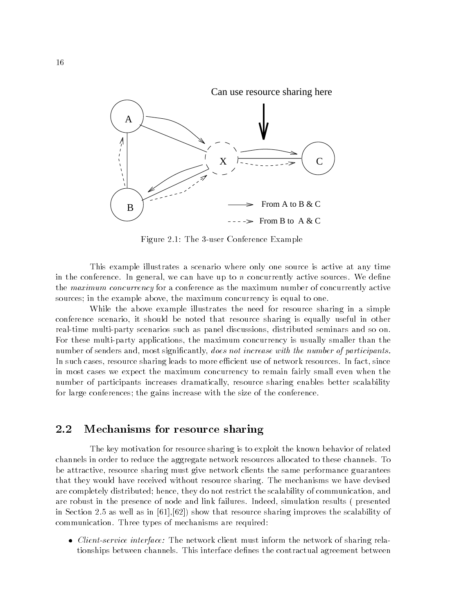Can use resource sharing here



Figure 2.1: The 3-user Conference Example

This example illustrates a scenario where only one source is active at any time in the conference. In general, we can have up to  $n$  concurrently active sources. We define the maximum concurrency for a conference as the maximum number of concurrently active sources; in the example above, the maximum concurrency is equal to one.

While the above example illustrates the need for resource sharing in a simple conference scenario, it should be noted that resource sharing is equally useful in other real-time multi-party scenarios such as panel discussions, distributed seminars and so on. For these multi-party applications, the maximum concurrency is usually smaller than the number of senders and, most significantly, *does not increase with the number of participants*. In such cases, resource sharing leads to more efficient use of network resources. In fact, since in most cases we expect the maximum concurrency to remain fairly small even when the number of participants increases dramatically, resource sharing enables better scalability for large conferences; the gains increase with the size of the conference.

#### 2.2 Mechanisms for resource sharing

The key motivation for resource sharing is to exploit the known behavior of related channels in order to reduce the aggregate network resources allocated to these channels. To be attractive, resource sharing must give network clients the same performance guarantees that they would have received without resource sharing. The mechanisms we have devised are completely distributed; hence, they do not restrict the scalability of communication, and are robust in the presence of node and link failures. Indeed, simulation results ( presented in Section 2.5 as well as in  $[61]$ ,  $[62]$ ) show that resource sharing improves the scalability of communication. Three types of mechanisms are required:

• *Client-service interface:* The network client must inform the network of sharing relationships between channels. This interface denes the contractual agreement between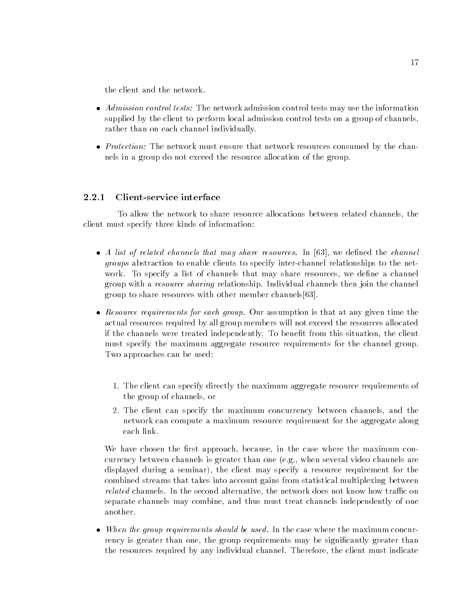the client and the network.

- *Admission control tests:* The network admission control tests may use the information supplied by the client to perform local admission control tests on a group of channels, rather than on each channel individually.
- *Protection:* The network must ensure that network resources consumed by the channels in a group do not exceed the resource allocation of the group.

#### 2.2.1 Client-service interface

To allow the network to share resource allocations between related channels, the client must specify three kinds of information:

- A list of related channels that may share resources. In [63], we defined the channel groups abstraction to enable clients to specify inter-channel relationships to the network. To specify a list of channels that may share resources, we define a channel group with a resource sharing relationship. Individual channels then join the channel group to share resources with other member channels[63].
- Resource requirements for each group. Our assumption is that at any given time the actual resources required by all group members will not exceed the resources allocated if the channels were treated independently. To benet from this situation, the client must specify the maximum aggregate resource requirements for the channel group. Two approaches can be used:
	- 1. The client can specify directly the maximum aggregate resource requirements of the group of channels, or
	- 2. The client can specify the maximum concurrency between channels, and the network can compute a maximum resource requirement for the aggregate along each link.

We have chosen the first approach, because, in the case where the maximum concurrency between channels is greater than one (e.g., when several video channels are displayed during a seminar), the client may specify a resource requirement for the combined streams that takes into account gains from statistical multiplexing between related channels. In the second alternative, the network does not know how traffic on separate channels may combine, and thus must treat channels independently of one another.

• When the group requirements should be used. In the case where the maximum concurrency is greater than one, the group requirements may be signicantly greater than the resources required by any individual channel. Therefore, the client must indicate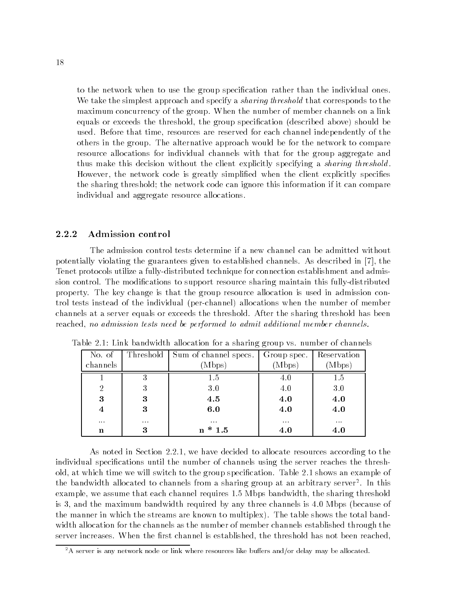to the network when to use the group specification rather than the individual ones. We take the simplest approach and specify a *sharing threshold* that corresponds to the maximum concurrency of the group. When the number of member channels on a link equals or exceeds the threshold, the group specication (described above) should be used. Before that time, resources are reserved for each channel independently of the others in the group. The alternative approach would be for the network to compare resource allocations for individual channels with that for the group aggregate and thus make this decision without the client explicitly specifying a *sharing threshold*. However, the network code is greatly simplied when the client explicitly species the sharing threshold; the network code can ignore this information if it can compare individual and aggregate resource allocations.

#### 2.2.2 Admission control

The admission control tests determine if a new channel can be admitted without potentially violating the guarantees given to established channels. As described in [7], the Tenet protocols utilize a fully-distributed technique for connection establishment and admission control. The modifications to support resource sharing maintain this fully-distributed property. The key change is that the group resource allocation is used in admission control tests instead of the individual (per-channel) allocations when the number of member channels at a server equals or exceeds the threshold. After the sharing threshold has been reached, no admission tests need be performed to admit additional member channels.

|                |          | No. of   Threshold   Sum of channel specs.   Group spec.   Reservation |          |          |
|----------------|----------|------------------------------------------------------------------------|----------|----------|
| channels       |          | (Mbps)                                                                 | (Mbps)   | (Mbps)   |
|                |          | 1.5                                                                    | 4.0      | 1.5      |
| $\overline{2}$ | 3        | $3.0\,$                                                                | 4.0      | 3.0      |
| 3              | 3        | 4.5                                                                    | 4.0      | 4.0      |
| $\overline{4}$ | 3        | 6.0                                                                    | 4.0      | 4.0      |
| $\cdots$       | $\cdots$ | $\cdots$                                                               | $\cdots$ | $\cdots$ |
| n              | 3        | $n * 1.5$                                                              | 4.0      | 4.0      |

Table 2.1: Link bandwidth allocation for a sharing group vs. number of channels

As noted in Section 2.2.1, we have decided to allocate resources according to the individual specications until the number of channels using the server reaches the threshold, at which time we will switch to the group specification. Table 2.1 shows an example of the bandwidth allocated to channels from a sharing group at an arbitrary server2 . In this example, we assume that each channel requires 1.5 Mbps bandwidth, the sharing threshold is 3, and the maximum bandwidth required by any three channels is 4.0 Mbps (because of the manner in which the streams are known to multiplex). The table shows the total bandwidth allocation for the channels as the number of member channels established through the server increases. When the first channel is established, the threshold has not been reached,

 $2A$  server is any network node or link where resources like buffers and/or delay may be allocated.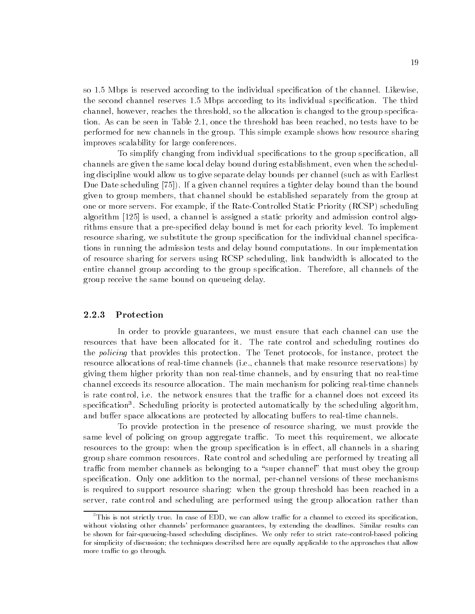so 1.5 Mbps is reserved according to the individual specification of the channel. Likewise, the second channel reserves 1.5 Mbps according to its individual specication. The third channel, however, reaches the threshold, so the allocation is changed to the group specication. As can be seen in Table 2.1, once the threshold has been reached, no tests have to be performed for new channels in the group. This simple example shows how resource sharing improves scalability for large conferences.

To simplify changing from individual specications to the group specication, all channels are given the same local delay bound during establishment, even when the scheduling discipline would allow us to give separate delay bounds per channel (such as with Earliest Due Date scheduling [75]). If a given channel requires a tighter delay bound than the bound given to group members, that channel should be established separately from the group at one or more servers. For example, if the Rate-Controlled Static Priority (RCSP) scheduling algorithm [125] is used, a channel is assigned a static priority and admission control algorithms ensure that a pre-specified delay bound is met for each priority level. To implement resource sharing, we substitute the group specification for the individual channel specifications in running the admission tests and delay bound computations. In our implementation of resource sharing for servers using RCSP scheduling, link bandwidth is allocated to the entire channel group according to the group specification. Therefore, all channels of the group receive the same bound on queueing delay.

#### 2.2.3 Protection

In order to provide guarantees, we must ensure that each channel can use the resources that have been allocated for it. The rate control and scheduling routines do the *policing* that provides this protection. The Tenet protocols, for instance, protect the resource allocations of real-time channels (i.e., channels that make resource reservations) by giving them higher priority than non real-time channels, and by ensuring that no real-time channel exceeds its resource allocation. The main mechanism for policing real-time channels is rate control, i.e. the network ensures that the traffic for a channel does not exceed its  $s$ pecincation $\cdot$ . Scheduling priority is protected automatically by the scheduling algorithm, and buffer space allocations are protected by allocating buffers to real-time channels.

To provide protection in the presence of resource sharing, we must provide the same level of policing on group aggregate traffic. To meet this requirement, we allocate resources to the group: when the group specification is in effect, all channels in a sharing group share common resources. Rate control and scheduling are performed by treating all traffic from member channels as belonging to a "super channel" that must obey the group specification. Only one addition to the normal, per-channel versions of these mechanisms is required to support resource sharing: when the group threshold has been reached in a server, rate control and scheduling are performed using the group allocation rather than

<sup>&</sup>lt;sup>3</sup>This is not strictly true. In case of EDD, we can allow traffic for a channel to exceed its specification, without violating other channels' performance guarantees, by extending the deadlines. Similar results can be shown for fair-queueing-based scheduling disciplines. We only refer to strict rate-control-based policing for simplicity of discussion; the techniques described here are equally applicable to the approaches that allow more traffic to go through.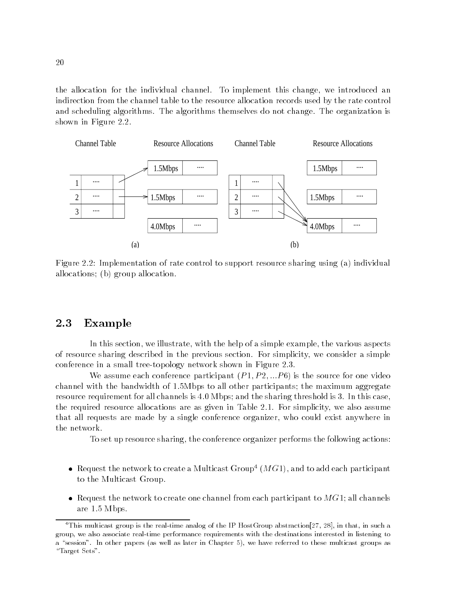the allocation for the individual channel. To implement this change, we introduced an indirection from the channel table to the resource allocation records used by the rate control and scheduling algorithms. The algorithms themselves do not change. The organization is shown in Figure 2.2.



Figure 2.2: Implementation of rate control to support resource sharing using (a) individual allocations; (b) group allocation.

#### 2.3 Example

In this section, we illustrate, with the help of a simple example, the various aspects of resource sharing described in the previous section. For simplicity, we consider a simple conference in a small tree-topology network shown in Figure 2.3.

We assume each conference participant  $(P_1, P_2, \ldots, P_6)$  is the source for one video channel with the bandwidth of 1.5Mbps to all other participants; the maximum aggregate resource requirement for all channels is 4.0 Mbps; and the sharing threshold is 3. In this case, the required resource allocations are as given in Table 2.1. For simplicity, we also assume that all requests are made by a single conference organizer, who could exist anywhere in the network.

To set up resource sharing, the conference organizer performs the following actions:

- Request the network to create a Multicast Group<sup>4</sup>  $(MG1)$ , and to add each participant to the Multicast Group.
- Request the network to create one channel from each participant to  $MG1$ ; all channels are 1.5 Mbps.

<sup>4</sup>This multicast group is the real-time analog of the IP HostGroup abstraction[27 , 28], in that, in such a group, we also associate real-time performance requirements with the destinations interested in listening to a "session". In other papers (as well as later in Chapter 5), we have referred to these multicast groups as " $Target Sets$ ".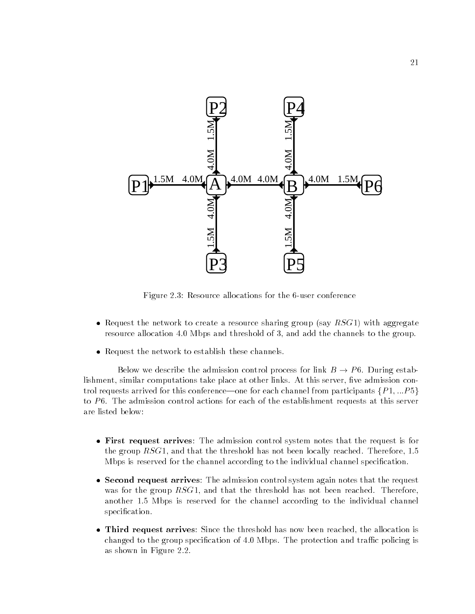

Figure 2.3: Resource allocations for the 6-user conference

- Request the network to create a resource sharing group (say  $RSG1$ ) with aggregate resource allocation 4.0 Mbps and threshold of 3, and add the channels to the group.
- Request the network to establish these channels.

Below we describe the admission control process for link B ! <sup>P</sup> 6. During establishment, similar computations take place at other links. At this server, five admission control requests arrived for this conference—one for each channel from participants  $\{P_1, ... P_5\}$ to  $P6$ . The admission control actions for each of the establishment requests at this server are listed below:

- First request arrives: The admission control system notes that the request is for the group  $RSG1$ , and that the threshold has not been locally reached. Therefore, 1.5 Mbps is reserved for the channel according to the individual channel specication.
- Second request arrives: The admission control system again notes that the request was for the group  $RSG1$ , and that the threshold has not been reached. Therefore, another 1.5 Mbps is reserved for the channel according to the individual channel specification.
- Third request arrives: Since the threshold has now been reached, the allocation is changed to the group specification of 4.0 Mbps. The protection and traffic policing is as shown in Figure 2.2.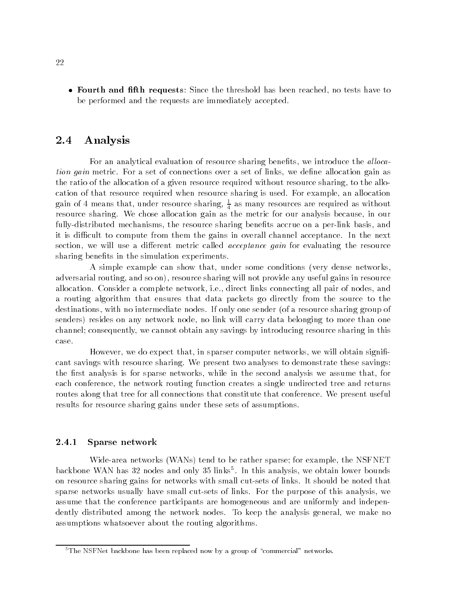• Fourth and fifth requests: Since the threshold has been reached, no tests have to be performed and the requests are immediately accepted.

#### 2.4 Analysis

For an analytical evaluation of resource sharing benefits, we introduce the *allocation gain* metric. For a set of connections over a set of links, we define allocation gain as the ratio of the allocation of a given resource required without resource sharing, to the allocation of that resource required when resource sharing is used. For example, an allocation gain of 4 means that, under resource sharing,  $\frac{1}{4}$  as many resources are required as without resource sharing. We chose allocation gain as the metric for our analysis because, in our fully-distributed mechanisms, the resource sharing benefits accrue on a per-link basis, and it is difficult to compute from them the gains in overall channel acceptance. In the next section, we will use a different metric called *acceptance gain* for evaluating the resource sharing benefits in the simulation experiments.

A simple example can show that, under some conditions (very dense networks, adversarial routing, and so on), resource sharing will not provide any useful gains in resource allocation. Consider a complete network, i.e., direct links connecting all pair of nodes, and a routing algorithm that ensures that data packets go directly from the source to the destinations, with no intermediate nodes. If only one sender (of a resource sharing group of senders) resides on any network node, no link will carry data belonging to more than one channel; consequently, we cannot obtain any savings by introducing resource sharing in this case.

However, we do expect that, in sparser computer networks, we will obtain significant savings with resource sharing. We present two analyses to demonstrate these savings: the first analysis is for sparse networks, while in the second analysis we assume that, for each conference, the network routing function creates a single undirected tree and returns routes along that tree for all connections that constitute that conference. We present useful results for resource sharing gains under these sets of assumptions.

#### 2.4.1 Sparse network

Wide-area networks (WANs) tend to be rather sparse; for example, the NSFNET backbone WAN has 32 nodes and only 35 links5 . In this analysis, we obtain lower bounds on resource sharing gains for networks with small cut-sets of links. It should be noted that sparse networks usually have small cut-sets of links. For the purpose of this analysis, we assume that the conference participants are homogeneous and are uniformly and independently distributed among the network nodes. To keep the analysis general, we make no assumptions whatsoever about the routing algorithms.

 $5$ The NSFNet backbone has been replaced now by a group of "commercial" networks.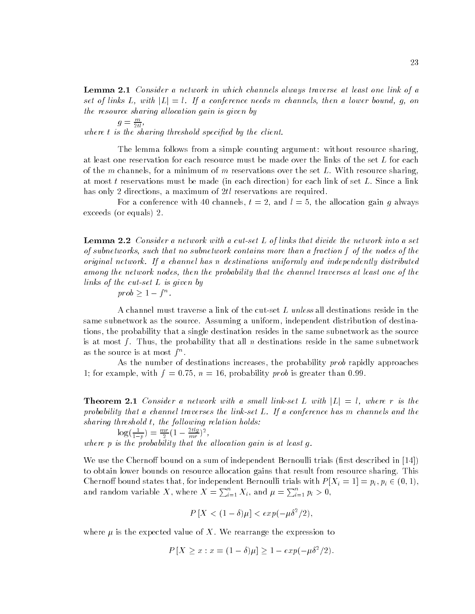Lemma 2.1 Consider a network in which channels always traverse at least one link of a set of links L, with  $|L|=l$ . If a conference needs m channels, then a lower bound, g, on the resource sharing allocation gain is given by

 $g = \frac{m}{2tl}$ , where  $t$  is the sharing threshold specified by the client.

The lemma follows from a simple counting argument: without resource sharing, at least one reservation for each resource must be made over the links of the set  $L$  for each of the m channels, for a minimum of m reservations over the set  $L$ . With resource sharing, at most t reservations must be made (in each direction) for each link of set  $L$ . Since a link has only 2 directions, a maximum of 2tl reservations are required.

For a conference with 40 channels,  $t = 2$ , and  $l = 5$ , the allocation gain q always exceeds (or equals) 2.

**Lemma 2.2** Consider a network with a cut-set L of links that divide the network into a set of subnetworks, such that no subnetwork contains more than a fraction f of the nodes of the original network. If a channel has n destinations uniformly and independently distributed among the network nodes, then the probability that the channel traverses at least one of the links of the cut-set L is given by

 $\textit{proo} \geq 1 - f^{\,\alpha}$ .

A channel must traverse a link of the cut-set L unless all destinations reside in the same subnetwork as the source. Assuming a uniform, independent distribution of destinations, the probability that a single destination resides in the same subnetwork as the source is at most f. Thus, the probability that all n destinations reside in the same subnetwork as the source is at most  $\mathfrak{f}^{\circ}$ .

As the number of destinations increases, the probability prob rapidly approaches 1; for example, with  $f = 0.75$ ,  $n = 16$ , probability prob is greater than 0.99.

**Theorem 2.1** Consider a network with a small link-set L with  $|L| = l$ , where r is the probability that a channel traverses the link-set L. If a conference has m channels and the sharing threshold  $t$ , the following relation holds:

$$
\log\left(\frac{1}{1-p}\right) = \frac{mr}{2}\left(1 - \frac{2tlg}{mr}\right)^2,
$$

where  $p$  is the probability that the allocation gain is at least  $q$ .

We use the Chernoff bound on a sum of independent Bernoulli trials (first described in  $[14]$ ) to obtain lower bounds on resource allocation gains that result from resource sharing. This  $\Box$  bound states that, for independent Bernoulli trials with P  $\Box$   $\Box$  is pixely  $\Box$   $\Box$  and  $\Box$ and random variable X, where  $X = \sum_{i=1}^n X_i$ , and  $\mu = \sum_{i=1}^n p_i > 0$ ,

$$
P[X < (1 - \delta)\mu] < \exp(-\mu \delta^2/2),
$$

where  $\mu$  is the expected value of X. We rearrange the expression to

$$
P[X \ge x : x = (1 - \delta)\mu] \ge 1 - exp(-\mu \delta^2/2).
$$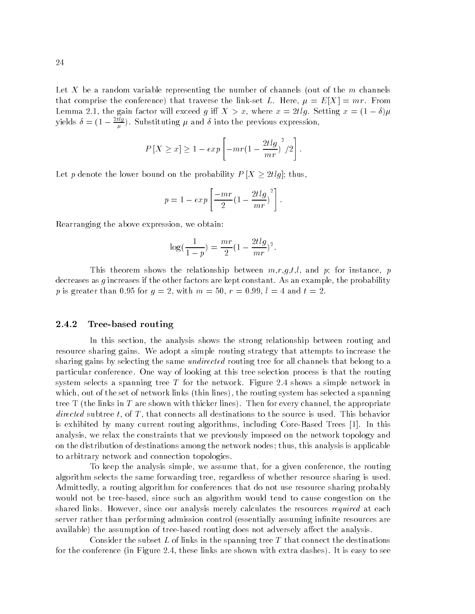Let X be a random variable representing the number of channels (out of the  $m$  channels that comprise the conference) that traverse the link-set L. Here,  $\mu = E[X] = mr$ . From  $\blacksquare$ yields  $\delta = (1 - \frac{z_{\text{avg}}}{u})$ . Substituting  $\mu$  and  $\delta$  into the previous expression,

$$
P[X \ge x] \ge 1 - exp\left[-mr(1 - \frac{2tlg}{mr})^2/2\right].
$$

Let  $p$  denote the lower bound on the set of the probability  $P$   $\equiv$  [X  $\equiv$  2tlg]; thus, thus,

$$
p = 1 - exp\left[\frac{-mr}{2}(1 - \frac{2tlg}{mr})^{2}\right].
$$

Rearranging the above expression, we obtain:

$$
\log(\frac{1}{1-p}) = \frac{mr}{2}(1 - \frac{2tlg}{mr})^2.
$$

This theorem shows the relationship between  $m, r, g, t, l$ , and p; for instance, p decreases as  $g$  increases if the other factors are kept constant. As an example, the probability p is greater than 0.95 for  $g = 2$ , with  $m = 50$ ,  $r = 0.99$ ,  $l = 4$  and  $t = 2$ .

#### 2.4.2 Tree-based routing

In this section, the analysis shows the strong relationship between routing and resource sharing gains. We adopt a simple routing strategy that attempts to increase the sharing gains by selecting the same *undirected* routing tree for all channels that belong to a particular conference. One way of looking at this tree selection process is that the routing system selects a spanning tree  $T$  for the network. Figure 2.4 shows a simple network in which, out of the set of network links (thin lines), the routing system has selected a spanning tree T (the links in T are shown with thicker lines). Then for every channel, the appropriate directed subtree t, of T, that connects all destinations to the source is used. This behavior is exhibited by many current routing algorithms, including Core-Based Trees [1]. In this analysis, we relax the constraints that we previously imposed on the network topology and on the distribution of destinations among the network nodes; thus, this analysis is applicable to arbitrary network and connection topologies.

To keep the analysis simple, we assume that, for a given conference, the routing algorithm selects the same forwarding tree, regardless of whether resource sharing is used. Admittedly, a routing algorithm for conferences that do not use resource sharing probably would not be tree-based, since such an algorithm would tend to cause congestion on the shared links. However, since our analysis merely calculates the resources required at each server rather than performing admission control (essentially assuming infinite resources are available) the assumption of tree-based routing does not adversely affect the analysis.

Consider the subset L of links in the spanning tree T that connect the destinations for the conference (in Figure 2.4, these links are shown with extra dashes). It is easy to see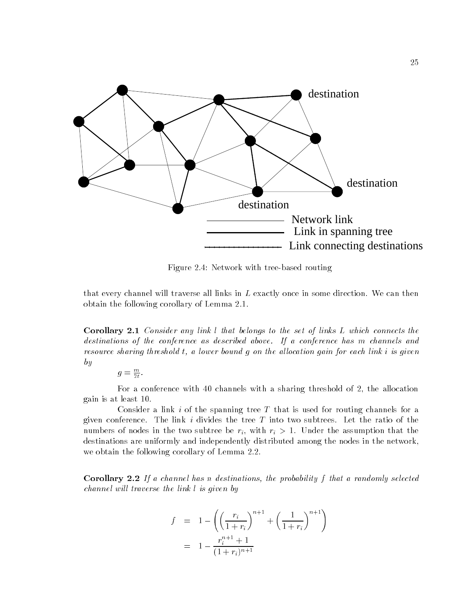

Figure 2.4: Network with tree-based routing

that every channel will traverse all links in L exactly once in some direction. We can then obtain the following corollary of Lemma 2.1.

Corollary 2.1 Consider any link l that belongs to the set of links L which connects the destinations of the conference as described above. If a conference has m channels and resource sharing threshold t, a lower bound q on the allocation gain for each link i is given by

 $g=\frac{m}{2t}$ .

For a conference with 40 channels with a sharing threshold of 2, the allocation gain is at least 10.

Consider a link i of the spanning tree  $T$  that is used for routing channels for a given conference. The link i divides the tree  $T$  into two subtrees. Let the ratio of the numbers of the two subtree best in the two subtree  $\{ \}$  . With  $\{ \}$  , with ring the assumption that the assumption that the assumption that the assumption that the assumption that the assumption of the assumption of t destinations are uniformly and independently distributed among the nodes in the network, we obtain the following corollary of Lemma 2.2.

**Corollary 2.2** If a channel has n destinations, the probability f that a randomly selected channel will traverse the link  $l$  is given by

$$
f = 1 - \left( \left( \frac{r_i}{1+r_i} \right)^{n+1} + \left( \frac{1}{1+r_i} \right)^{n+1} \right)
$$
  
= 
$$
1 - \frac{r_i^{n+1} + 1}{(1+r_i)^{n+1}}
$$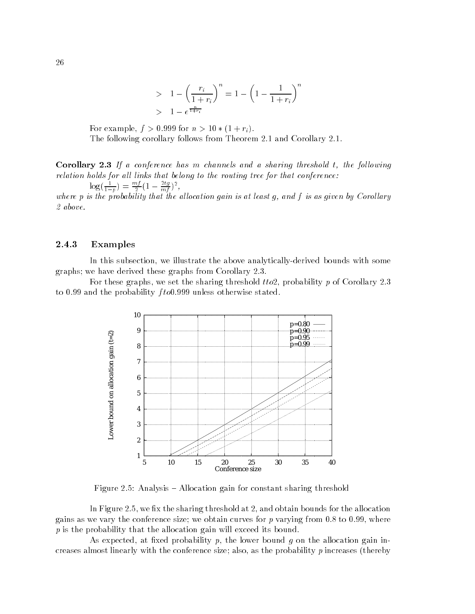> 
$$
1 - \left(\frac{r_i}{1 + r_i}\right)^n = 1 - \left(1 - \frac{1}{1 + r_i}\right)^n
$$
  
>  $1 - e^{\frac{n}{1 + r_i}}$ 

For example, f > 0:999 for n > 10 (1 + ri). The following corollary follows from Theorem 2.1 and Corollary 2.1.

**Corollary 2.3** If a conference has m channels and a sharing threshold t, the following  $relation$  holds for all links that belong to the routing tree for that conference:  $\log(\frac{1}{1-p}) = \frac{m_f}{2}(1-\frac{mg}{m_f})^2$ ,

where p is the probability that the allocation gain is at least q, and f is as given by Corollary 2 above.

#### 2.4.3 Examples

In this subsection, we illustrate the above analytically-derived bounds with some graphs; we have derived these graphs from Corollary 2.3.

For these graphs, we set the sharing threshold  $t\tau$ , probability p of Corollary 2.3 to 0.99 and the probability fto0.999 unless otherwise stated.



Figure 2.5: Analysis  $-$  Allocation gain for constant sharing threshold

In Figure 2.5, we fix the sharing threshold at  $2$ , and obtain bounds for the allocation gains as we vary the conference size; we obtain curves for  $p$  varying from 0.8 to 0.99, where  $p$  is the probability that the allocation gain will exceed its bound.

As expected, at fixed probability p, the lower bound g on the allocation gain increases almost linearly with the conference size; also, as the probability  $p$  increases (thereby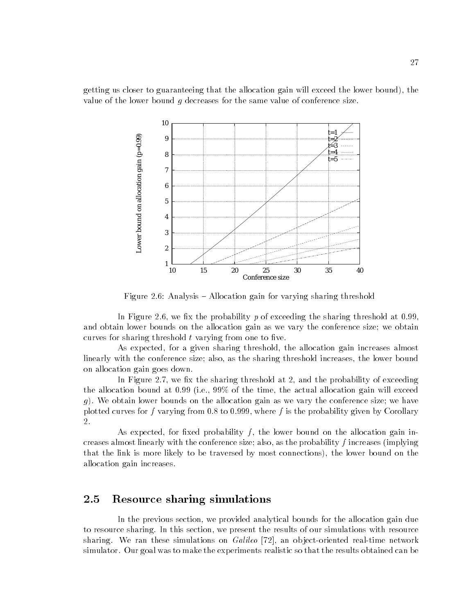getting us closer to guaranteeing that the allocation gain will exceed the lower bound), the value of the lower bound  $g$  decreases for the same value of conference size.



Figure 2.6: Analysis  $=$  Allocation gain for varying sharing threshold

In Figure 2.6, we fix the probability p of exceeding the sharing threshold at 0.99. and obtain lower bounds on the allocation gain as we vary the conference size; we obtain curves for sharing threshold  $t$  varying from one to five.

As expected, for a given sharing threshold, the allocation gain increases almost linearly with the conference size; also, as the sharing threshold increases, the lower bound on allocation gain goes down.

In Figure 2.7, we fix the sharing threshold at 2, and the probability of exceeding the allocation bound at 0.99 (i.e., 99% of the time, the actual allocation gain will exceed g). We obtain lower bounds on the allocation gain as we vary the conference size; we have plotted curves for f varying from 0.8 to 0.999, where f is the probability given by Corollary 2.

As expected, for fixed probability  $f$ , the lower bound on the allocation gain increases almost linearly with the conference size; also, as the probability  $f$  increases (implying that the link is more likely to be traversed by most connections), the lower bound on the allocation gain increases.

#### $2.5$ Resource sharing simulations

In the previous section, we provided analytical bounds for the allocation gain due to resource sharing. In this section, we present the results of our simulations with resource sharing. We ran these simulations on  $Galileo$  [72], an object-oriented real-time network simulator. Our goal was to make the experiments realistic so that the results obtained can be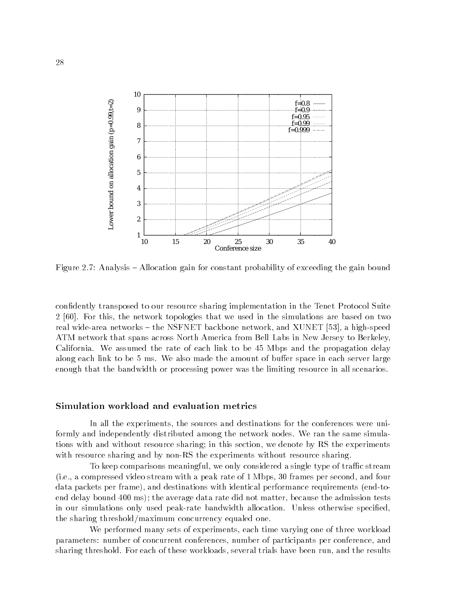

Figure 2.7: Analysis  $-$  Allocation gain for constant probability of exceeding the gain bound

condently transposed to our resource sharing implementation in the Tenet Protocol Suite 2 [60]. For this, the network topologies that we used in the simulations are based on two real wide-area networks - the NSFNET backbone network, and XUNET [53], a high-speed ATM network that spans across North America from Bell Labs in New Jersey to Berkeley, California. We assumed the rate of each link to be 45 Mbps and the propagation delay along each link to be 5 ms. We also made the amount of buffer space in each server large enough that the bandwidth or processing power was the limiting resource in all scenarios.

#### Simulation workload and evaluation metrics

In all the experiments, the sources and destinations for the conferences were uniformly and independently distributed among the network nodes. We ran the same simulations with and without resource sharing; in this section, we denote by RS the experiments with resource sharing and by non-RS the experiments without resource sharing.

To keep comparisons meaningful, we only considered a single type of traffic stream (i.e., a compressed video stream with a peak rate of 1 Mbps, 30 frames per second, and four data packets per frame), and destinations with identical performance requirements (end-toend delay bound 400 ms); the average data rate did not matter, because the admission tests in our simulations only used peak-rate bandwidth allocation. Unless otherwise specied, the sharing threshold/maximum concurrency equaled one.

We performed many sets of experiments, each time varying one of three workload parameters: number of concurrent conferences, number of participants per conference, and sharing threshold. For each of these workloads, several trials have been run, and the results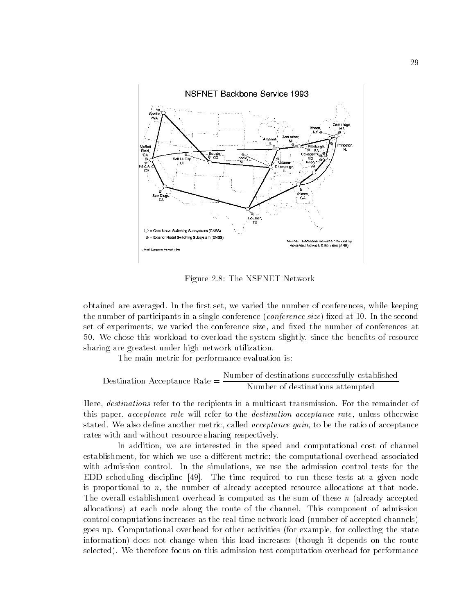

Figure 2.8: The NSFNET Network

obtained are averaged. In the first set, we varied the number of conferences, while keeping the number of participants in a single conference (*conference size*) fixed at 10. In the second set of experiments, we varied the conference size, and fixed the number of conferences at 50. We chose this workload to overload the system slightly, since the benefits of resource sharing are greatest under high network utilization.

The main metric for performance evaluation is:

Destination Acceptance Rate = 
$$
\frac{\text{Number of destinations successfully established}}{\text{Number of destinations attempted}}
$$

\nOutput

\nDescription:

Here, *destinations* refer to the recipients in a multicast transmission. For the remainder of this paper, acceptance rate will refer to the destination acceptance rate, unless otherwise stated. We also define another metric, called *acceptance gain*, to be the ratio of acceptance rates with and without resource sharing respectively.

In addition, we are interested in the speed and computational cost of channel establishment, for which we use a different metric: the computational overhead associated with admission control. In the simulations, we use the admission control tests for the EDD scheduling discipline [49]. The time required to run these tests at a given node is proportional to  $n$ , the number of already accepted resource allocations at that node. The overall establishment overhead is computed as the sum of these  $n$  (already accepted allocations) at each node along the route of the channel. This component of admission control computations increases as the real-time network load (number of accepted channels) goes up. Computational overhead for other activities (for example, for collecting the state information) does not change when this load increases (though it depends on the route selected). We therefore focus on this admission test computation overhead for performance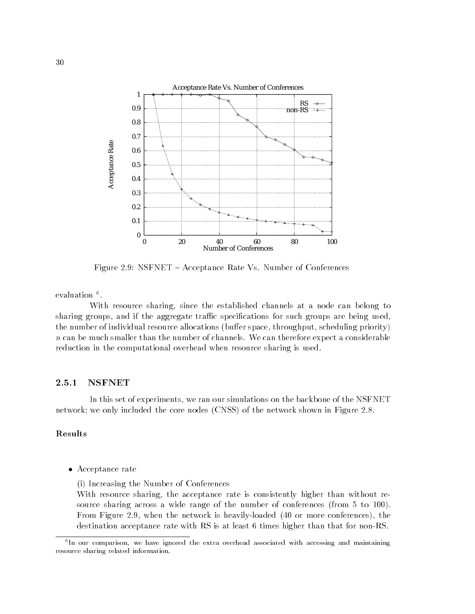

Figure 2.9: NSFNET - Acceptance Rate Vs. Number of Conferences

evaluation <del>.</del>

With resource sharing, since the established channels at a node can belong to sharing groups, and if the aggregate traffic specifications for such groups are being used, the number of individual resource allocations (buffer space, throughput, scheduling priority)  $n$  can be much smaller than the number of channels. We can therefore expect a considerable reduction in the computational overhead when resource sharing is used.

#### 2.5.1 NSFNET

In this set of experiments, we ran our simulations on the backbone of the NSFNET network; we only included the core nodes (CNSS) of the network shown in Figure 2.8.

#### Results

Acceptance rate

(i) Increasing the Number of Conferences

With resource sharing, the acceptance rate is consistently higher than without resource sharing across a wide range of the number of conferences (from 5 to 100). From Figure 2.9, when the network is heavily-loaded (40 or more conferences), the destination acceptance rate with RS is at least 6 times higher than that for non-RS.

<sup>6</sup> In our comparison, we have ignored the extra overhead associated with accessing and maintaining resource sharing related information.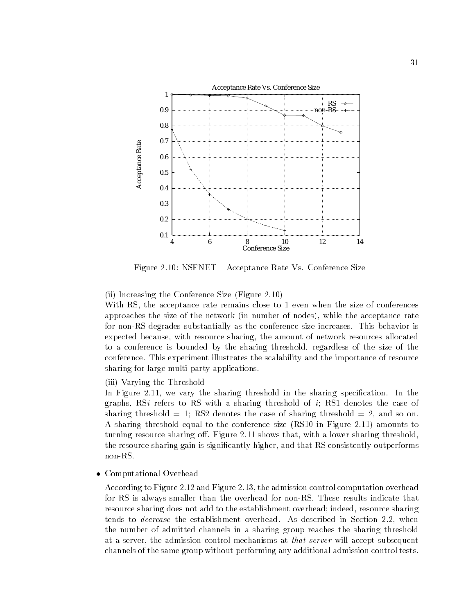

Figure 2.10: NSFNET - Acceptance Rate Vs. Conference Size

(ii) Increasing the Conference Size (Figure 2.10)

With RS, the acceptance rate remains close to 1 even when the size of conferences approaches the size of the network (in number of nodes), while the acceptance rate for non-RS degrades substantially as the conference size increases. This behavior is expected because, with resource sharing, the amount of network resources allocated to a conference is bounded by the sharing threshold, regardless of the size of the conference. This experiment illustrates the scalability and the importance of resource sharing for large multi-party applications.

(iii) Varying the Threshold

In Figure 2.11, we vary the sharing threshold in the sharing specification. In the graphs,  $\text{R}Si$  refers to RS with a sharing threshold of i; RS1 denotes the case of sharing threshold  $= 1$ ; RS2 denotes the case of sharing threshold  $= 2$ , and so on. A sharing threshold equal to the conference size (RS10 in Figure 2.11) amounts to turning resource sharing off. Figure 2.11 shows that, with a lower sharing threshold, the resource sharing gain is signicantly higher, and that RS consistently outperforms non-RS.

Computational Overhead

According to Figure 2.12 and Figure 2.13, the admission control computation overhead for RS is always smaller than the overhead for non-RS. These results indicate that resource sharing does not add to the establishment overhead; indeed, resource sharing tends to decrease the establishment overhead. As described in Section 2.2, when the number of admitted channels in a sharing group reaches the sharing threshold at a server, the admission control mechanisms at that server will accept subsequent channels of the same group without performing any additional admission control tests.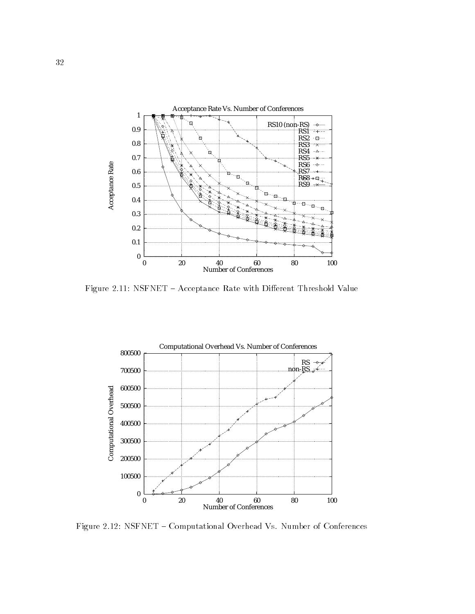

Figure 2.11: NSFNET - Acceptance Rate with Different Threshold Value



Figure 2.12: NSFNET - Computational Overhead Vs. Number of Conferences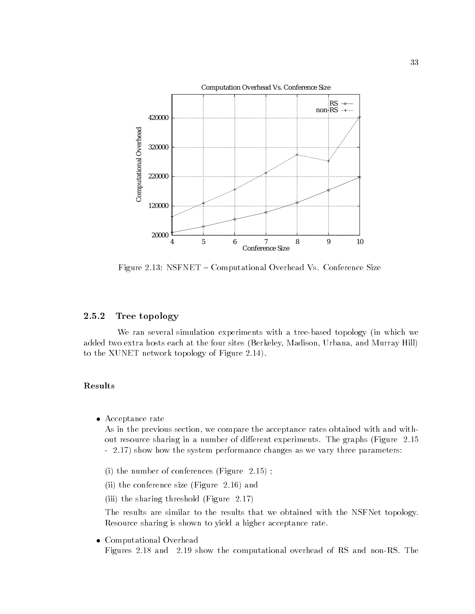

Figure 2.13: NSFNET - Computational Overhead Vs. Conference Size

#### 2.5.2 Tree topology

We ran several simulation experiments with a tree-based topology (in which we added two extra hosts each at the four sites (Berkeley, Madison, Urbana, and Murray Hill) to the XUNET network topology of Figure 2.14).

#### Results

Acceptance rate

As in the previous section, we compare the acceptance rates obtained with and without resource sharing in a number of different experiments. The graphs (Figure 2.15) - 2.17) show how the system performance changes as we vary three parameters:

- (i) the number of conferences (Figure 2.15) ;
- (ii) the conference size (Figure 2.16) and
- (iii) the sharing threshold (Figure 2.17)

The results are similar to the results that we obtained with the NSFNet topology. Resource sharing is shown to yield a higher acceptance rate.

 Computational Overhead Figures 2.18 and 2.19 show the computational overhead of RS and non-RS. The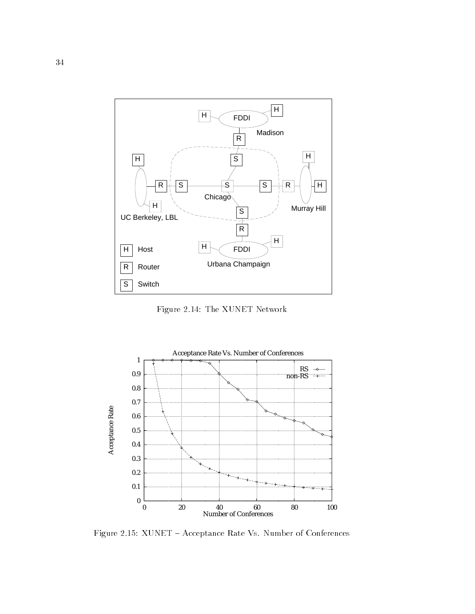

Figure 2.14: The XUNET Network



Figure 2.15: XUNET - Acceptance Rate Vs. Number of Conferences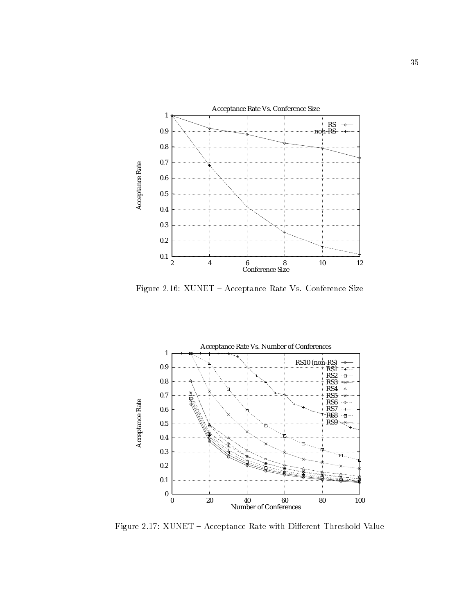

Figure 2.16: XUNET - Acceptance Rate Vs. Conference Size



Figure 2.17: XUNET - Acceptance Rate with Different Threshold Value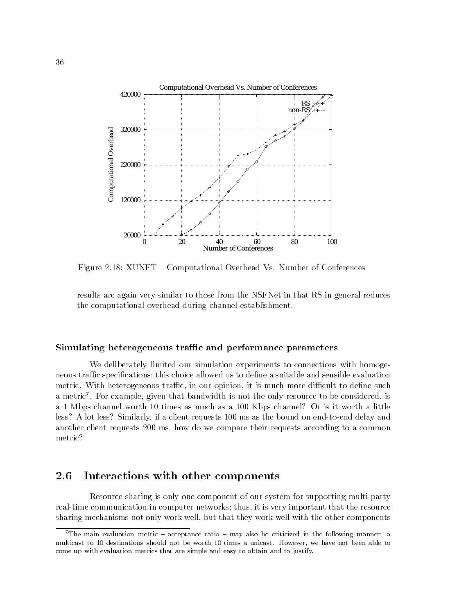

Figure 2.18: XUNET - Computational Overhead Vs. Number of Conferences

results are again very similar to those from the NSFNet in that RS in general reduces the computational overhead during channel establishment.

#### Simulating heterogeneous traffic and performance parameters

We deliberately limited our simulation experiments to connections with homogeneous traffic specifications; this choice allowed us to define a suitable and sensible evaluation metric. With heterogeneous traffic, in our opinion, it is much more difficult to define such a metric . For example, given that bandwidth is not the only resource to be considered, is a 1 Mbps channel worth 10 times as much as a 100 Kbps channel? Or is it worth a little less? A lot less? Similarly, if a client requests 100 ms as the bound on end-to-end delay and another client requests 200 ms, how do we compare their requests according to a common metric?

#### Interactions with other components 2.6

Resource sharing is only one component of our system for supporting multi-party real-time communication in computer networks; thus, it is very important that the resource sharing mechanisms not only work well, but that they work well with the other components

<sup>&</sup>lt;sup>7</sup>The main evaluation metric  $=$  acceptance ratio  $=$  may also be criticized in the following manner: a multicast to 10 destinations should not be worth 10 times a unicast. However, we have not been able to come up with evaluation metrics that are simple and easy to obtain and to justify.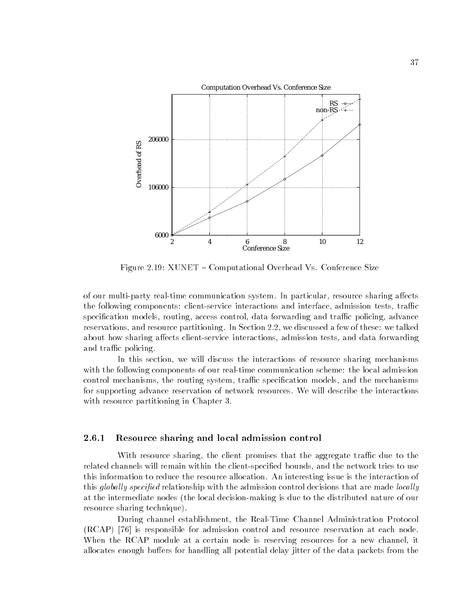

Figure 2.19: XUNET - Computational Overhead Vs. Conference Size

of our multi-party real-time communication system. In particular, resource sharing affects the following components: client-service interactions and interface, admission tests, traffic specification models, routing, access control, data forwarding and traffic policing, advance reservations, and resource partitioning. In Section 2.2, we discussed a few of these: we talked about how sharing affects client-service interactions, admission tests, and data forwarding and traffic policing.

In this section, we will discuss the interactions of resource sharing mechanisms with the following components of our real-time communication scheme: the local admission control mechanisms, the routing system, traffic specification models, and the mechanisms for supporting advance reservation of network resources. We will describe the interactions with resource partitioning in Chapter 3.

#### 2.6.1 Resource sharing and local admission control

With resource sharing, the client promises that the aggregate traffic due to the related channels will remain within the client-specied bounds, and the network tries to use this information to reduce the resource allocation. An interesting issue is the interaction of this *globally specified* relationship with the admission control decisions that are made *locally* at the intermediate nodes (the local decision-making is due to the distributed nature of our resource sharing technique).

During channel establishment, the Real-Time Channel Administration Protocol (RCAP) [76] is responsible for admission control and resource reservation at each node. When the RCAP module at a certain node is reserving resources for a new channel, it allocates enough buffers for handling all potential delay jitter of the data packets from the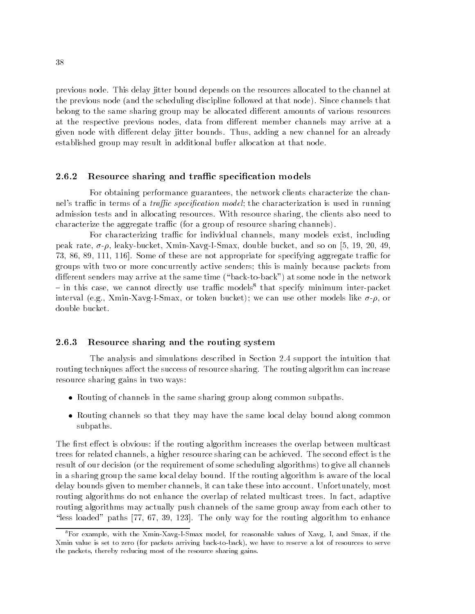previous node. This delay jitter bound depends on the resources allocated to the channel at the previous node (and the scheduling discipline followed at that node). Since channels that belong to the same sharing group may be allocated different amounts of various resources at the respective previous nodes, data from different member channels may arrive at a given node with different delay jitter bounds. Thus, adding a new channel for an already established group may result in additional buffer allocation at that node.

#### 2.6.2 Resource sharing and traffic specification models

For obtaining performance guarantees, the network clients characterize the channel's traffic in terms of a *traffic specification model*; the characterization is used in running admission tests and in allocating resources. With resource sharing, the clients also need to characterize the aggregate traffic (for a group of resource sharing channels).

For characterizing traffic for individual channels, many models exist, including peak rate,  $\sigma$ - $\rho$ , leaky-bucket, Xmin-Xavg-I-Smax, double bucket, and so on [5, 19, 20, 49, 73, 86, 89, 111, 116. Some of these are not appropriate for specifying aggregate traffic for groups with two or more concurrently active senders; this is mainly because packets from different senders may arrive at the same time ("back-to-back") at some node in the network  $-$  in this case, we cannot directly use traffic models<sup>8</sup> that specify minimum inter-packet interval (e.g., Xmin-Xavg-I-Smax, or token bucket); we can use other models like  $\sigma$ - $\rho$ , or double bucket.

#### 2.6.3 Resource sharing and the routing system

The analysis and simulations described in Section 2.4 support the intuition that routing techniques affect the success of resource sharing. The routing algorithm can increase resource sharing gains in two ways:

- Routing of channels in the same sharing group along common subpaths.
- Routing channels so that they may have the same local delay bound along common subpaths.

The first effect is obvious: if the routing algorithm increases the overlap between multicast trees for related channels, a higher resource sharing can be achieved. The second effect is the result of our decision (or the requirement of some scheduling algorithms) to give all channels in a sharing group the same local delay bound. If the routing algorithm is aware of the local delay bounds given to member channels, it can take these into account. Unfortunately, most routing algorithms do not enhance the overlap of related multicast trees. In fact, adaptive routing algorithms may actually push channels of the same group away from each other to "less loaded" paths [77, 67, 39, 123]. The only way for the routing algorithm to enhance

<sup>8</sup>For example, with the Xmin-Xavg-I-Smax model, for reasonable values of Xavg, I, and Smax, if the Xmin value is set to zero (for packets arriving back-to-back), we have to reserve a lot of resources to serve the packets, thereby reducing most of the resource sharing gains.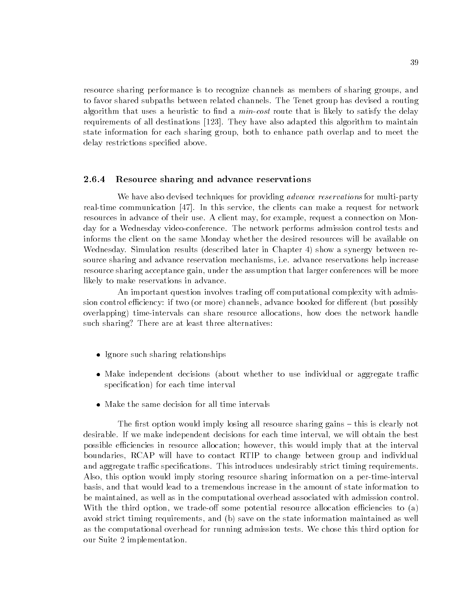resource sharing performance is to recognize channels as members of sharing groups, and to favor shared subpaths between related channels. The Tenet group has devised a routing algorithm that uses a heuristic to find a  $min\-cost$  route that is likely to satisfy the delay requirements of all destinations [123]. They have also adapted this algorithm to maintain state information for each sharing group, both to enhance path overlap and to meet the delay restrictions specified above.

#### 2.6.4 Resource sharing and advance reservations

We have also devised techniques for providing *advance reservations* for multi-party real-time communication [47]. In this service, the clients can make a request for network resources in advance of their use. A client may, for example, request a connection on Monday for a Wednesday video-conference. The network performs admission control tests and informs the client on the same Monday whether the desired resources will be available on Wednesday. Simulation results (described later in Chapter 4) show a synergy between resource sharing and advance reservation mechanisms, i.e. advance reservations help increase resource sharing acceptance gain, under the assumption that larger conferences will be more likely to make reservations in advance.

An important question involves trading off computational complexity with admission control efficiency: if two (or more) channels, advance booked for different (but possibly overlapping) time-intervals can share resource allocations, how does the network handle such sharing? There are at least three alternatives:

- Ignore such sharing relationships
- Make independent decisions (about whether to use individual or aggregate traffic specification) for each time interval
- Make the same decision for all time intervals

The first option would imply losing all resource sharing gains – this is clearly not desirable. If we make independent decisions for each time interval, we will obtain the best possible efficiencies in resource allocation; however, this would imply that at the interval boundaries, RCAP will have to contact RTIP to change between group and individual and aggregate traffic specifications. This introduces undesirably strict timing requirements. Also, this option would imply storing resource sharing information on a per-time-interval basis, and that would lead to a tremendous increase in the amount of state information to be maintained, as well as in the computational overhead associated with admission control. With the third option, we trade-off some potential resource allocation efficiencies to  $(a)$ avoid strict timing requirements, and (b) save on the state information maintained as well as the computational overhead for running admission tests. We chose this third option for our Suite 2 implementation.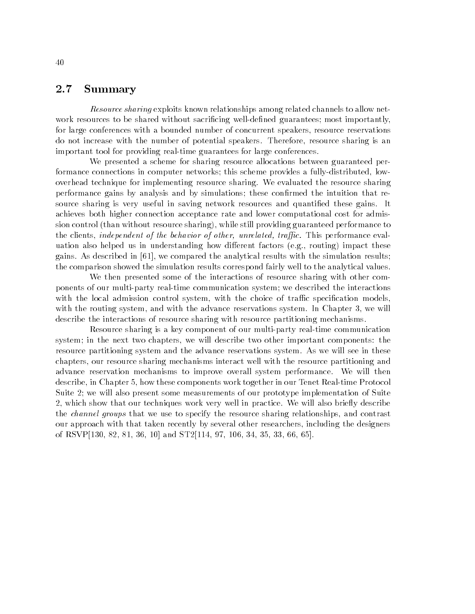## 2.7 Summary

Resource sharing exploits known relationships among related channels to allow network resources to be shared without sacrificing well-defined guarantees; most importantly, for large conferences with a bounded number of concurrent speakers, resource reservations do not increase with the number of potential speakers. Therefore, resource sharing is an important tool for providing real-time guarantees for large conferences.

We presented a scheme for sharing resource allocations between guaranteed performance connections in computer networks; this scheme provides a fully-distributed, lowoverhead technique for implementing resource sharing. We evaluated the resource sharing performance gains by analysis and by simulations; these confirmed the intuition that resource sharing is very useful in saving network resources and quantified these gains. It achieves both higher connection acceptance rate and lower computational cost for admission control (than without resource sharing), while still providing guaranteed performance to the clients, *independent of the behavior of other, unrelated, traffic.* This performance evaluation also helped us in understanding how different factors (e.g., routing) impact these gains. As described in [61], we compared the analytical results with the simulation results; the comparison showed the simulation results correspond fairly well to the analytical values.

We then presented some of the interactions of resource sharing with other components of our multi-party real-time communication system; we described the interactions with the local admission control system, with the choice of traffic specification models, with the routing system, and with the advance reservations system. In Chapter 3, we will describe the interactions of resource sharing with resource partitioning mechanisms.

Resource sharing is a key component of our multi-party real-time communication system; in the next two chapters, we will describe two other important components: the resource partitioning system and the advance reservations system. As we will see in these chapters, our resource sharing mechanisms interact well with the resource partitioning and advance reservation mechanisms to improve overall system performance. We will then describe, in Chapter 5, how these components work together in our Tenet Real-time Protocol Suite 2; we will also present some measurements of our prototype implementation of Suite 2, which show that our techniques work very well in practice. We will also briefly describe the channel groups that we use to specify the resource sharing relationships, and contrast our approach with that taken recently by several other researchers, including the designers of RSVP[130, 82, 81, 36, 10] and ST2[114, 97, 106, 34, 35, 33, 66, 65].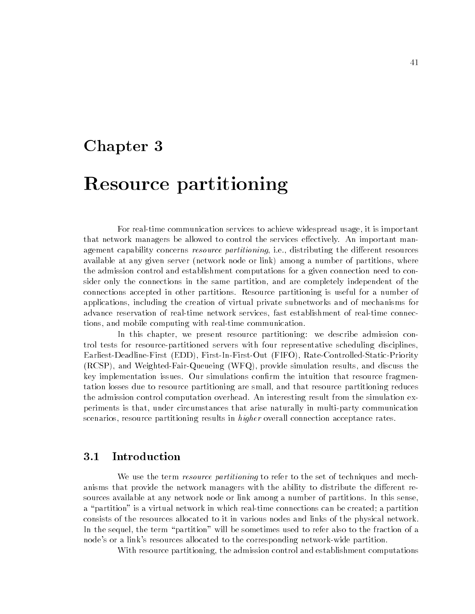## Chapter 3

# Resource partitioning

For real-time communication services to achieve widespread usage, it is important that network managers be allowed to control the services effectively. An important management capability concerns *resource partitioning*, i.e., distributing the different resources available at any given server (network node or link) among a number of partitions, where the admission control and establishment computations for a given connection need to consider only the connections in the same partition, and are completely independent of the connections accepted in other partitions. Resource partitioning is useful for a number of applications, including the creation of virtual private subnetworks and of mechanisms for advance reservation of real-time network services, fast establishment of real-time connections, and mobile computing with real-time communication.

In this chapter, we present resource partitioning: we describe admission control tests for resource-partitioned servers with four representative scheduling disciplines, Earliest-Deadline-First (EDD), First-In-First-Out (FIFO), Rate-Controlled-Static-Priority (RCSP), and Weighted-Fair-Queueing (WFQ), provide simulation results, and discuss the key implementation issues. Our simulations confirm the intuition that resource fragmentation losses due to resource partitioning are small, and that resource partitioning reduces the admission control computation overhead. An interesting result from the simulation experiments is that, under circumstances that arise naturally in multi-party communication scenarios, resource partitioning results in *higher* overall connection acceptance rates.

## 3.1 Introduction

We use the term *resource partitioning* to refer to the set of techniques and mechanisms that provide the network managers with the ability to distribute the different resources available at any network node or link among a number of partitions. In this sense, a "partition" is a virtual network in which real-time connections can be created; a partition consists of the resources allocated to it in various nodes and links of the physical network. In the sequel, the term "partition" will be sometimes used to refer also to the fraction of a node's or a link's resources allocated to the corresponding network-wide partition.

With resource partitioning, the admission control and establishment computations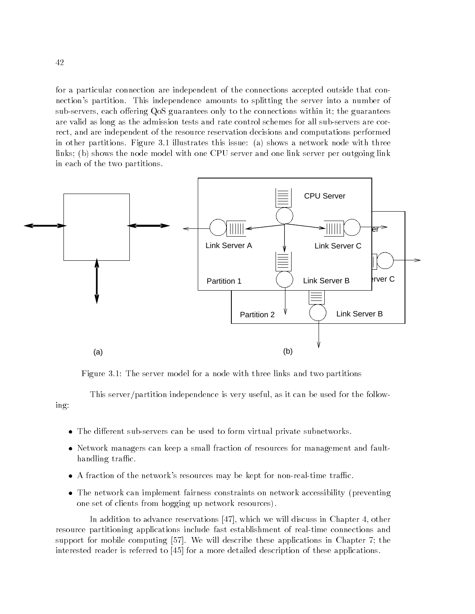for a particular connection are independent of the connections accepted outside that connection's partition. This independence amounts to splitting the server into a number of sub-servers, each offering QoS guarantees only to the connections within it; the guarantees are valid as long as the admission tests and rate control schemes for all sub-servers are correct, and are independent of the resource reservation decisions and computations performed in other partitions. Figure 3.1 illustrates this issue: (a) shows a network node with three links; (b) shows the node model with one CPU server and one link server per outgoing link in each of the two partitions.



Figure 3.1: The server model for a node with three links and two partitions

This server/partition independence is very useful, as it can be used for the following:

- The different sub-servers can be used to form virtual private subnetworks.
- Network managers can keep a small fraction of resources for management and faulthandling traffic.
- A fraction of the network's resources may be kept for non-real-time traffic.
- The network can implement fairness constraints on network accessibility (preventing one set of clients from hogging up network resources).

In addition to advance reservations [47], which we will discuss in Chapter 4, other resource partitioning applications include fast establishment of real-time connections and support for mobile computing [57]. We will describe these applications in Chapter 7; the interested reader is referred to [45] for a more detailed description of these applications.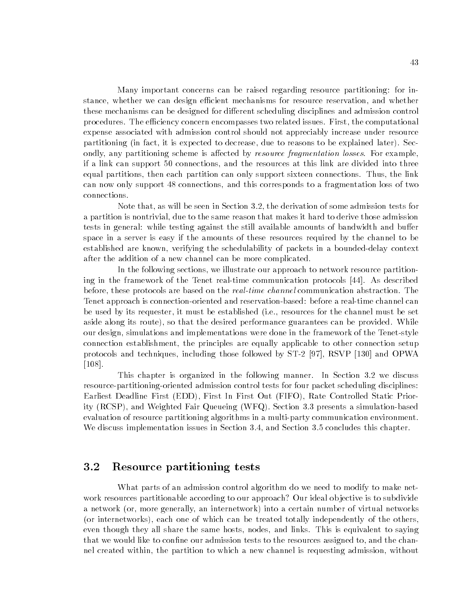Many important concerns can be raised regarding resource partitioning: for instance, whether we can design efficient mechanisms for resource reservation, and whether these mechanisms can be designed for different scheduling disciplines and admission control procedures. The efficiency concern encompasses two related issues. First, the computational expense associated with admission control should not appreciably increase under resource partitioning (in fact, it is expected to decrease, due to reasons to be explained later). Secondly, any partitioning scheme is affected by *resource fragmentation losses*. For example, if a link can support 50 connections, and the resources at this link are divided into three equal partitions, then each partition can only support sixteen connections. Thus, the link can now only support 48 connections, and this corresponds to a fragmentation loss of two connections.

Note that, as will be seen in Section 3.2, the derivation of some admission tests for a partition is nontrivial, due to the same reason that makes it hard to derive those admission tests in general: while testing against the still available amounts of bandwidth and buffer space in a server is easy if the amounts of these resources required by the channel to be established are known, verifying the schedulability of packets in a bounded-delay context after the addition of a new channel can be more complicated.

In the following sections, we illustrate our approach to network resource partitioning in the framework of the Tenet real-time communication protocols [44]. As described before, these protocols are based on the *real-time channel* communication abstraction. The Tenet approach is connection-oriented and reservation-based: before a real-time channel can be used by its requester, it must be established (i.e., resources for the channel must be set aside along its route), so that the desired performance guarantees can be provided. While our design, simulations and implementations were done in the framework of the Tenet-style connection establishment, the principles are equally applicable to other connection setup protocols and techniques, including those followed by ST-2 [97], RSVP [130] and OPWA [108].

This chapter is organized in the following manner. In Section 3.2 we discuss resource-partitioning-oriented admission control tests for four packet scheduling disciplines: Earliest Deadline First (EDD), First In First Out (FIFO), Rate Controlled Static Priority (RCSP), and Weighted Fair Queueing (WFQ). Section 3.3 presents a simulation-based evaluation of resource partitioning algorithms in a multi-party communication environment. We discuss implementation issues in Section 3.4, and Section 3.5 concludes this chapter.

## 3.2 Resource partitioning tests

What parts of an admission control algorithm do we need to modify to make network resources partitionable according to our approach? Our ideal objective is to subdivide a network (or, more generally, an internetwork) into a certain number of virtual networks (or internetworks), each one of which can be treated totally independently of the others, even though they all share the same hosts, nodes, and links. This is equivalent to saying that we would like to confine our admission tests to the resources assigned to, and the channel created within, the partition to which a new channel is requesting admission, without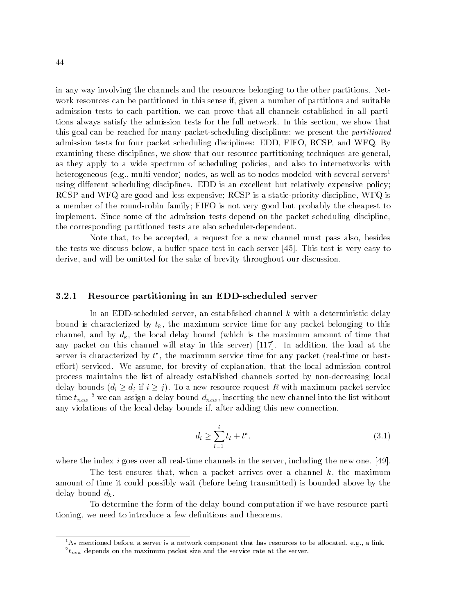in any way involving the channels and the resources belonging to the other partitions. Network resources can be partitioned in this sense if, given a number of partitions and suitable admission tests to each partition, we can prove that all channels established in all partitions always satisfy the admission tests for the full network. In this section, we show that this goal can be reached for many packet-scheduling disciplines; we present the *partitioned* admission tests for four packet scheduling disciplines: EDD, FIFO, RCSP, and WFQ. By examining these disciplines, we show that our resource partitioning techniques are general, as they apply to a wide spectrum of scheduling policies, and also to internetworks with heterogeneous (e.g., multi-vendor) nodes, as well as to nodes modeled with several servers<sup>1</sup> using different scheduling disciplines. EDD is an excellent but relatively expensive policy; RCSP and WFQ are good and less expensive; RCSP is a static-priority discipline, WFQ is a member of the round-robin family; FIFO is not very good but probably the cheapest to implement. Since some of the admission tests depend on the packet scheduling discipline, the corresponding partitioned tests are also scheduler-dependent.

Note that, to be accepted, a request for a new channel must pass also, besides the tests we discuss below, a buffer space test in each server [45]. This test is very easy to derive, and will be omitted for the sake of brevity throughout our discussion.

#### 3.2.1 Resource partitioning in an EDD-scheduled server

In an EDD-scheduled server, an established channel k with a deterministic delay bound is characterized by  $t_k$ , the maximum service time for any packet belonging to this channel, and by  $d_k$ , the local delay bound (which is the maximum amount of time that any packet on this channel will stay in this server) [117]. In addition, the load at the server is characterized by  $\iota$  , the maximum service time for any packet (real-time or besteffort) serviced. We assume, for brevity of explanation, that the local admission control process maintains the list of already established channels sorted by non-decreasing local delay bounds (di dj if <sup>i</sup> j). To a new resource request <sup>R</sup> with maximum packet service time  $\iota_{new}$  - we can assign a delay bound  $a_{new},$  inserting the new channel into the list without any violations of the local delay bounds if, after adding this new connection,

$$
d_i \ge \sum_{l=1}^i t_l + t^*,\tag{3.1}
$$

where the index  $i$  goes over all real-time channels in the server, including the new one. [49].

The test ensures that, when a packet arrives over a channel  $k$ , the maximum amount of time it could possibly wait (before being transmitted) is bounded above by the delay bound  $d_k$ .

To determine the form of the delay bound computation if we have resource partitioning, we need to introduce a few definitions and theorems.

<sup>&</sup>lt;sup>1</sup>As mentioned before, a server is a network component that has resources to be allocated, e.g., a link.

 $\tau_{\mathit{new}}$  depends on the maximum packet size and the service rate at the server.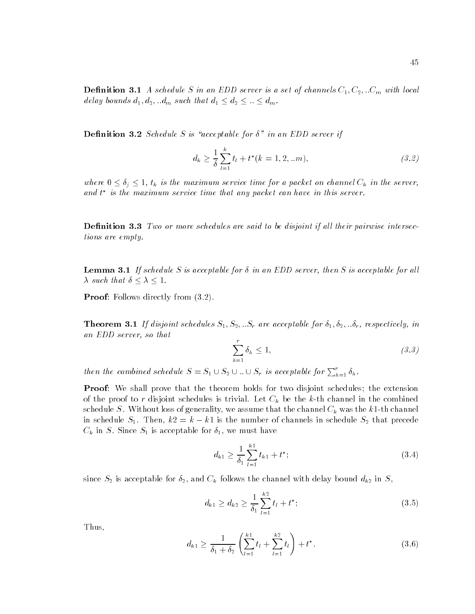**Definition 3.1** A schedule S in an EDD server is a set of channels  $C_1, C_2, ...C_m$  with local delay bounds  $d_1, d_2, ... d_m$  such that  $d_1 \leq d_2 \leq ... \leq d_m$ .

**Definition 3.2** Schedule S is "acceptable for  $\delta$ " in an EDD server if

$$
d_k \ge \frac{1}{\delta} \sum_{l=1}^k t_l + t^*(k = 1, 2, \ldots m), \qquad (3.2)
$$

where  $\mathbf{v} \equiv \mathbf{v}_1$  is the maximum services time for a packet on channel Ck  $\mathbf{v}_h$  in the server, and t is the maximum service time that any packet can have in this server.

**Definition 3.3** Two or more schedules are said to be disjoint if all their pairwise intersections are empty.

**Lemma 3.1** If schedule S is acceptable for  $\delta$  in an EDD server, then S is acceptable for all such that is the control of the control of the control of the control of the control of the control of the con

**Proof:** Follows directly from  $(3.2)$ .

**Theorem 3.1** If disjoint schedules  $S_1, S_2, ...S_r$  are acceptable for  $\delta_1, \delta_2, ... \delta_r$ , respectively, in an EDD server, so that

$$
\sum_{h=1}^{r} \delta_h \le 1,\tag{3.3}
$$

then the combined schedule  $S = S_1 \cup S_2 \cup ... \cup S_r$  is acceptable for  $\sum_{h=1}^r \delta_h$ .

**Proof:** We shall prove that the theorem holds for two disjoint schedules; the extension of the proof to reduces is trivial. Let  $\mathbb{R}^n$  be the k-th channel in the combined in the combined in the combined in the combined in the combined in the combined in the combined in the combined in the combined in the schedule S. Without loss of generally, we assume that the channel Ck was the channel Ch in schedule  $S_1$ . Then,  $k2 = k - k1$  is the number of channels in schedule  $S_2$  that precede  $\mathcal{L} = \mathbf{0}$  is a since S1 is acceptable for  $\mathbf{1}$  is acceptable for  $\mathbf{1}$ 

$$
d_{k1} \ge \frac{1}{\delta_1} \sum_{l=1}^{k1} t_{k1} + t^*; \tag{3.4}
$$

since  $S_2$  is acceptable for  $\delta_2$ , and  $C_k$  follows the channel with delay bound  $d_{k2}$  in  $S$ ,

$$
d_{k1} \ge d_{k2} \ge \frac{1}{\delta_1} \sum_{l=1}^{k2} t_l + t^*;
$$
\n(3.5)

Thus,

$$
d_{k1} \ge \frac{1}{\delta_1 + \delta_2} \left( \sum_{l=1}^{k1} t_l + \sum_{l=1}^{k2} t_l \right) + t^*.
$$
 (3.6)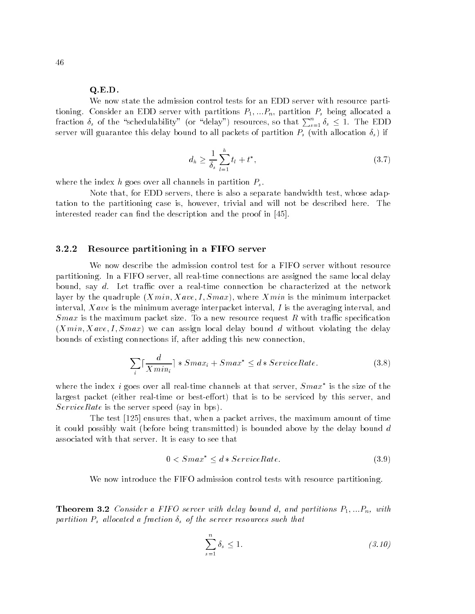#### Q.E.D.

We now state the admission control tests for an EDD server with resource partitioning. Consider an EDD server with partitions  $P_1, \ldots, P_n$ , partition  $P_s$  being allocated a fraction  $\delta_s$  of the "schedulability" (or "delay") resources, so that  $\sum_{s=1}^n \delta_s \le 1$ . The EDD server will guarantee this delay bound to all packets of partition Ps (with allocation s) if

$$
d_h \ge \frac{1}{\delta_s} \sum_{l=1}^h t_l + t^*,\tag{3.7}
$$

where the index h goes over all channels in partition  $P_s$ .

Note that, for EDD servers, there is also a separate bandwidth test, whose adaptation to the partitioning case is, however, trivial and will not be described here. The interested reader can find the description and the proof in [45].

#### 3.2.2 Resource partitioning in a FIFO server

We now describe the admission control test for a FIFO server without resource partitioning. In a FIFO server, all real-time connections are assigned the same local delay bound, say  $d$ . Let traffic over a real-time connection be characterized at the network layer by the quadruple  $(Xmin, Xave, I, Smax)$ , where  $Xmin$  is the minimum interpacket interval, X ave is the minimum average interpacket interval, I is the averaging interval, and  $Smax$  is the maximum packet size. To a new resource request R with traffic specification  $(Xmin, Xave, I, Smax)$  we can assign local delay bound d without violating the delay bounds of existing connections if, after adding this new connection,

$$
\sum_{i} \lceil \frac{d}{X \min_{i}} \rceil * S \max_{i} + S \max^{*} \leq d * ServiceRate. \tag{3.8}
$$

where the index  $\imath$  goes over all real-time channels at that server,  $Smax$  is the size of the largest packet (either real-time or best-effort) that is to be serviced by this server, and ServiceRate is the server speed (say in bps).

The test [125] ensures that, when a packet arrives, the maximum amount of time it could possibly wait (before being transmitted) is bounded above by the delay bound d associated with that server. It is easy to see that

$$
0 < Smax^* \le d * ServiceRate. \tag{3.9}
$$

We now introduce the FIFO admission control tests with resource partitioning.

**Theorem 3.2** Consider a FIFO server with delay bound d, and partitions  $P_1, \ldots, P_n$ , with partition Ps al located a fraction s of the server resources such that

$$
\sum_{s=1}^{n} \delta_s \le 1. \tag{3.10}
$$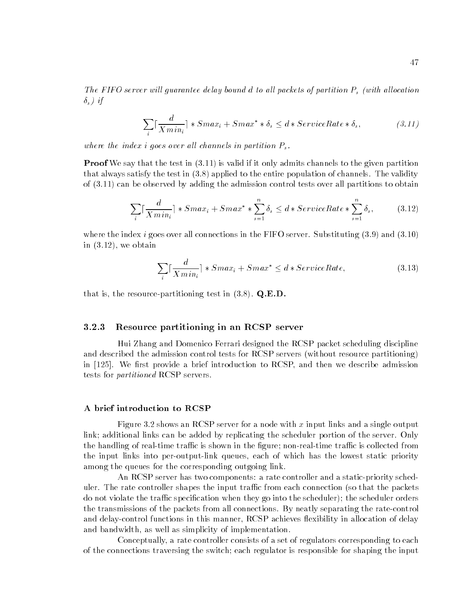The FIFO server will guarantee delay bound d to all packets of partition Ps (with all called the complete  $\delta_s$ ) if

$$
\sum_{i} \lceil \frac{d}{X \min_{i}} \rceil * S \max_{i} + S \max^{*} * \delta_{s} \leq d * S \text{} \left( \delta_{s}, \right) \tag{3.11}
$$

where the index i goes over all channels in partition  $P_{s}$ .

**Proof** We say that the test in (3.11) is valid if it only admits channels to the given partition that always satisfy the test in (3.8) applied to the entire population of channels. The validity of (3.11) can be observed by adding the admission control tests over all partitions to obtain

$$
\sum_{i} \lceil \frac{d}{X \min_{i}} \rceil * S \max_{i} + S \max^{*} * \sum_{s=1}^{n} \delta_{s} \leq d * S \text{eviceRate} * \sum_{s=1}^{n} \delta_{s}, \tag{3.12}
$$

where the index i goes over all connections in the FIFO server. Substituting  $(3.9)$  and  $(3.10)$ in (3.12), we obtain

$$
\sum_{i} \lceil \frac{d}{X \min_{i}} \rceil * S \max_{i} + S \max^{*} \leq d * S \text{} \left( \text{ExerciseRate}, \right) \tag{3.13}
$$

that is, the resource-partitioning test in  $(3.8)$ . Q.E.D.

#### 3.2.3 Resource partitioning in an RCSP server

Hui Zhang and Domenico Ferrari designed the RCSP packet scheduling discipline and described the admission control tests for RCSP servers (without resource partitioning) in  $[125]$ . We first provide a brief introduction to RCSP, and then we describe admission tests for partitioned RCSP servers.

#### A brief introduction to RCSP

Figure 3.2 shows an RCSP server for a node with x input links and a single output link; additional links can be added by replicating the scheduler portion of the server. Only the handling of real-time traffic is shown in the figure; non-real-time traffic is collected from the input links into per-output-link queues, each of which has the lowest static priority among the queues for the corresponding outgoing link.

An RCSP server has two components: a rate controller and a static-priority scheduler. The rate controller shapes the input traffic from each connection (so that the packets do not violate the traffic specification when they go into the scheduler); the scheduler orders the transmissions of the packets from all connections. By neatly separating the rate-control and delay-control functions in this manner, RCSP achieves flexibility in allocation of delay and bandwidth, as well as simplicity of implementation.

Conceptually, a rate controller consists of a set of regulators corresponding to each of the connections traversing the switch; each regulator is responsible for shaping the input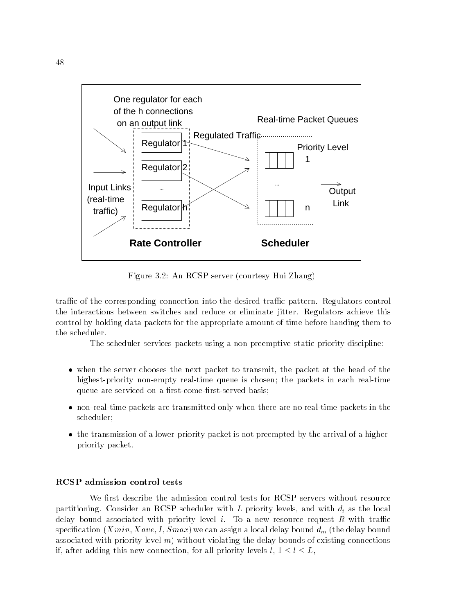

Figure 3.2: An RCSP server (courtesy Hui Zhang)

traffic of the corresponding connection into the desired traffic pattern. Regulators control the interactions between switches and reduce or eliminate jitter. Regulators achieve this control by holding data packets for the appropriate amount of time before handing them to the scheduler.

The scheduler services packets using a non-preemptive static-priority discipline:

- when the server chooses the next packet to transmit, the packet at the head of the highest-priority non-empty real-time queue is chosen; the packets in each real-time queue are serviced on a first-come-first-served basis;
- non-real-time packets are transmitted only when there are no real-time packets in the scheduler;
- the transmission of a lower-priority packet is not preempted by the arrival of a higherpriority packet.

#### RCSP admission control tests

We first describe the admission control tests for RCSP servers without resource partitioning. Consider an RCSP scheduler with L priority levels, and with di as the local delay bound associated with priority level  $i$ . To a new resource request  $R$  with traffic species that is a special delay of  $\mathcal{S}$  and delay bound delay bound delay bound delay bound delay bound delay bound delay bound delay bound delay bound delay bound delay bound delay bound delay bound delay bound delay associated with priority level  $m$ ) without violating the delay bounds of existing connections if, after adding this new connection, for all priority levels l, 1 <sup>l</sup> L,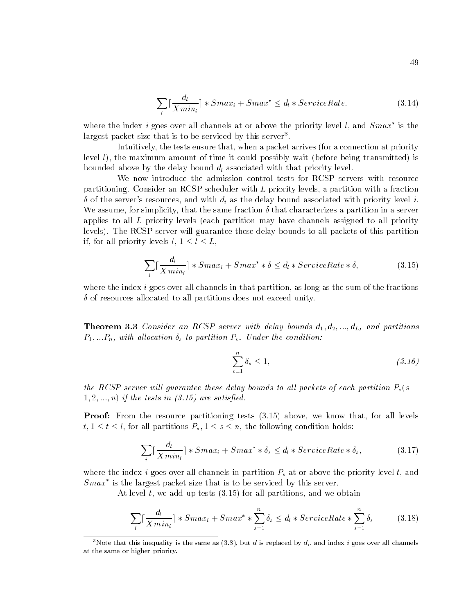$$
\sum_{i} \lceil \frac{d_i}{X \min_i} \rceil * S \max_i + S \max^* \le d_i * ServiceRate. \tag{3.14}
$$

where the index  $\imath$  goes over all channels at or above the priority level  $l$ , and  $Smax$  is the largest packet size that is to be serviced by this server.

Intuitively, the tests ensure that, when a packet arrives (for a connection at priority level l), the maximum amount of time it could possibly wait (before being transmitted) is bounded above by the delay bound dl associated with that priority level.

We now introduce the admission control tests for RCSP servers with resource partitioning. Consider an RCSP scheduler with L priority levels, a partition with a fraction  $\delta$  of the server's resources, and with  $d_i$  as the delay bound associated with priority level i. We assume, for simplicity, that the same fraction  $\delta$  that characterizes a partition in a server applies to all L priority levels (each partition may have channels assigned to all priority levels). The RCSP server will guarantee these delay bounds to all packets of this partition if, for all priority levels levels later later later  $\mathbf{i}$ 

$$
\sum_{i} \lceil \frac{d_l}{X \min_i} \rceil * S \max_i + S \max^* * \delta \le d_l * ServiceRate * \delta,
$$
\n(3.15)

where the index  $i$  goes over all channels in that partition, as long as the sum of the fractions  $\delta$  of resources allocated to all partitions does not exceed unity.

**Theorem 3.3** Consider an RCSP server with delay bounds  $d_1, d_2, ..., d_L$ , and partitions  $P_1, \ldots P_n$ , with allocation  $\delta_s$  to partition  $P_s$ . Under the condition:

$$
\sum_{s=1}^{n} \delta_s \le 1,\tag{3.16}
$$

the RCSP server will guarantee these delay bounds to all packets of each partition  $P_s(s =$  $1, 2, \ldots, n$  if the tests in  $(3.15)$  are satisfied.

**Proof:** From the resource partitioning tests  $(3.15)$  above, we know that, for all levels  $\mathbf{1}$  , and the following partitions  $\mathbf{1}$  , the following conditions  $\mathbf{1}$  , the following  $\mathbf{1}$ 

$$
\sum_{i} \lceil \frac{d_l}{Xmin_i} \rceil * Smax_i + Smax^* * \delta_s \le d_l * ServiceRate * \delta_s,
$$
\n(3.17)

where it is a goes over all channels in partition  $\rho$  at or above the priority level the priority level t, and an  $Smax$  is the largest packet size that is to be serviced by this server.

At level  $t$ , we add up tests  $(3.15)$  for all partitions, and we obtain

$$
\sum_{i} \lceil \frac{d_i}{X \min_i} \rceil * S \max_i + S \max^* * \sum_{s=1}^n \delta_s \le d_i * ServiceRate * \sum_{s=1}^n \delta_s \tag{3.18}
$$

<sup>&</sup>lt;sup>3</sup>Note that this inequality is the same as (3.8), but d is replaced by  $d_l$ , and index i goes over all channels at the same or higher priority.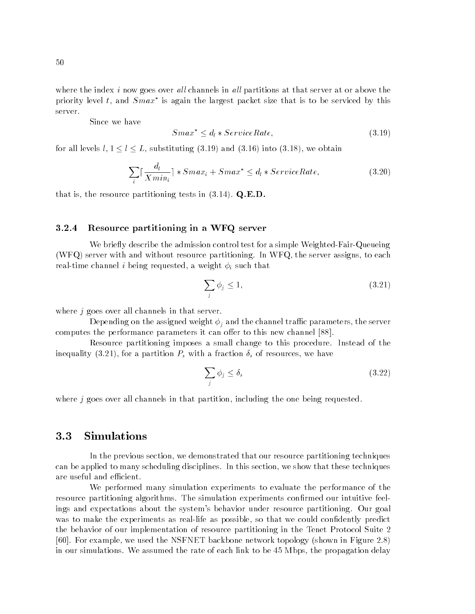where the index i now goes over all channels in all partitions at that server at or above the priority level t, and  $Smax$  is again the largest packet size that is to be serviced by this server.

Since we have

$$
Smax^* \le d_l * ServiceRate,\tag{3.19}
$$

for all levels levels lines in the contract of the contract of  $\mathbf{1}$  and  $\mathbf{3}$ , we obtain the contract of the contract of the contract of the contract of the contract of the contract of the contract of the contract

$$
\sum_{i} \lceil \frac{d_i}{X \min_i} \rceil * S \max_i + S \max^* \le d_i * ServiceRate,
$$
\n(3.20)

that is, the resource partitioning tests in  $(3.14)$ . Q.E.D.

#### 3.2.4 Resource partitioning in a WFQ server

We briefly describe the admission control test for a simple Weighted-Fair-Queueing (WFQ) server with and without resource partitioning. In WFQ, the server assigns, to each real-time channel i being requested, a weight i such that

$$
\sum_{j} \phi_j \le 1,\tag{3.21}
$$

where  $j$  goes over all channels in that server.

Depending on the assigned weight j and the channel trac parameters, the server computes the performance parameters it can offer to this new channel [88].

Resource partitioning imposes a small change to this procedure. Instead of the inequality (3.21), for a partition Ps with a fraction s of resources, we have

$$
\sum_{j} \phi_j \le \delta_s \tag{3.22}
$$

where  $j$  goes over all channels in that partition, including the one being requested.

#### **Simulations** 3.3

In the previous section, we demonstrated that our resource partitioning techniques can be applied to many scheduling disciplines. In this section, we show that these techniques are useful and efficient.

We performed many simulation experiments to evaluate the performance of the resource partitioning algorithms. The simulation experiments confirmed our intuitive feelings and expectations about the system's behavior under resource partitioning. Our goal was to make the experiments as real-life as possible, so that we could confidently predict the behavior of our implementation of resource partitioning in the Tenet Protocol Suite 2 [60]. For example, we used the NSFNET backbone network topology (shown in Figure 2.8) in our simulations. We assumed the rate of each link to be 45 Mbps, the propagation delay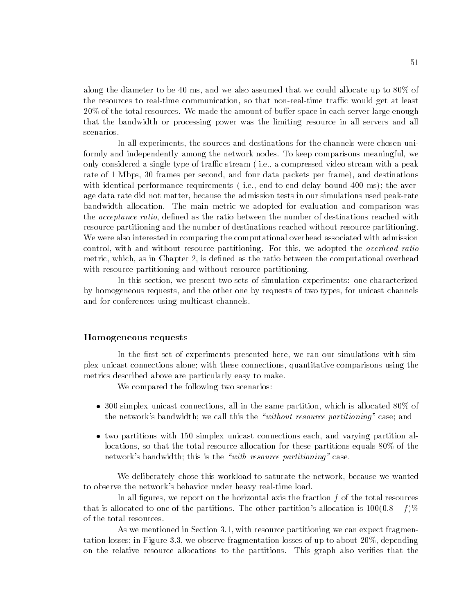along the diameter to be 40 ms, and we also assumed that we could allocate up to  $80\%$  of the resources to real-time communication, so that non-real-time traffic would get at least  $20\%$  of the total resources. We made the amount of buffer space in each server large enough that the bandwidth or processing power was the limiting resource in all servers and all scenarios.

In all experiments, the sources and destinations for the channels were chosen uniformly and independently among the network nodes. To keep comparisons meaningful, we only considered a single type of traffic stream (i.e., a compressed video stream with a peak rate of 1 Mbps, 30 frames per second, and four data packets per frame), and destinations with identical performance requirements (i.e., end-to-end delay bound 400 ms); the average data rate did not matter, because the admission tests in our simulations used peak-rate bandwidth allocation. The main metric we adopted for evaluation and comparison was the *acceptance ratio*, defined as the ratio between the number of destinations reached with resource partitioning and the number of destinations reached without resource partitioning. We were also interested in comparing the computational overhead associated with admission control, with and without resource partitioning. For this, we adopted the *overhead ratio* metric, which, as in Chapter 2, is defined as the ratio between the computational overhead with resource partitioning and without resource partitioning.

In this section, we present two sets of simulation experiments: one characterized by homogeneous requests, and the other one by requests of two types, for unicast channels and for conferences using multicast channels.

#### Homogeneous requests

In the first set of experiments presented here, we ran our simulations with simplex unicast connections alone; with these connections, quantitative comparisons using the metrics described above are particularly easy to make.

We compared the following two scenarios:

- $\bullet$  300 simplex unicast connections, all in the same partition, which is allocated 80% of the network's bandwidth; we call this the "without resource partitioning" case; and
- two partitions with 150 simplex unicast connections each, and varying partition allocations, so that the total resource allocation for these partitions equals 80% of the network's bandwidth; this is the "with resource partitioning" case.

We deliberately chose this workload to saturate the network, because we wanted to observe the network's behavior under heavy real-time load.

In all figures, we report on the horizontal axis the fraction  $f$  of the total resources that is allocated to one of the partitions. The other partition's allocation is  $100(0.8 - f)\%$ of the total resources.

As we mentioned in Section 3.1, with resource partitioning we can expect fragmentation losses; in Figure 3.3, we observe fragmentation losses of up to about 20%, depending on the relative resource allocations to the partitions. This graph also veries that the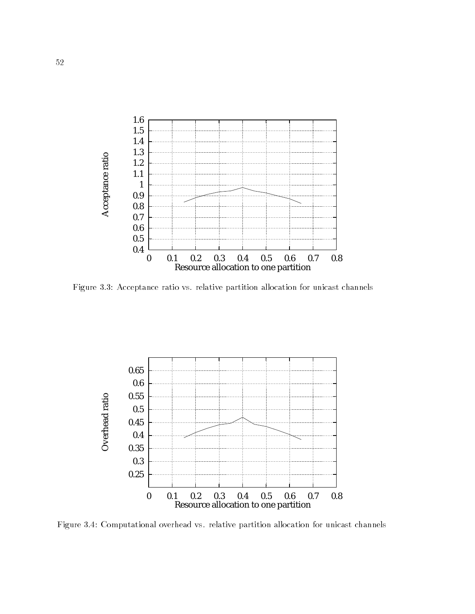

Figure 3.3: Acceptance ratio vs. relative partition allocation for unicast channels



Figure 3.4: Computational overhead vs. relative partition allocation for unicast channels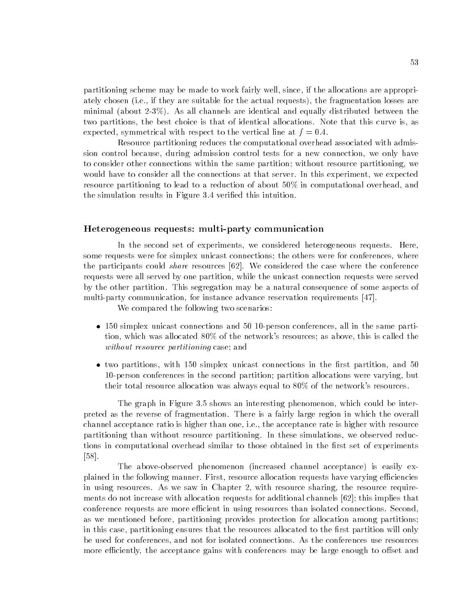partitioning scheme may be made to work fairly well, since, if the allocations are appropriately chosen (i.e., if they are suitable for the actual requests), the fragmentation losses are minimal (about 2-3%). As all channels are identical and equally distributed between the two partitions, the best choice is that of identical allocations. Note that this curve is, as expected, symmetrical with respect to the vertical line at  $f = 0.4$ .

Resource partitioning reduces the computational overhead associated with admission control because, during admission control tests for a new connection, we only have to consider other connections within the same partition; without resource partitioning, we would have to consider all the connections at that server. In this experiment, we expected resource partitioning to lead to a reduction of about 50% in computational overhead, and the simulation results in Figure 3.4 veried this intuition.

#### Heterogeneous requests: multi-party communication

In the second set of experiments, we considered heterogeneous requests. Here, some requests were for simplex unicast connections; the others were for conferences, where the participants could *share* resources  $[62]$ . We considered the case where the conference requests were all served by one partition, while the unicast connection requests were served by the other partition. This segregation may be a natural consequence of some aspects of multi-party communication, for instance advance reservation requirements [47].

We compared the following two scenarios:

- 150 simplex unicast connections and 50 10-person conferences, all in the same partition, which was allocated 80% of the network's resources; as above, this is called the without resource partitioning case; and
- $\bullet$  two partitions, with 150 simplex unicast connections in the first partition, and 50 10-person conferences in the second partition; partition allocations were varying, but their total resource allocation was always equal to 80% of the network's resources.

The graph in Figure 3.5 shows an interesting phenomenon, which could be interpreted as the reverse of fragmentation. There is a fairly large region in which the overall channel acceptance ratio is higher than one, i.e., the acceptance rate is higher with resource partitioning than without resource partitioning. In these simulations, we observed reductions in computational overhead similar to those obtained in the first set of experiments [58].

The above-observed phenomenon (increased channel acceptance) is easily explained in the following manner. First, resource allocation requests have varying efficiencies in using resources. As we saw in Chapter 2, with resource sharing, the resource requirements do not increase with allocation requests for additional channels [62]; this implies that conference requests are more efficient in using resources than isolated connections. Second, as we mentioned before, partitioning provides protection for allocation among partitions; in this case, partitioning ensures that the resources allocated to the first partition will only be used for conferences, and not for isolated connections. As the conferences use resources more efficiently, the acceptance gains with conferences may be large enough to offset and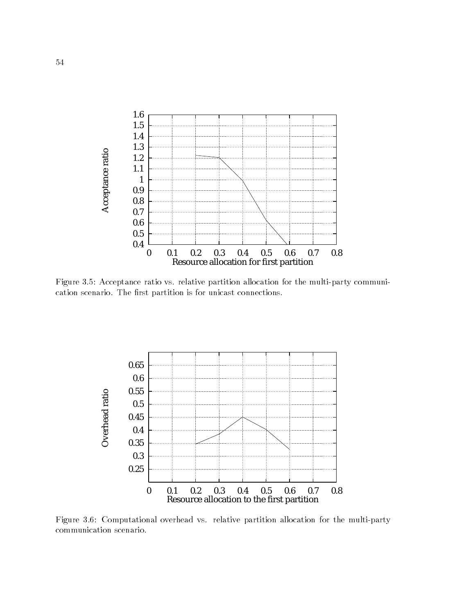

Figure 3.5: Acceptance ratio vs. relative partition allocation for the multi-party communication scenario. The first partition is for unicast connections.



Figure 3.6: Computational overhead vs. relative partition allocation for the multi-party communication scenario.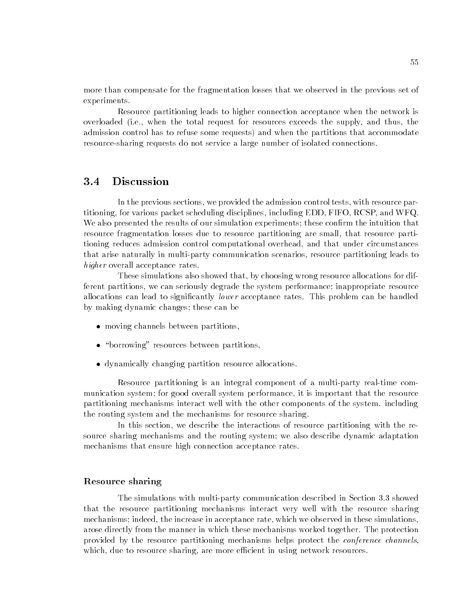more than compensate for the fragmentation losses that we observed in the previous set of experiments.

Resource partitioning leads to higher connection acceptance when the network is overloaded (i.e., when the total request for resources exceeds the supply, and thus, the admission control has to refuse some requests) and when the partitions that accommodate resource-sharing requests do not service a large number of isolated connections.

#### **Discussion**  $3.4$

In the previous sections, we provided the admission control tests, with resource partitioning, for various packet scheduling disciplines, including EDD, FIFO, RCSP, and WFQ. We also presented the results of our simulation experiments; these confirm the intuition that resource fragmentation losses due to resource partitioning are small, that resource partitioning reduces admission control computational overhead, and that under circumstances that arise naturally in multi-party communication scenarios, resource partitioning leads to higher overall acceptance rates.

These simulations also showed that, by choosing wrong resource allocations for different partitions, we can seriously degrade the system performance; inappropriate resource allocations can lead to significantly *lower* acceptance rates. This problem can be handled by making dynamic changes; these can be

- moving channels between partitions,
- \borrowing" resources between partitions,
- dynamically changing partition resource allocations.

Resource partitioning is an integral component of a multi-party real-time communication system; for good overall system performance, it is important that the resource partitioning mechanisms interact well with the other components of the system. including the routing system and the mechanisms for resource sharing.

In this section, we describe the interactions of resource partitioning with the resource sharing mechanisms and the routing system; we also describe dynamic adaptation mechanisms that ensure high connection acceptance rates.

#### Resource sharing

The simulations with multi-party communication described in Section 3.3 showed that the resource partitioning mechanisms interact very well with the resource sharing mechanisms; indeed, the increase in acceptance rate, which we observed in these simulations, arose directly from the manner in which these mechanisms worked together. The protection provided by the resource partitioning mechanisms helps protect the *conference channels*. which, due to resource sharing, are more efficient in using network resources.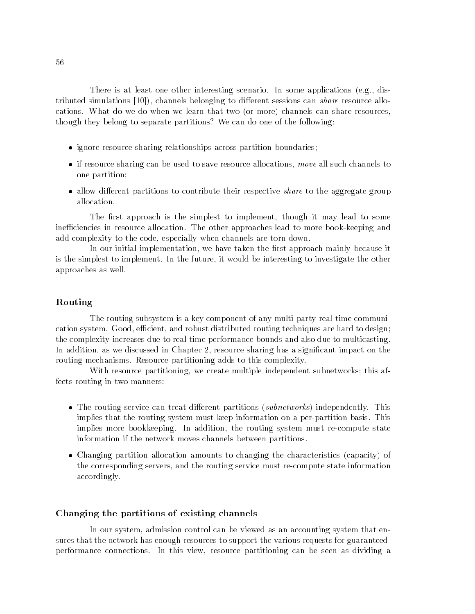There is at least one other interesting scenario. In some applications (e.g., distributed simulations  $[10]$ , channels belonging to different sessions can *share* resource allocations. What do we do when we learn that two (or more) channels can share resources, though they belong to separate partitions? We can do one of the following:

- ignore resource sharing relationships across partition boundaries;
- $\bullet$  if resource sharing can be used to save resource allocations, move all such channels to one partition;
- allow different partitions to contribute their respective *share* to the aggregate group allocation.

The first approach is the simplest to implement, though it may lead to some inefficiencies in resource allocation. The other approaches lead to more book-keeping and add complexity to the code, especially when channels are torn down.

In our initial implementation, we have taken the first approach mainly because it is the simplest to implement. In the future, it would be interesting to investigate the other approaches as well.

#### Routing

The routing subsystem is a key component of any multi-party real-time communication system. Good, efficient, and robust distributed routing techniques are hard to design; the complexity increases due to real-time performance bounds and also due to multicasting. In addition, as we discussed in Chapter 2, resource sharing has a significant impact on the routing mechanisms. Resource partitioning adds to this complexity.

With resource partitioning, we create multiple independent subnetworks; this affects routing in two manners:

- The routing service can treat different partitions (subnetworks) independently. This implies that the routing system must keep information on a per-partition basis. This implies more bookkeeping. In addition, the routing system must re-compute state information if the network moves channels between partitions.
- Changing partition allocation amounts to changing the characteristics (capacity) of the corresponding servers, and the routing service must re-compute state information accordingly.

#### Changing the partitions of existing channels

In our system, admission control can be viewed as an accounting system that ensures that the network has enough resources to support the various requests for guaranteedperformance connections. In this view, resource partitioning can be seen as dividing a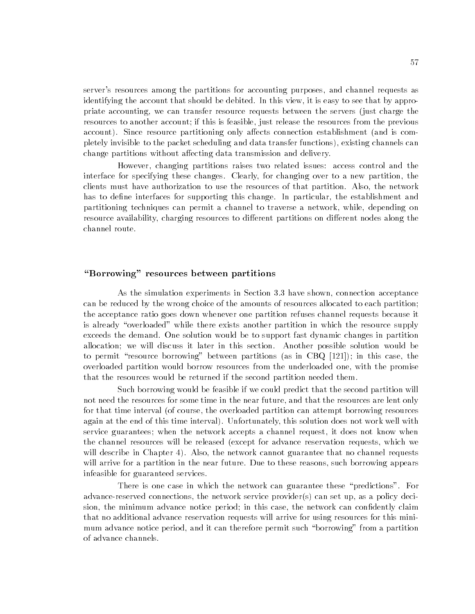server's resources among the partitions for accounting purposes, and channel requests as identifying the account that should be debited. In this view, it is easy to see that by appropriate accounting, we can transfer resource requests between the servers (just charge the resources to another account; if this is feasible, just release the resources from the previous account). Since resource partitioning only affects connection establishment (and is completely invisible to the packet scheduling and data transfer functions), existing channels can change partitions without affecting data transmission and delivery.

However, changing partitions raises two related issues: access control and the interface for specifying these changes. Clearly, for changing over to a new partition, the clients must have authorization to use the resources of that partition. Also, the network has to define interfaces for supporting this change. In particular, the establishment and partitioning techniques can permit a channel to traverse a network, while, depending on resource availability, charging resources to different partitions on different nodes along the channel route.

## "Borrowing" resources between partitions

As the simulation experiments in Section 3.3 have shown, connection acceptance can be reduced by the wrong choice of the amounts of resources allocated to each partition; the acceptance ratio goes down whenever one partition refuses channel requests because it is already "overloaded" while there exists another partition in which the resource supply exceeds the demand. One solution would be to support fast dynamic changes in partition allocation; we will discuss it later in this section. Another possible solution would be to permit "resource borrowing" between partitions (as in CBQ  $[121]$ ); in this case, the overloaded partition would borrow resources from the underloaded one, with the promise that the resources would be returned if the second partition needed them.

Such borrowing would be feasible if we could predict that the second partition will not need the resources for some time in the near future, and that the resources are lent only for that time interval (of course, the overloaded partition can attempt borrowing resources again at the end of this time interval). Unfortunately, this solution does not work well with service guarantees; when the network accepts a channel request, it does not know when the channel resources will be released (except for advance reservation requests, which we will describe in Chapter 4). Also, the network cannot guarantee that no channel requests will arrive for a partition in the near future. Due to these reasons, such borrowing appears infeasible for guaranteed services.

There is one case in which the network can guarantee these "predictions". For advance-reserved connections, the network service provider(s) can set up, as a policy decision, the minimum advance notice period; in this case, the network can confidently claim that no additional advance reservation requests will arrive for using resources for this minimum advance notice period, and it can therefore permit such "borrowing" from a partition of advance channels.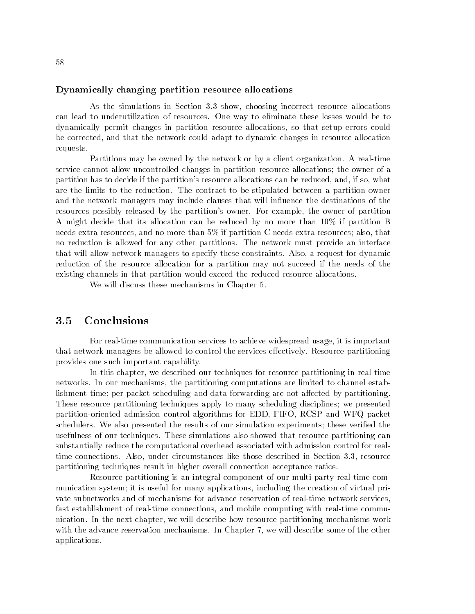#### Dynamically changing partition resource allocations

As the simulations in Section 3.3 show, choosing incorrect resource allocations can lead to underutilization of resources. One way to eliminate these losses would be to dynamically permit changes in partition resource allocations, so that setup errors could be corrected, and that the network could adapt to dynamic changes in resource allocation requests.

Partitions may be owned by the network or by a client organization. A real-time service cannot allow uncontrolled changes in partition resource allocations; the owner of a partition has to decide if the partition's resource allocations can be reduced, and, if so, what are the limits to the reduction. The contract to be stipulated between a partition owner and the network managers may include clauses that will influence the destinations of the resources possibly released by the partition's owner. For example, the owner of partition A might decide that its allocation can be reduced by no more than 10% if partition B needs extra resources, and no more than 5% if partition C needs extra resources; also, that no reduction is allowed for any other partitions. The network must provide an interface that will allow network managers to specify these constraints. Also, a request for dynamic reduction of the resource allocation for a partition may not succeed if the needs of the existing channels in that partition would exceed the reduced resource allocations.

We will discuss these mechanisms in Chapter 5.

#### **Conclusions**  $3.5$

For real-time communication services to achieve widespread usage, it is important that network managers be allowed to control the services effectively. Resource partitioning provides one such important capability.

In this chapter, we described our techniques for resource partitioning in real-time networks. In our mechanisms, the partitioning computations are limited to channel establishment time; per-packet scheduling and data forwarding are not affected by partitioning. These resource partitioning techniques apply to many scheduling disciplines; we presented partition-oriented admission control algorithms for EDD, FIFO, RCSP and WFQ packet schedulers. We also presented the results of our simulation experiments; these veried the usefulness of our techniques. These simulations also showed that resource partitioning can substantially reduce the computational overhead associated with admission control for realtime connections. Also, under circumstances like those described in Section 3.3, resource partitioning techniques result in higher overall connection acceptance ratios.

Resource partitioning is an integral component of our multi-party real-time communication system; it is useful for many applications, including the creation of virtual private subnetworks and of mechanisms for advance reservation of real-time network services, fast establishment of real-time connections, and mobile computing with real-time communication. In the next chapter, we will describe how resource partitioning mechanisms work with the advance reservation mechanisms. In Chapter 7, we will describe some of the other applications.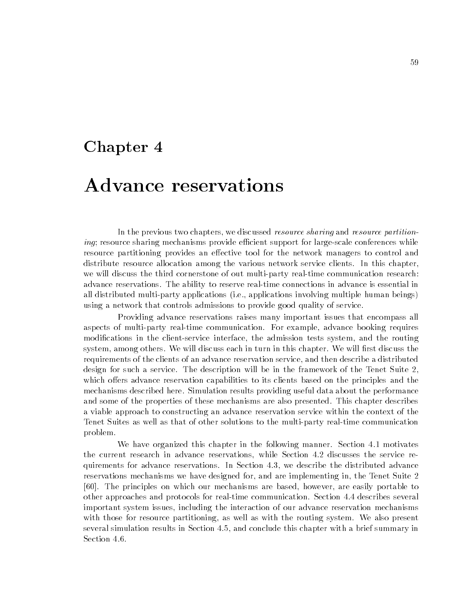## Chapter 4

# Advance reservations

In the previous two chapters, we discussed *resource sharing* and *resource partition*ing; resource sharing mechanisms provide efficient support for large-scale conferences while resource partitioning provides an effective tool for the network managers to control and distribute resource allocation among the various network service clients. In this chapter, we will discuss the third cornerstone of out multi-party real-time communication research: advance reservations. The ability to reserve real-time connections in advance is essential in all distributed multi-party applications (i.e., applications involving multiple human beings) using a network that controls admissions to provide good quality of service.

Providing advance reservations raises many important issues that encompass all aspects of multi-party real-time communication. For example, advance booking requires modications in the client-service interface, the admission tests system, and the routing system, among others. We will discuss each in turn in this chapter. We will first discuss the requirements of the clients of an advance reservation service, and then describe a distributed design for such a service. The description will be in the framework of the Tenet Suite 2, which offers advance reservation capabilities to its clients based on the principles and the mechanisms described here. Simulation results providing useful data about the performance and some of the properties of these mechanisms are also presented. This chapter describes a viable approach to constructing an advance reservation service within the context of the Tenet Suites as well as that of other solutions to the multi-party real-time communication problem.

We have organized this chapter in the following manner. Section 4.1 motivates the current research in advance reservations, while Section 4.2 discusses the service requirements for advance reservations. In Section 4.3, we describe the distributed advance reservations mechanisms we have designed for, and are implementing in, the Tenet Suite 2 [60]. The principles on which our mechanisms are based, however, are easily portable to other approaches and protocols for real-time communication. Section 4.4 describes several important system issues, including the interaction of our advance reservation mechanisms with those for resource partitioning, as well as with the routing system. We also present several simulation results in Section 4.5, and conclude this chapter with a brief summary in Section 4.6.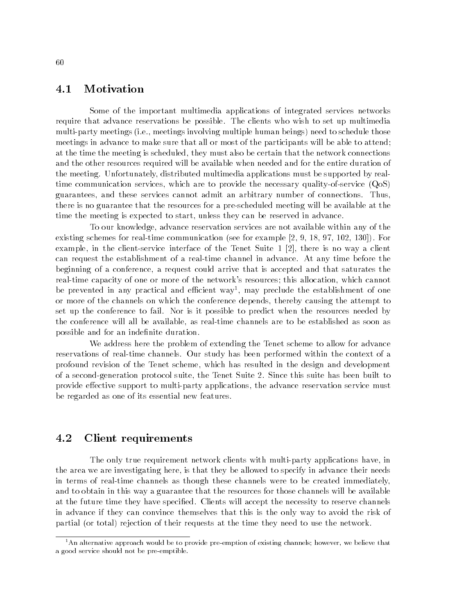### 4.1 Motivation

Some of the important multimedia applications of integrated services networks require that advance reservations be possible. The clients who wish to set up multimedia multi-party meetings (i.e., meetings involving multiple human beings) need to schedule those meetings in advance to make sure that all or most of the participants will be able to attend; at the time the meeting is scheduled, they must also be certain that the network connections and the other resources required will be available when needed and for the entire duration of the meeting. Unfortunately, distributed multimedia applications must be supported by realtime communication services, which are to provide the necessary quality-of-service (QoS) guarantees, and these services cannot admit an arbitrary number of connections. Thus, there is no guarantee that the resources for a pre-scheduled meeting will be available at the time the meeting is expected to start, unless they can be reserved in advance.

To our knowledge, advance reservation services are not available within any of the existing schemes for real-time communication (see for example [2, 9, 18, 97, 102, 130]). For example, in the client-service interface of the Tenet Suite 1 [2], there is no way a client can request the establishment of a real-time channel in advance. At any time before the beginning of a conference, a request could arrive that is accepted and that saturates the real-time capacity of one or more of the network's resources; this allocation, which cannot be prevented in any practical and ecient way1 , may preclude the establishment of one or more of the channels on which the conference depends, thereby causing the attempt to set up the conference to fail. Nor is it possible to predict when the resources needed by the conference will all be available, as real-time channels are to be established as soon as possible and for an indefinite duration.

We address here the problem of extending the Tenet scheme to allow for advance reservations of real-time channels. Our study has been performed within the context of a profound revision of the Tenet scheme, which has resulted in the design and development of a second-generation protocol suite, the Tenet Suite 2. Since this suite has been built to provide effective support to multi-party applications, the advance reservation service must be regarded as one of its essential new features.

## 4.2 Client requirements

The only true requirement network clients with multi-party applications have, in the area we are investigating here, is that they be allowed to specify in advance their needs in terms of real-time channels as though these channels were to be created immediately, and to obtain in this way a guarantee that the resources for those channels will be available at the future time they have specified. Clients will accept the necessity to reserve channels in advance if they can convince themselves that this is the only way to avoid the risk of partial (or total) rejection of their requests at the time they need to use the network.

 $<sup>1</sup>$ An alternative approach would be to provide pre-emption of existing channels; however, we believe that</sup> a good service should not be pre-emptible.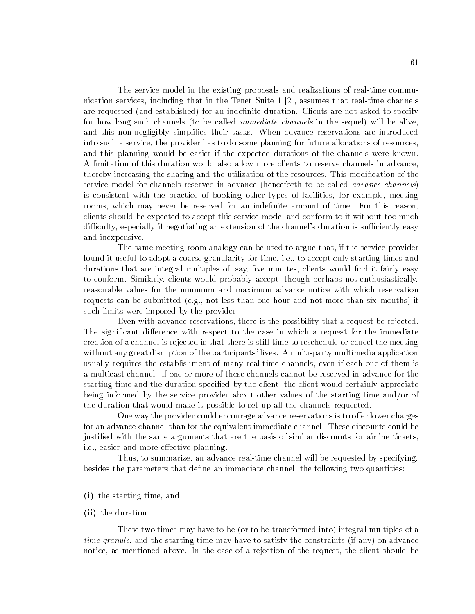The service model in the existing proposals and realizations of real-time communication services, including that in the Tenet Suite 1 [2], assumes that real-time channels are requested (and established) for an indefinite duration. Clients are not asked to specify for how long such channels (to be called *immediate channels* in the sequel) will be alive, and this non-negligibly simplies their tasks. When advance reservations are introduced into such a service, the provider has to do some planning for future allocations of resources, and this planning would be easier if the expected durations of the channels were known. A limitation of this duration would also allow more clients to reserve channels in advance, thereby increasing the sharing and the utilization of the resources. This modification of the service model for channels reserved in advance (henceforth to be called advance channels) is consistent with the practice of booking other types of facilities, for example, meeting rooms, which may never be reserved for an indefinite amount of time. For this reason, clients should be expected to accept this service model and conform to it without too much difficulty, especially if negotiating an extension of the channel's duration is sufficiently easy and inexpensive.

The same meeting-room analogy can be used to argue that, if the service provider found it useful to adopt a coarse granularity for time, i.e., to accept only starting times and durations that are integral multiples of, say, five minutes, clients would find it fairly easy to conform. Similarly, clients would probably accept, though perhaps not enthusiastically, reasonable values for the minimum and maximum advance notice with which reservation requests can be submitted (e.g., not less than one hour and not more than six months) if such limits were imposed by the provider.

Even with advance reservations, there is the possibility that a request be rejected. The significant difference with respect to the case in which a request for the immediate creation of a channel is rejected is that there is still time to reschedule or cancel the meeting without any great disruption of the participants' lives. A multi-party multimedia application usually requires the establishment of many real-time channels, even if each one of them is a multicast channel. If one or more of those channels cannot be reserved in advance for the starting time and the duration specified by the client, the client would certainly appreciate being informed by the service provider about other values of the starting time and/or of the duration that would make it possible to set up all the channels requested.

One way the provider could encourage advance reservations is to offer lower charges for an advance channel than for the equivalent immediate channel. These discounts could be justied with the same arguments that are the basis of similar discounts for airline tickets, i.e., easier and more effective planning.

Thus, to summarize, an advance real-time channel will be requested by specifying, besides the parameters that define an immediate channel, the following two quantities:

- (i) the starting time, and
- (ii) the duration.

These two times may have to be (or to be transformed into) integral multiples of a time granule, and the starting time may have to satisfy the constraints (if any) on advance notice, as mentioned above. In the case of a rejection of the request, the client should be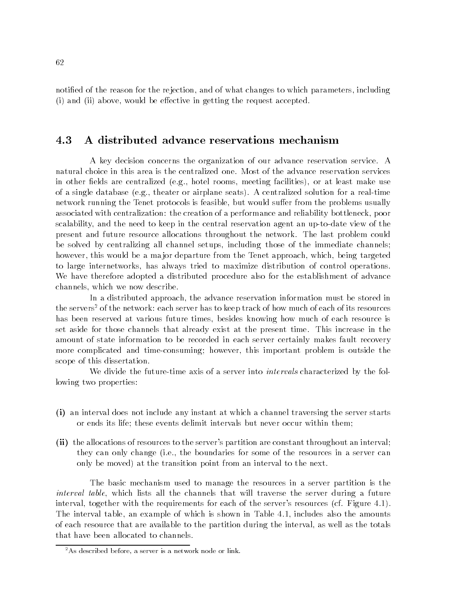notied of the reason for the rejection, and of what changes to which parameters, including  $(i)$  and  $(ii)$  above, would be effective in getting the request accepted.

## 4.3 A distributed advance reservations mechanism

A key decision concerns the organization of our advance reservation service. A natural choice in this area is the centralized one. Most of the advance reservation services in other fields are centralized (e.g., hotel rooms, meeting facilities), or at least make use of a single database (e.g., theater or airplane seats). A centralized solution for a real-time network running the Tenet protocols is feasible, but would suffer from the problems usually associated with centralization: the creation of a performance and reliability bottleneck, poor scalability, and the need to keep in the central reservation agent an up-to-date view of the present and future resource allocations throughout the network. The last problem could be solved by centralizing all channel setups, including those of the immediate channels; however, this would be a major departure from the Tenet approach, which, being targeted to large internetworks, has always tried to maximize distribution of control operations. We have therefore adopted a distributed procedure also for the establishment of advance channels, which we now describe.

In a distributed approach, the advance reservation information must be stored in the servers<sup>2</sup> of the network: each server has to keep track of how much of each of its resources has been reserved at various future times, besides knowing how much of each resource is set aside for those channels that already exist at the present time. This increase in the amount of state information to be recorded in each server certainly makes fault recovery more complicated and time-consuming; however, this important problem is outside the scope of this dissertation.

We divide the future-time axis of a server into *intervals* characterized by the following two properties:

- (i) an interval does not include any instant at which a channel traversing the server starts or ends its life; these events delimit intervals but never occur within them;
- (ii) the allocations of resources to the server's partition are constant throughout an interval; they can only change (i.e., the boundaries for some of the resources in a server can only be moved) at the transition point from an interval to the next.

The basic mechanism used to manage the resources in a server partition is the interval table, which lists all the channels that will traverse the server during a future interval, together with the requirements for each of the server's resources (cf. Figure 4.1). The interval table, an example of which is shown in Table 4.1, includes also the amounts of each resource that are available to the partition during the interval, as well as the totals that have been allocated to channels.

 $2As$  described before, a server is a network node or link.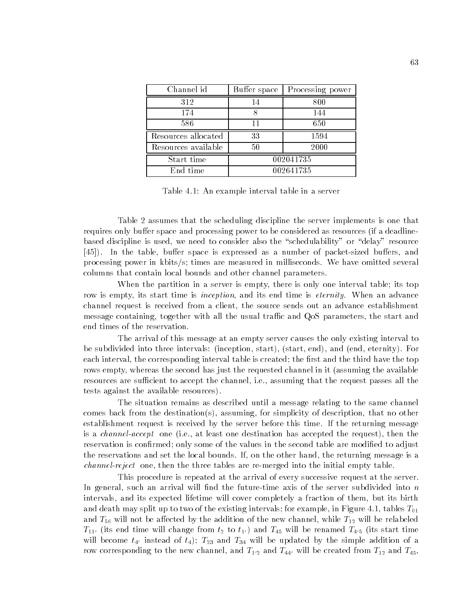| Channel id          | Buffer space | Processing power |  |
|---------------------|--------------|------------------|--|
| 312                 | 14           | 800              |  |
| 174                 |              | 144              |  |
| 586                 | 11           | 650              |  |
| Resources allocated | 33           | 1594             |  |
| Resources available | 50           | 2000             |  |
| Start time          | 002041735    |                  |  |
| End time            | 002641735    |                  |  |

Table 4.1: An example interval table in a server

Table 2 assumes that the scheduling discipline the server implements is one that requires only buffer space and processing power to be considered as resources (if a deadlinebased discipline is used, we need to consider also the "schedulability" or "delay" resource [45]). In the table, buffer space is expressed as a number of packet-sized buffers, and processing power in kbits/s; times are measured in milliseconds. We have omitted several columns that contain local bounds and other channel parameters.

When the partition in a server is empty, there is only one interval table; its top row is empty, its start time is *inception*, and its end time is *eternity*. When an advance channel request is received from a client, the source sends out an advance establishment message containing, together with all the usual traffic and QoS parameters, the start and end times of the reservation.

The arrival of this message at an empty server causes the only existing interval to be subdivided into three intervals: (inception, start), (start, end), and (end, eternity). For each interval, the corresponding interval table is created; the first and the third have the top rows empty, whereas the second has just the requested channel in it (assuming the available resources are sufficient to accept the channel, i.e., assuming that the request passes all the tests against the available resources).

The situation remains as described until a message relating to the same channel comes back from the destination(s), assuming, for simplicity of description, that no other establishment request is received by the server before this time. If the returning message is a channel-accept one (i.e., at least one destination has accepted the request), then the reservation is confirmed; only some of the values in the second table are modified to adjust the reservations and set the local bounds. If, on the other hand, the returning message is a channel-reject one, then the three tables are re-merged into the initial empty table.

This procedure is repeated at the arrival of every successive request at the server. In general, such an arrival will find the future-time axis of the server subdivided into  $n$ intervals, and its expected lifetime will cover completely a fraction of them, but its birth and death may split up to two of the existing intervals; for example, in Figure 4.1, tables  $T_{01}$ and  $T_{56}$  will not be affected by the addition of the new channel, while  $T_{12}$  will be relabeled  $T_{11'}$  (its end time will change from  $t_2$  to  $t_{1'}$ ) and  $T_{45}$  will be renamed  $T_{4'5}$  (its start time will become  $t_{4}$  instead of  $t_4$ );  $T_{23}$  and  $T_{34}$  will be updated by the simple addition of a row corresponding to the new channel, and  $T_{1'2}$  and  $T_{44'}$  will be created from  $T_{12}$  and  $T_{45}$ ,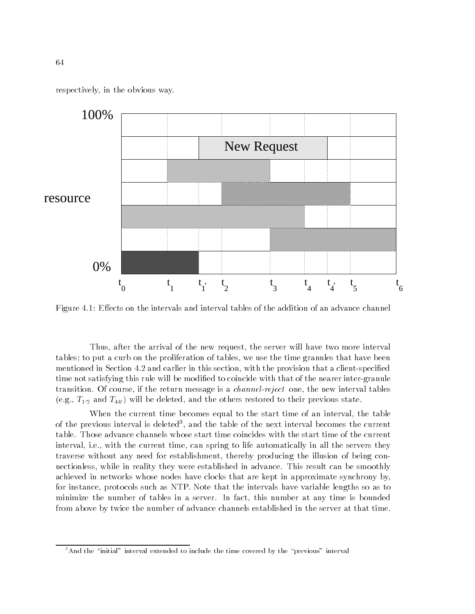respectively, in the obvious way.



Figure 4.1: Effects on the intervals and interval tables of the addition of an advance channel

Thus, after the arrival of the new request, the server will have two more interval tables; to put a curb on the proliferation of tables, we use the time granules that have been mentioned in Section 4.2 and earlier in this section, with the provision that a client-specied time not satisfying this rule will be modified to coincide with that of the nearer inter-granule transition. Of course, if the return message is a *channel-reject* one, the new interval tables (e.g.,  $T_{1/2}$  and  $T_{44'}$ ) will be deleted, and the others restored to their previous state.

When the current time becomes equal to the start time of an interval, the table of the previous interval is deleted", and the table of the next interval becomes the current  $\,$ table. Those advance channels whose start time coincides with the start time of the current interval, i.e., with the current time, can spring to life automatically in all the servers they traverse without any need for establishment, thereby producing the illusion of being connectionless, while in reality they were established in advance. This result can be smoothly achieved in networks whose nodes have clocks that are kept in approximate synchrony by, for instance, protocols such as NTP. Note that the intervals have variable lengths so as to minimize the number of tables in a server. In fact, this number at any time is bounded from above by twice the number of advance channels established in the server at that time.

 $3$ And the "initial" interval extended to include the time covered by the "previous" interval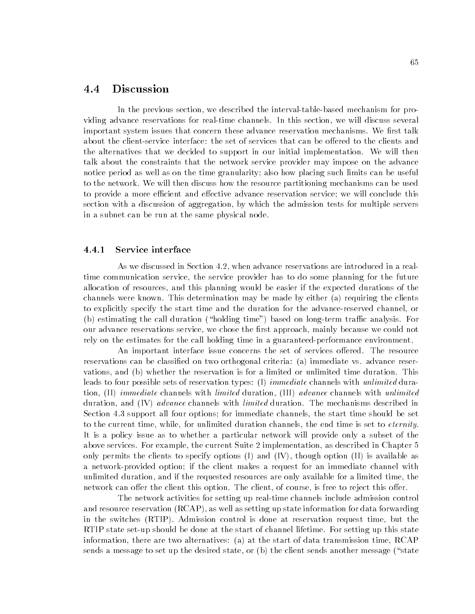## 4.4 Discussion

In the previous section, we described the interval-table-based mechanism for providing advance reservations for real-time channels. In this section, we will discuss several important system issues that concern these advance reservation mechanisms. We first talk about the client-service interface: the set of services that can be offered to the clients and the alternatives that we decided to support in our initial implementation. We will then talk about the constraints that the network service provider may impose on the advance notice period as well as on the time granularity; also how placing such limits can be useful to the network. We will then discuss how the resource partitioning mechanisms can be used to provide a more efficient and effective advance reservation service; we will conclude this section with a discussion of aggregation, by which the admission tests for multiple servers in a subnet can be run at the same physical node.

### 4.4.1 Service interface

As we discussed in Section 4.2, when advance reservations are introduced in a realtime communication service, the service provider has to do some planning for the future allocation of resources, and this planning would be easier if the expected durations of the channels were known. This determination may be made by either (a) requiring the clients to explicitly specify the start time and the duration for the advance-reserved channel, or (b) estimating the call duration ("holding time") based on long-term traffic analysis. For our advance reservations service, we chose the first approach, mainly because we could not rely on the estimates for the call holding time in a guaranteed-performance environment.

An important interface issue concerns the set of services offered. The resource reservations can be classified on two orthogonal criteria: (a) immediate vs. advance reservations, and (b) whether the reservation is for a limited or unlimited time duration. This leads to four possible sets of reservation types: (I) *immediate* channels with *unlimited* duration, (II) immediate channels with limited duration, (III) advance channels with unlimited duration, and (IV) *advance* channels with *limited* duration. The mechanisms described in Section 4.3 support all four options; for immediate channels, the start time should be set to the current time, while, for unlimited duration channels, the end time is set to *eternity*. It is a policy issue as to whether a particular network will provide only a subset of the above services. For example, the current Suite 2 implementation, as described in Chapter 5 only permits the clients to specify options (I) and (IV), though option (II) is available as a network-provided option; if the client makes a request for an immediate channel with unlimited duration, and if the requested resources are only available for a limited time, the network can offer the client this option. The client, of course, is free to reject this offer.

The network activities for setting up real-time channels include admission control and resource reservation (RCAP), as well as setting up state information for data forwarding in the switches (RTIP). Admission control is done at reservation request time, but the RTIP state set-up should be done at the start of channel lifetime. For setting up this state information, there are two alternatives: (a) at the start of data transmission time, RCAP sends a message to set up the desired state, or  $(b)$  the client sends another message ("state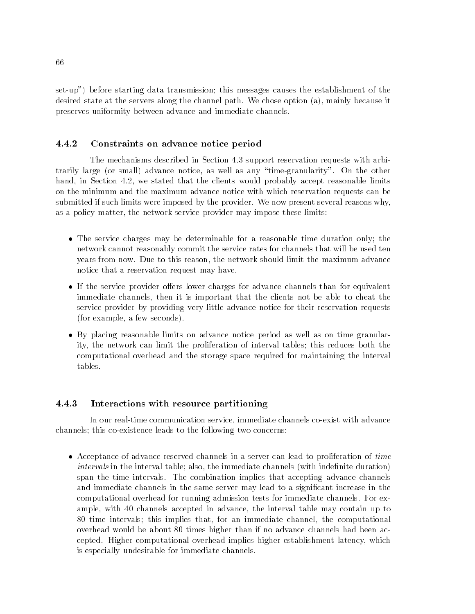set-up") before starting data transmission; this messages causes the establishment of the desired state at the servers along the channel path. We chose option (a), mainly because it preserves uniformity between advance and immediate channels.

### 4.4.2 Constraints on advance notice period

The mechanisms described in Section 4.3 support reservation requests with arbitrarily large (or small) advance notice, as well as any \time-granularity". On the other hand, in Section 4.2, we stated that the clients would probably accept reasonable limits on the minimum and the maximum advance notice with which reservation requests can be submitted if such limits were imposed by the provider. We now present several reasons why, as a policy matter, the network service provider may impose these limits:

- The service charges may be determinable for a reasonable time duration only; the network cannot reasonably commit the service rates for channels that will be used ten years from now. Due to this reason, the network should limit the maximum advance notice that a reservation request may have.
- If the service provider offers lower charges for advance channels than for equivalent immediate channels, then it is important that the clients not be able to cheat the service provider by providing very little advance notice for their reservation requests (for example, a few seconds).
- By placing reasonable limits on advance notice period as well as on time granularity, the network can limit the proliferation of interval tables; this reduces both the computational overhead and the storage space required for maintaining the interval tables.

### Interactions with resource partitioning 4.4.3

In our real-time communication service, immediate channels co-exist with advance channels; this co-existence leads to the following two concerns:

 Acceptance of advance-reserved channels in a server can lead to proliferation of time  $intervals in the interval table; also, the immediate channels (with indefinite duration)$ span the time intervals. The combination implies that accepting advance channels and immediate channels in the same server may lead to a signicant increase in the computational overhead for running admission tests for immediate channels. For example, with 40 channels accepted in advance, the interval table may contain up to 80 time intervals; this implies that, for an immediate channel, the computational overhead would be about 80 times higher than if no advance channels had been accepted. Higher computational overhead implies higher establishment latency, which is especially undesirable for immediate channels.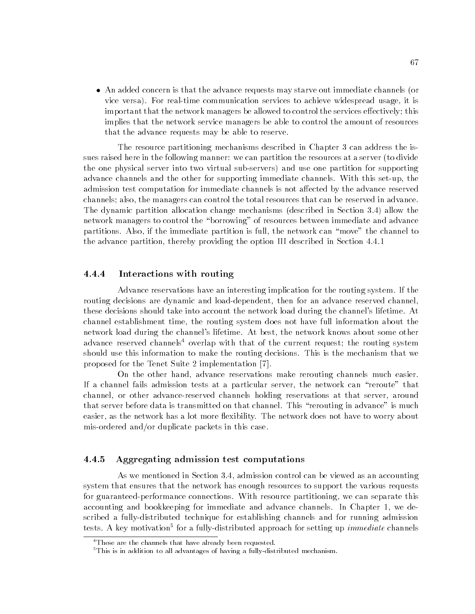An added concern is that the advance requests may starve out immediate channels (or vice versa). For real-time communication services to achieve widespread usage, it is important that the network managers be allowed to control the services effectively; this implies that the network service managers be able to control the amount of resources that the advance requests may be able to reserve.

The resource partitioning mechanisms described in Chapter 3 can address the issues raised here in the following manner: we can partition the resources at a server (to divide the one physical server into two virtual sub-servers) and use one partition for supporting advance channels and the other for supporting immediate channels. With this set-up, the admission test computation for immediate channels is not affected by the advance reserved channels; also, the managers can control the total resources that can be reserved in advance. The dynamic partition allocation change mechanisms (described in Section 3.4) allow the network managers to control the "borrowing" of resources between immediate and advance partitions. Also, if the immediate partition is full, the network can \move" the channel to the advance partition, thereby providing the option III described in Section 4.4.1

### 4.4.4 Interactions with routing

Advance reservations have an interesting implication for the routing system. If the routing decisions are dynamic and load-dependent, then for an advance reserved channel, these decisions should take into account the network load during the channel's lifetime. At channel establishment time, the routing system does not have full information about the network load during the channel's lifetime. At best, the network knows about some other advance reserved channels<sup>4</sup> overlap with that of the current request; the routing system should use this information to make the routing decisions. This is the mechanism that we proposed for the Tenet Suite 2 implementation [7].

On the other hand, advance reservations make rerouting channels much easier. If a channel fails admission tests at a particular server, the network can \reroute" that channel, or other advance-reserved channels holding reservations at that server, around that server before data is transmitted on that channel. This "rerouting in advance" is much easier, as the network has a lot more flexibility. The network does not have to worry about mis-ordered and/or duplicate packets in this case.

### 4.4.5 Aggregating admission test computations

As we mentioned in Section 3.4, admission control can be viewed as an accounting system that ensures that the network has enough resources to support the various requests for guaranteed-performance connections. With resource partitioning, we can separate this accounting and bookkeeping for immediate and advance channels. In Chapter 1, we described a fully-distributed technique for establishing channels and for running admission tests. A key motivation for a funy-distributed approach for setting up *immediate* channels

<sup>&</sup>lt;sup>4</sup>These are the channels that have already been requested.

 $5$ This is in addition to all advantages of having a fully-distributed mechanism.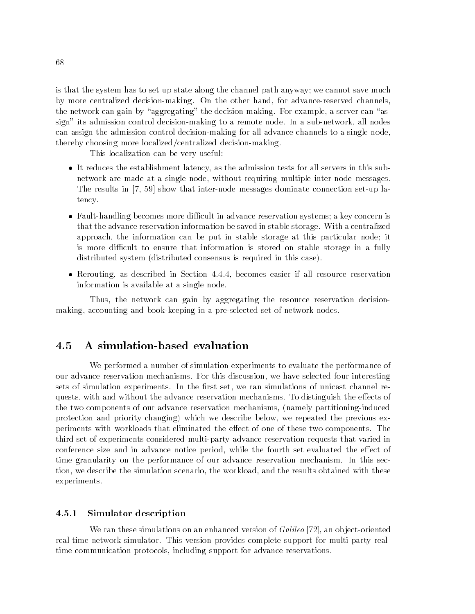is that the system has to set up state along the channel path anyway; we cannot save much by more centralized decision-making. On the other hand, for advance-reserved channels, the network can gain by "aggregating" the decision-making. For example, a server can "assign" its admission control decision-making to a remote node. In a sub-network, all nodes can assign the admission control decision-making for all advance channels to a single node, thereby choosing more localized/centralized decision-making.

This localization can be very useful:

- It reduces the establishment latency, as the admission tests for all servers in this subnetwork are made at a single node, without requiring multiple inter-node messages. The results in [7, 59] show that inter-node messages dominate connection set-up latency.
- Fault-handling becomes more difficult in advance reservation systems; a key concern is that the advance reservation information be saved in stable storage. With a centralized approach, the information can be put in stable storage at this particular node; it is more difficult to ensure that information is stored on stable storage in a fully distributed system (distributed consensus is required in this case).
- Rerouting, as described in Section 4.4.4, becomes easier if all resource reservation information is available at a single node.

Thus, the network can gain by aggregating the resource reservation decisionmaking, accounting and book-keeping in a pre-selected set of network nodes.

## A simulation-based evaluation

We performed a number of simulation experiments to evaluate the performance of our advance reservation mechanisms. For this discussion, we have selected four interesting sets of simulation experiments. In the first set, we ran simulations of unicast channel requests, with and without the advance reservation mechanisms. To distinguish the effects of the two components of our advance reservation mechanisms, (namely partitioning-induced protection and priority changing) which we describe below, we repeated the previous experiments with workloads that eliminated the effect of one of these two components. The third set of experiments considered multi-party advance reservation requests that varied in conference size and in advance notice period, while the fourth set evaluated the effect of time granularity on the performance of our advance reservation mechanism. In this section, we describe the simulation scenario, the workload, and the results obtained with these experiments.

### $4.5.1$ Simulator description

We ran these simulations on an enhanced version of *Galileo* [72], an object-oriented real-time network simulator. This version provides complete support for multi-party realtime communication protocols, including support for advance reservations.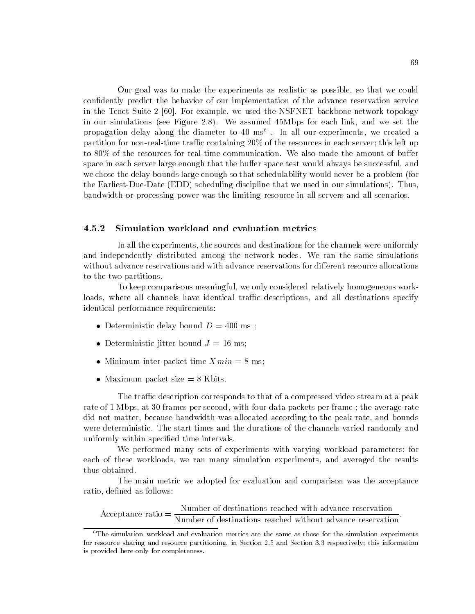Our goal was to make the experiments as realistic as possible, so that we could condently predict the behavior of our implementation of the advance reservation service in the Tenet Suite 2 [60]. For example, we used the NSFNET backbone network topology in our simulations (see Figure 2.8). We assumed 45Mbps for each link, and we set the propagation delay along the diameter to 40 ms6 . In all our experiments, we created a partition for non-real-time traffic containing  $20\%$  of the resources in each server; this left up to  $80\%$  of the resources for real-time communication. We also made the amount of buffer space in each server large enough that the buffer space test would always be successful, and we chose the delay bounds large enough so that schedulability would never be a problem (for the Earliest-Due-Date (EDD) scheduling discipline that we used in our simulations). Thus, bandwidth or processing power was the limiting resource in all servers and all scenarios.

### $4.5.2$ Simulation workload and evaluation metrics

In all the experiments, the sources and destinations for the channels were uniformly and independently distributed among the network nodes. We ran the same simulations without advance reservations and with advance reservations for different resource allocations to the two partitions.

To keep comparisons meaningful, we only considered relatively homogeneous workloads, where all channels have identical traffic descriptions, and all destinations specify identical performance requirements:

- Deterministic delay bound  $D = 400$  ms;
- Deterministic jitter bound  $J = 16$  ms;
- Minimum inter-packet time  $Xmin = 8$  ms;
- Maximum packet size  $= 8$  Kbits.

The traffic description corresponds to that of a compressed video stream at a peak rate of 1 Mbps, at 30 frames per second, with four data packets per frame ; the average rate did not matter, because bandwidth was allocated according to the peak rate, and bounds were deterministic. The start times and the durations of the channels varied randomly and uniformly within specied time intervals.

We performed many sets of experiments with varying workload parameters; for each of these workloads, we ran many simulation experiments, and averaged the results thus obtained.

The main metric we adopted for evaluation and comparison was the acceptance ratio, defined as follows:

Acceptance ratio =  $\frac{N_{\text{unber of destination}}}{N_{\text{unber of destinations reached without advance reservation}}}.$ 

 $6$ The simulation workload and evaluation metrics are the same as those for the simulation experiments for resource sharing and resource partitioning, in Section 2.5 and Section 3.3 respectively; this information is provided here only for completeness.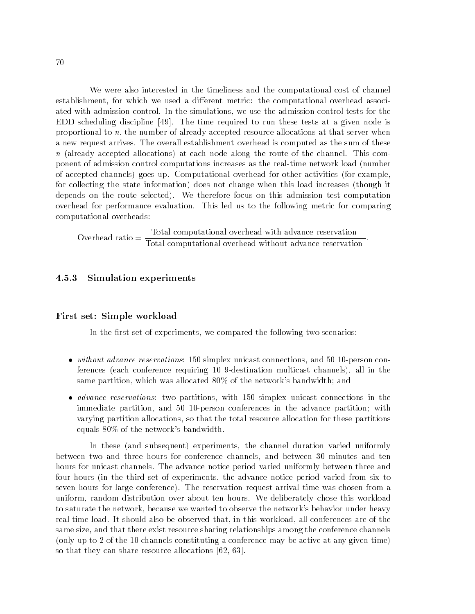We were also interested in the timeliness and the computational cost of channel establishment, for which we used a different metric: the computational overhead associated with admission control. In the simulations, we use the admission control tests for the EDD scheduling discipline [49]. The time required to run these tests at a given node is proportional to n, the number of already accepted resource allocations at that server when a new request arrives. The overall establishment overhead is computed as the sum of these  $n$  (already accepted allocations) at each node along the route of the channel. This component of admission control computations increases as the real-time network load (number of accepted channels) goes up. Computational overhead for other activities (for example, for collecting the state information) does not change when this load increases (though it depends on the route selected). We therefore focus on this admission test computation overhead for performance evaluation. This led us to the following metric for comparing computational overheads:

 $\text{Overall computational overhead without advance reservation}$ .

### 4.5.3 Simulation experiments

### First set: Simple workload

In the first set of experiments, we compared the following two scenarios:

- without advance reservations: 150 simplex unicast connections, and 50 10-person conferences (each conference requiring 10 9-destination multicast channels), all in the same partition, which was allocated 80% of the network's bandwidth; and
- *advance reservations*: two partitions, with 150 simplex unicast connections in the immediate partition, and 50 10-person conferences in the advance partition; with varying partition allocations, so that the total resource allocation for these partitions equals 80% of the network's bandwidth.

In these (and subsequent) experiments, the channel duration varied uniformly between two and three hours for conference channels, and between 30 minutes and ten hours for unicast channels. The advance notice period varied uniformly between three and four hours (in the third set of experiments, the advance notice period varied from six to seven hours for large conference). The reservation request arrival time was chosen from a uniform, random distribution over about ten hours. We deliberately chose this workload to saturate the network, because we wanted to observe the network's behavior under heavy real-time load. It should also be observed that, in this workload, all conferences are of the same size, and that there exist resource sharing relationships among the conference channels (only up to 2 of the 10 channels constituting a conference may be active at any given time) so that they can share resource allocations [62, 63].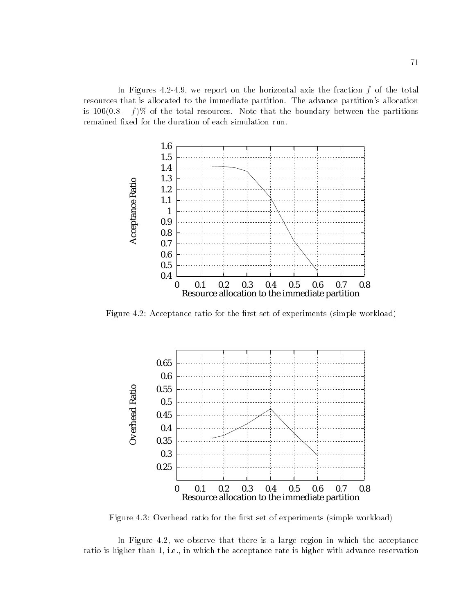In Figures  $4.2-4.9$ , we report on the horizontal axis the fraction  $f$  of the total resources that is allocated to the immediate partition. The advance partition's allocation is the find of ) is the total resources. The total resources that the boundary between the partitions of remained fixed for the duration of each simulation run.



Figure 4.2: Acceptance ratio for the first set of experiments (simple workload)



Figure 4.3: Overhead ratio for the first set of experiments (simple workload)

In Figure 4.2, we observe that there is a large region in which the acceptance ratio is higher than 1, i.e., in which the acceptance rate is higher with advance reservation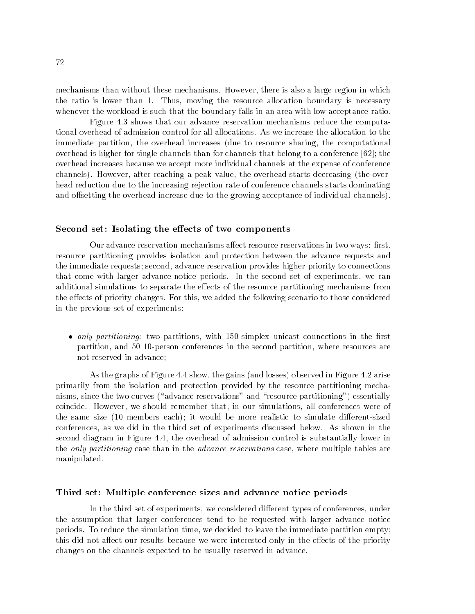mechanisms than without these mechanisms. However, there is also a large region in which the ratio is lower than 1. Thus, moving the resource allocation boundary is necessary whenever the workload is such that the boundary falls in an area with low acceptance ratio.

Figure 4.3 shows that our advance reservation mechanisms reduce the computational overhead of admission control for all allocations. As we increase the allocation to the immediate partition, the overhead increases (due to resource sharing, the computational overhead is higher for single channels than for channels that belong to a conference [62]; the overhead increases because we accept more individual channels at the expense of conference channels). However, after reaching a peak value, the overhead starts decreasing (the overhead reduction due to the increasing rejection rate of conference channels starts dominating and offsetting the overhead increase due to the growing acceptance of individual channels).

### Second set: Isolating the effects of two components

Our advance reservation mechanisms affect resource reservations in two ways: first, resource partitioning provides isolation and protection between the advance requests and the immediate requests; second, advance reservation provides higher priority to connections that come with larger advance-notice periods. In the second set of experiments, we ran additional simulations to separate the effects of the resource partitioning mechanisms from the effects of priority changes. For this, we added the following scenario to those considered in the previous set of experiments:

 $\bullet$  only partitioning: two partitions, with 150 simplex unicast connections in the first partition, and 50 10-person conferences in the second partition, where resources are not reserved in advance;

As the graphs of Figure 4.4 show, the gains (and losses) observed in Figure 4.2 arise primarily from the isolation and protection provided by the resource partitioning mechanisms, since the two curves ("advance reservations" and "resource partitioning") essentially coincide. However, we should remember that, in our simulations, all conferences were of the same size (10 members each); it would be more realistic to simulate different-sized conferences, as we did in the third set of experiments discussed below. As shown in the second diagram in Figure 4.4, the overhead of admission control is substantially lower in the *only partitioning* case than in the *advance reservations* case, where multiple tables are manipulated.

### Third set: Multiple conference sizes and advance notice periods

In the third set of experiments, we considered different types of conferences, under the assumption that larger conferences tend to be requested with larger advance notice periods. To reduce the simulation time, we decided to leave the immediate partition empty; this did not affect our results because we were interested only in the effects of the priority changes on the channels expected to be usually reserved in advance.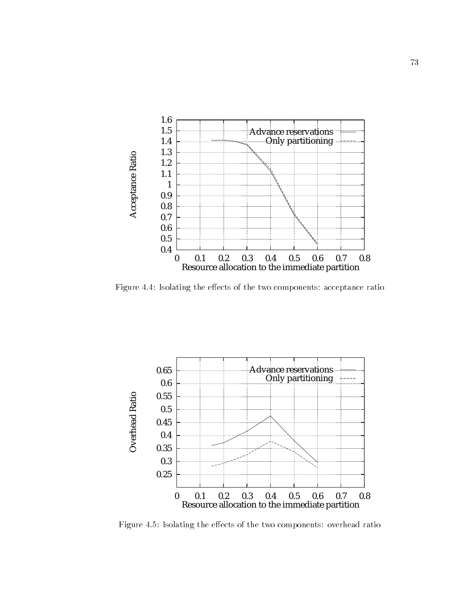

Figure 4.4: Isolating the effects of the two components: acceptance ratio



Figure 4.5: Isolating the effects of the two components: overhead ratio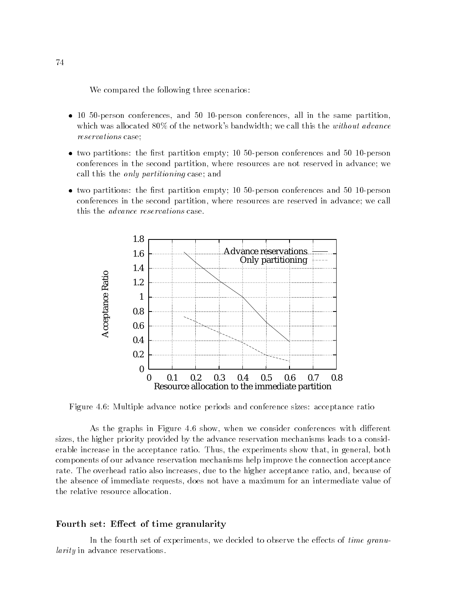We compared the following three scenarios:

- 10 50-person conferences, and 50 10-person conferences, all in the same partition, which was allocated 80% of the network's bandwidth; we call this the *without advance* reservations case;
- $\bullet$  two partitions: the first partition empty; 10 50-person conferences and 50 10-person conferences in the second partition, where resources are not reserved in advance; we call this the only partitioning case; and
- $\bullet$  two partitions: the first partition empty; 10 50-person conferences and 50 10-person conferences in the second partition, where resources are reserved in advance; we call this the advance reservations case.



Figure 4.6: Multiple advance notice periods and conference sizes: acceptance ratio

As the graphs in Figure 4.6 show, when we consider conferences with different sizes, the higher priority provided by the advance reservation mechanisms leads to a considerable increase in the acceptance ratio. Thus, the experiments show that, in general, both components of our advance reservation mechanisms help improve the connection acceptance rate. The overhead ratio also increases, due to the higher acceptance ratio, and, because of the absence of immediate requests, does not have a maximum for an intermediate value of the relative resource allocation.

## Fourth set: Effect of time granularity

In the fourth set of experiments, we decided to observe the effects of time granularity in advance reservations.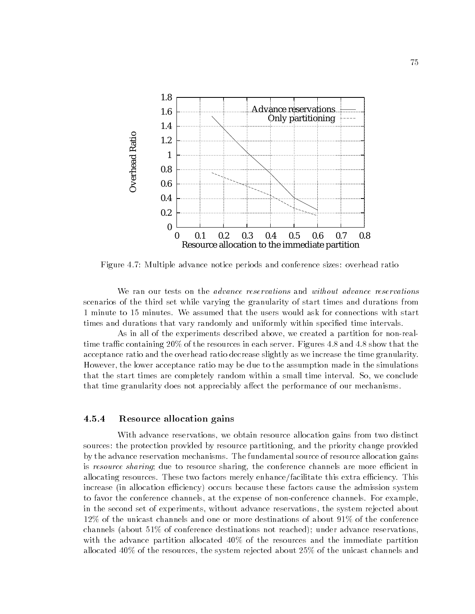

Figure 4.7: Multiple advance notice periods and conference sizes: overhead ratio

We ran our tests on the *advance reservations* and *without advance reservations* scenarios of the third set while varying the granularity of start times and durations from 1 minute to 15 minutes. We assumed that the users would ask for connections with start times and durations that vary randomly and uniformly within specied time intervals.

As in all of the experiments described above, we created a partition for non-realtime traffic containing 20% of the resources in each server. Figures 4.8 and 4.8 show that the acceptance ratio and the overhead ratio decrease slightly as we increase the time granularity. However, the lower acceptance ratio may be due to the assumption made in the simulations that the start times are completely random within a small time interval. So, we conclude that time granularity does not appreciably affect the performance of our mechanisms.

### 4.5.4 Resource allocation gains

With advance reservations, we obtain resource allocation gains from two distinct sources: the protection provided by resource partitioning, and the priority change provided by the advance reservation mechanisms. The fundamental source of resource allocation gains is resource sharing; due to resource sharing, the conference channels are more efficient in allocating resources. These two factors merely enhance/facilitate this extra efficiency. This increase (in allocation efficiency) occurs because these factors cause the admission system to favor the conference channels, at the expense of non-conference channels. For example, in the second set of experiments, without advance reservations, the system rejected about 12% of the unicast channels and one or more destinations of about 91% of the conference channels (about 51% of conference destinations not reached); under advance reservations, with the advance partition allocated 40% of the resources and the immediate partition allocated 40% of the resources, the system rejected about 25% of the unicast channels and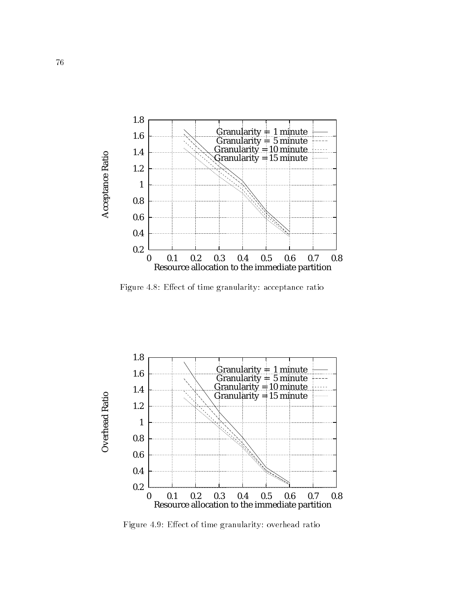

Figure 4.8: Effect of time granularity: acceptance ratio



Figure 4.9: Effect of time granularity: overhead ratio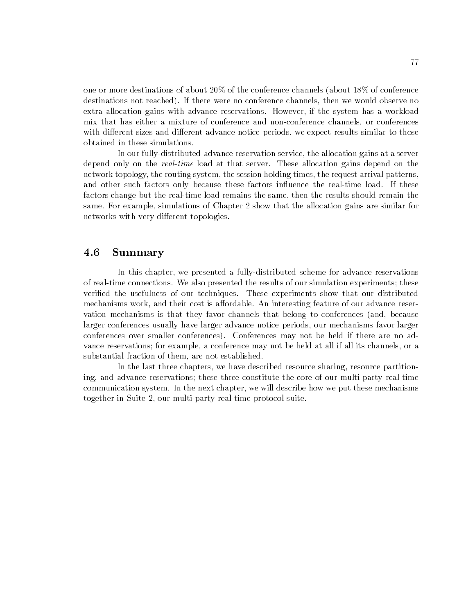one or more destinations of about 20% of the conference channels (about 18% of conference destinations not reached). If there were no conference channels, then we would observe no extra allocation gains with advance reservations. However, if the system has a workload mix that has either a mixture of conference and non-conference channels, or conferences with different sizes and different advance notice periods, we expect results similar to those obtained in these simulations.

In our fully-distributed advance reservation service, the allocation gains at a server depend only on the real-time load at that server. These allocation gains depend on the network topology, the routing system, the session holding times, the request arrival patterns, and other such factors only because these factors influence the real-time load. If these factors change but the real-time load remains the same, then the results should remain the same. For example, simulations of Chapter 2 show that the allocation gains are similar for networks with very different topologies.

### 4.6 **Summary**

In this chapter, we presented a fully-distributed scheme for advance reservations of real-time connections. We also presented the results of our simulation experiments; these verified the usefulness of our techniques. These experiments show that our distributed mechanisms work, and their cost is affordable. An interesting feature of our advance reservation mechanisms is that they favor channels that belong to conferences (and, because larger conferences usually have larger advance notice periods, our mechanisms favor larger conferences over smaller conferences). Conferences may not be held if there are no advance reservations; for example, a conference may not be held at all if all its channels, or a substantial fraction of them, are not established.

In the last three chapters, we have described resource sharing, resource partitioning, and advance reservations; these three constitute the core of our multi-party real-time communication system. In the next chapter, we will describe how we put these mechanisms together in Suite 2, our multi-party real-time protocol suite.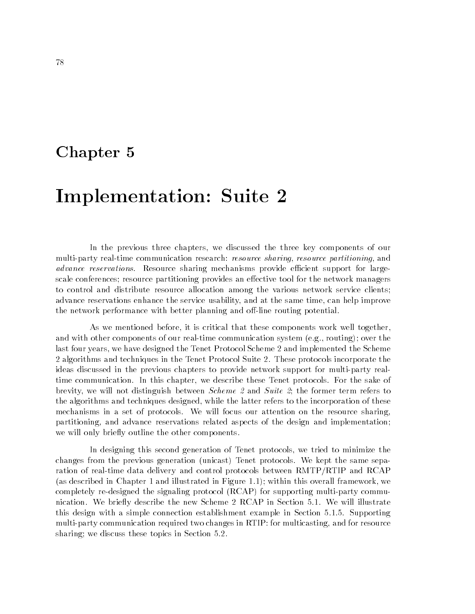## Chapter 5

# Implementation: Suite 2

In the previous three chapters, we discussed the three key components of our multi-party real-time communication research: *resource sharing, resource partitioning*, and advance reservations. Resource sharing mechanisms provide efficient support for largescale conferences; resource partitioning provides an effective tool for the network managers to control and distribute resource allocation among the various network service clients; advance reservations enhance the service usability, and at the same time, can help improve the network performance with better planning and off-line routing potential.

As we mentioned before, it is critical that these components work well together, and with other components of our real-time communication system (e.g., routing); over the last four years, we have designed the Tenet Protocol Scheme 2 and implemented the Scheme 2 algorithms and techniques in the Tenet Protocol Suite 2. These protocols incorporate the ideas discussed in the previous chapters to provide network support for multi-party realtime communication. In this chapter, we describe these Tenet protocols. For the sake of brevity, we will not distinguish between Scheme 2 and Suite 2; the former term refers to the algorithms and techniques designed, while the latter refers to the incorporation of these mechanisms in a set of protocols. We will focus our attention on the resource sharing, partitioning, and advance reservations related aspects of the design and implementation; we will only briefly outline the other components.

In designing this second generation of Tenet protocols, we tried to minimize the changes from the previous generation (unicast) Tenet protocols. We kept the same separation of real-time data delivery and control protocols between RMTP/RTIP and RCAP (as described in Chapter 1 and illustrated in Figure 1.1); within this overall framework, we completely re-designed the signaling protocol (RCAP) for supporting multi-party communication. We briefly describe the new Scheme 2 RCAP in Section 5.1. We will illustrate this design with a simple connection establishment example in Section 5.1.5. Supporting multi-party communication required two changes in RTIP: for multicasting, and for resource sharing; we discuss these topics in Section 5.2.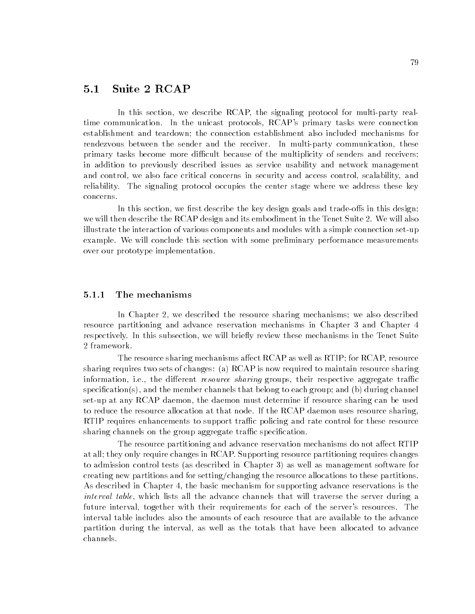## 5.1 Suite 2 RCAP

In this section, we describe RCAP, the signaling protocol for multi-party realtime communication. In the unicast protocols, RCAP's primary tasks were connection establishment and teardown; the connection establishment also included mechanisms for rendezvous between the sender and the receiver. In multi-party communication, these primary tasks become more difficult because of the multiplicity of senders and receivers; in addition to previously described issues as service usability and network management and control, we also face critical concerns in security and access control, scalability, and reliability. The signaling protocol occupies the center stage where we address these key concerns.

In this section, we first describe the key design goals and trade-offs in this design; we will then describe the RCAP design and its embodiment in the Tenet Suite 2. We will also illustrate the interaction of various components and modules with a simple connection set-up example. We will conclude this section with some preliminary performance measurements over our prototype implementation.

### 5.1.1 The mechanisms

In Chapter 2, we described the resource sharing mechanisms; we also described resource partitioning and advance reservation mechanisms in Chapter 3 and Chapter 4 respectively. In this subsection, we will briefly review these mechanisms in the Tenet Suite 2 framework.

The resource sharing mechanisms affect RCAP as well as RTIP; for RCAP, resource sharing requires two sets of changes: (a) RCAP is now required to maintain resource sharing information, i.e., the different *resource sharing* groups, their respective aggregate traffic specification(s), and the member channels that belong to each group; and (b) during channel set-up at any RCAP daemon, the daemon must determine if resource sharing can be used to reduce the resource allocation at that node. If the RCAP daemon uses resource sharing, RTIP requires enhancements to support traffic policing and rate control for these resource sharing channels on the group aggregate traffic specification.

The resource partitioning and advance reservation mechanisms do not affect RTIP at all; they only require changes in RCAP. Supporting resource partitioning requires changes to admission control tests (as described in Chapter 3) as well as management software for creating new partitions and for setting/changing the resource allocations to these partitions. As described in Chapter 4, the basic mechanism for supporting advance reservations is the interval table, which lists all the advance channels that will traverse the server during a future interval, together with their requirements for each of the server's resources. The interval table includes also the amounts of each resource that are available to the advance partition during the interval, as well as the totals that have been allocated to advance channels.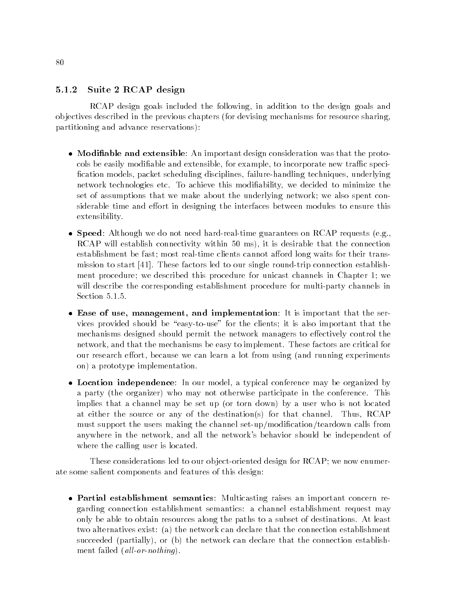## 5.1.2 Suite 2 RCAP design

RCAP design goals included the following, in addition to the design goals and ob jectives described in the previous chapters (for devising mechanisms for resource sharing, partitioning and advance reservations):

- Modifiable and extensible: An important design consideration was that the protocols be easily modifiable and extensible, for example, to incorporate new traffic specification models, packet scheduling disciplines, failure-handling techniques, underlying network technologies etc. To achieve this modiability, we decided to minimize the set of assumptions that we make about the underlying network; we also spent considerable time and effort in designing the interfaces between modules to ensure this extensibility.
- Speed: Although we do not need hard-real-time guarantees on RCAP requests (e.g., RCAP will establish connectivity within 50 ms), it is desirable that the connection establishment be fast; most real-time clients cannot afford long waits for their transmission to start [41]. These factors led to our single round-trip connection establishment procedure; we described this procedure for unicast channels in Chapter 1; we will describe the corresponding establishment procedure for multi-party channels in Section 5.1.5.
- Ease of use, management, and implementation: It is important that the services provided should be "easy-to-use" for the clients; it is also important that the mechanisms designed should permit the network managers to effectively control the network, and that the mechanisms be easy to implement. These factors are critical for our research effort, because we can learn a lot from using (and running experiments on) a prototype implementation.
- Location independence: In our model, a typical conference may be organized by a party (the organizer) who may not otherwise participate in the conference. This implies that a channel may be set up (or torn down) by a user who is not located at either the source or any of the destination(s) for that channel. Thus, RCAP must support the users making the channel set-up/modication/teardown calls from anywhere in the network, and all the network's behavior should be independent of where the calling user is located.

These considerations led to our ob ject-oriented design for RCAP; we now enumerate some salient components and features of this design:

 Partial establishment semantics: Multicasting raises an important concern regarding connection establishment semantics: a channel establishment request may only be able to obtain resources along the paths to a subset of destinations. At least two alternatives exist: (a) the network can declare that the connection establishment succeeded (partially), or (b) the network can declare that the connection establishment failed  $\left(\textit{all-or-nothing}\right)$ .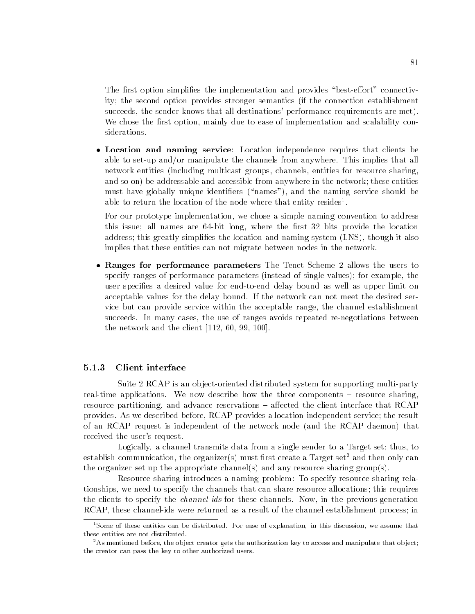The first option simplifies the implementation and provides "best-effort" connectivity; the second option provides stronger semantics (if the connection establishment succeeds, the sender knows that all destinations' performance requirements are met). We chose the first option, mainly due to ease of implementation and scalability considerations.

• Location and naming service: Location independence requires that clients be able to set-up and/or manipulate the channels from anywhere. This implies that all network entities (including multicast groups, channels, entities for resource sharing, and so on) be addressable and accessible from anywhere in the network; these entities must have globally unique identifiers ("names"), and the naming service should be able to return the location of the node where that entity resides .

For our prototype implementation, we chose a simple naming convention to address this issue; all names are  $64$ -bit long, where the first 32 bits provide the location address; this greatly simplies the location and naming system (LNS), though it also implies that these entities can not migrate between nodes in the network.

 Ranges for performance parameters The Tenet Scheme 2 allows the users to specify ranges of performance parameters (instead of single values); for example, the user specifies a desired value for end-to-end delay bound as well as upper limit on acceptable values for the delay bound. If the network can not meet the desired service but can provide service within the acceptable range, the channel establishment succeeds. In many cases, the use of ranges avoids repeated re-negotiations between the network and the client [112, 60, 99, 100].

### 5.1.3 Client interface

Suite 2 RCAP is an ob ject-oriented distributed system for supporting multi-party real-time applications. We now describe how the three components  $-$  resource sharing, resource partitioning, and advance reservations  $-$  affected the client interface that RCAP provides. As we described before, RCAP provides a location-independent service; the result of an RCAP request is independent of the network node (and the RCAP daemon) that received the user's request.

Logically, a channel transmits data from a single sender to a Target set; thus, to establish communication, the organizer(s) must first create a Target set<sup>2</sup> and then only can the organizer set up the appropriate channel(s) and any resource sharing group(s).

Resource sharing introduces a naming problem: To specify resource sharing relationships, we need to specify the channels that can share resource allocations; this requires the clients to specify the *channel-ids* for these channels. Now, in the previous-generation RCAP, these channel-ids were returned as a result of the channel establishment process; in

<sup>1</sup>Some of these entities can be distributed. For ease of explanation, in this discussion, we assume that these entities are not distributed.

<sup>&</sup>lt;sup>2</sup>As mentioned before, the object creator gets the authorization key to access and manipulate that object; the creator can pass the key to other authorized users.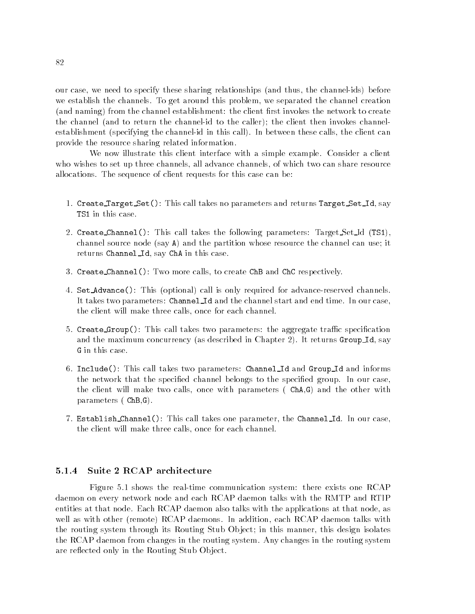our case, we need to specify these sharing relationships (and thus, the channel-ids) before we establish the channels. To get around this problem, we separated the channel creation (and naming) from the channel establishment: the client first invokes the network to create the channel (and to return the channel-id to the caller); the client then invokes channelestablishment (specifying the channel-id in this call). In between these calls, the client can provide the resource sharing related information.

We now illustrate this client interface with a simple example. Consider a client who wishes to set up three channels, all advance channels, of which two can share resource allocations. The sequence of client requests for this case can be:

- 1. Create Target Set(): This call takes no parameters and returns Target Set Id, say TS1 in this case.
- 2. Create Channel(): This call takes the following parameters: Target Set Id (TS1), channel source node (say A) and the partition whose resource the channel can use; it returns Channel Id, say ChA in this case.
- 3. Create Channel(): Two more calls, to create ChB and ChC respectively.
- 4. Set Advance(): This (optional) call is only required for advance-reserved channels. It takes two parameters: Channel Id and the channel start and end time. In our case, the client will make three calls, once for each channel.
- 5. Create Group(): This call takes two parameters: the aggregate traffic specification and the maximum concurrency (as described in Chapter 2). It returns Group Id, say G in this case.
- 6. Include(): This call takes two parameters: Channel Id and Group Id and informs the network that the specified channel belongs to the specified group. In our case, the client will make two calls, once with parameters ( ChA,G) and the other with parameters ( ChB,G).
- 7. Establish Channel(): This call takes one parameter, the Channel Id. In our case, the client will make three calls, once for each channel.

### $5.1.4$ Suite 2 RCAP architecture

Figure 5.1 shows the real-time communication system: there exists one RCAP daemon on every network node and each RCAP daemon talks with the RMTP and RTIP entities at that node. Each RCAP daemon also talks with the applications at that node, as well as with other (remote) RCAP daemons. In addition, each RCAP daemon talks with the routing system through its Routing Stub Ob ject; in this manner, this design isolates the RCAP daemon from changes in the routing system. Any changes in the routing system are reflected only in the Routing Stub Object.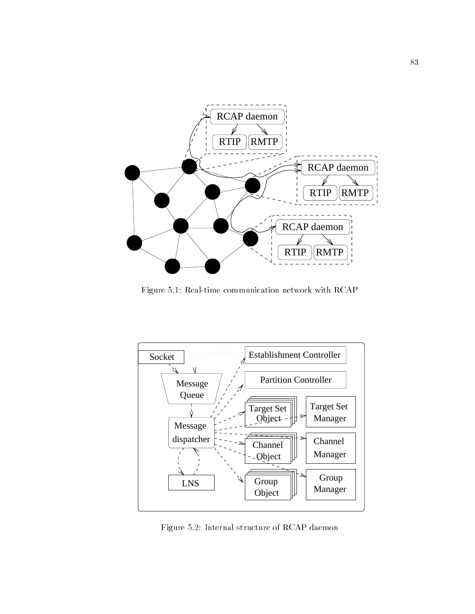

Figure 5.1: Real-time communication network with RCAP



Figure 5.2: Internal structure of RCAP daemon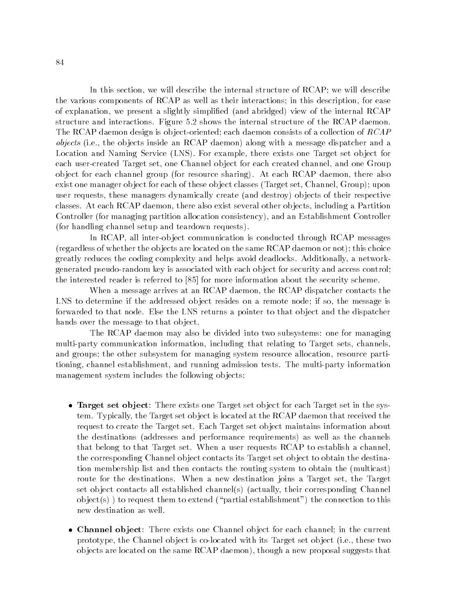In this section, we will describe the internal structure of RCAP; we will describe the various components of RCAP as well as their interactions; in this description, for ease of explanation, we present a slightly simplied (and abridged) view of the internal RCAP structure and interactions. Figure 5.2 shows the internal structure of the RCAP daemon. The RCAP daemon design is object-oriented; each daemon consists of a collection of  $RCAP$ objects (i.e., the ob jects inside an RCAP daemon) along with a message dispatcher and a Location and Naming Service (LNS). For example, there exists one Target set object for each user-created Target set, one Channel ob ject for each created channel, and one Group ob ject for each channel group (for resource sharing). At each RCAP daemon, there also exist one manager ob ject for each of these ob ject classes (Target set, Channel, Group); upon user requests, these managers dynamically create (and destroy) ob jects of their respective classes. At each RCAP daemon, there also exist several other ob jects, including a Partition Controller (for managing partition allocation consistency), and an Establishment Controller (for handling channel setup and teardown requests).

In RCAP, all inter-ob ject communication is conducted through RCAP messages (regardless of whether the ob jects are located on the same RCAP daemon or not); this choice greatly reduces the coding complexity and helps avoid deadlocks. Additionally, a networkgenerated pseudo-random key is associated with each ob ject for security and access control; the interested reader is referred to [85] for more information about the security scheme.

When a message arrives at an RCAP daemon, the RCAP dispatcher contacts the LNS to determine if the addressed object resides on a remote node; if so, the message is forwarded to that node. Else the LNS returns a pointer to that ob ject and the dispatcher hands over the message to that ob ject.

The RCAP daemon may also be divided into two subsystems: one for managing multi-party communication information, including that relating to Target sets, channels, and groups; the other subsystem for managing system resource allocation, resource partitioning, channel establishment, and running admission tests. The multi-party information management system includes the following ob jects:

- Target set object: There exists one Target set object for each Target set in the system. Typically, the Target set ob ject is located at the RCAP daemon that received the request to create the Target set. Each Target set ob ject maintains information about the destinations (addresses and performance requirements) as well as the channels that belong to that Target set. When a user requests RCAP to establish a channel, the corresponding Channel ob ject contacts its Target set ob ject to obtain the destination membership list and then contacts the routing system to obtain the (multicast) route for the destinations. When a new destination joins a Target set, the Target set ob ject contacts all established channel(s) (actually, their corresponding Channel object(s)) to request them to extend ("partial establishment") the connection to this new destination as well.
- Channel object: There exists one Channel object for each channel; in the current prototype, the Channel ob ject is co-located with its Target set ob ject (i.e., these two ob jects are located on the same RCAP daemon), though a new proposal suggests that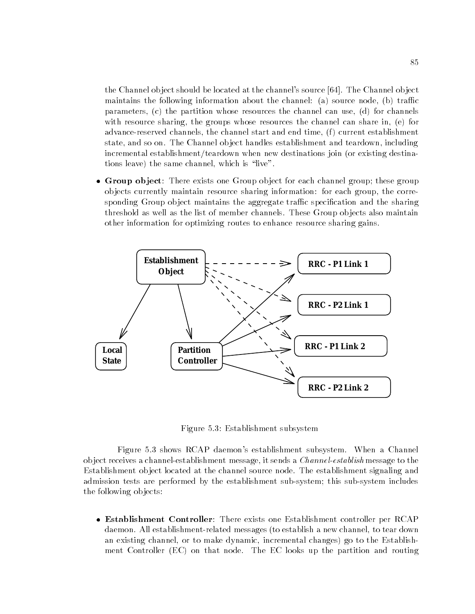the Channel ob ject should be located at the channel's source [64]. The Channel ob ject maintains the following information about the channel: (a) source node, (b) traffic parameters, (c) the partition whose resources the channel can use, (d) for channels with resource sharing, the groups whose resources the channel can share in, (e) for advance-reserved channels, the channel start and end time, (f) current establishment state, and so on. The Channel ob ject handles establishment and teardown, including incremental establishment/teardown when new destinations join (or existing destinations leave) the same channel, which is \live".

• Group object: There exists one Group object for each channel group; these group ob jects currently maintain resource sharing information: for each group, the corresponding Group object maintains the aggregate traffic specification and the sharing threshold as well as the list of member channels. These Group ob jects also maintain other information for optimizing routes to enhance resource sharing gains.



Figure 5.3: Establishment subsystem

Figure 5.3 shows RCAP daemon's establishment subsystem. When a Channel object receives a channel-establishment message, it sends a *Channel-establish* message to the Establishment ob ject located at the channel source node. The establishment signaling and admission tests are performed by the establishment sub-system; this sub-system includes the following ob jects:

 Establishment Controller: There exists one Establishment controller per RCAP daemon. All establishment-related messages (to establish a new channel, to tear down an existing channel, or to make dynamic, incremental changes) go to the Establishment Controller (EC) on that node. The EC looks up the partition and routing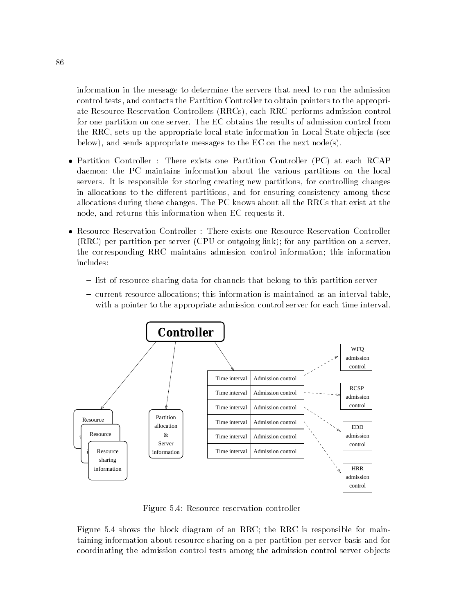information in the message to determine the servers that need to run the admission control tests, and contacts the Partition Controller to obtain pointers to the appropriate Resource Reservation Controllers (RRCs), each RRC performs admission control for one partition on one server. The EC obtains the results of admission control from the RRC, sets up the appropriate local state information in Local State ob jects (see below), and sends appropriate messages to the EC on the next node(s).

- Partition Controller : There exists one Partition Controller (PC) at each RCAP daemon; the PC maintains information about the various partitions on the local servers. It is responsible for storing creating new partitions, for controlling changes in allocations to the different partitions, and for ensuring consistency among these allocations during these changes. The PC knows about all the RRCs that exist at the node, and returns this information when EC requests it.
- Resource Reservation Controller : There exists one Resource Reservation Controller (RRC) per partition per server (CPU or outgoing link); for any partition on a server, the corresponding RRC maintains admission control information; this information includes:
	- { list of resource sharing data for channels that belong to this partition-server
	- { current resource allocations; this information is maintained as an interval table, with a pointer to the appropriate admission control server for each time interval.



Figure 5.4: Resource reservation controller

Figure 5.4 shows the block diagram of an RRC; the RRC is responsible for maintaining information about resource sharing on a per-partition-per-server basis and for coordinating the admission control tests among the admission control server ob jects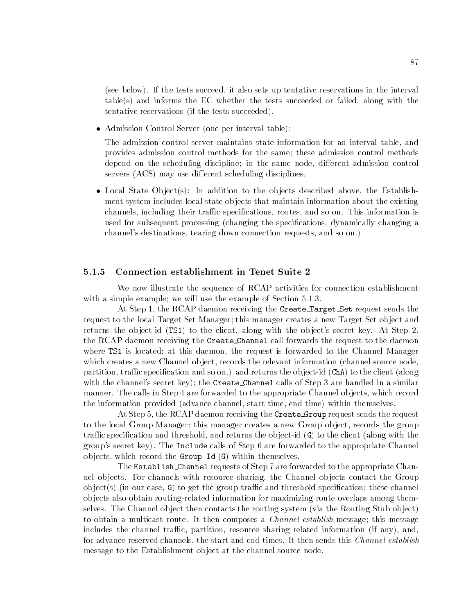(see below). If the tests succeed, it also sets up tentative reservations in the interval table(s) and informs the EC whether the tests succeeded or failed, along with the tentative reservations (if the tests succeeded).

Admission Control Server (one per interval table):

The admission control server maintains state information for an interval table, and provides admission control methods for the same; these admission control methods depend on the scheduling discipline; in the same node, different admission control servers (ACS) may use different scheduling disciplines.

• Local State Object(s): In addition to the objects described above, the Establishment system includes local state ob jects that maintain information about the existing channels, including their traffic specifications, routes, and so on. This information is used for subsequent processing (changing the specifications, dynamically changing a channel's destinations, tearing down connection requests, and so on.)

### 5.1.5 Connection establishment in Tenet Suite 2

We now illustrate the sequence of RCAP activities for connection establishment with a simple example; we will use the example of Section 5.1.3.

At Step 1, the RCAP daemon receiving the Create Target Set request sends the request to the local Target Set Manager; this manager creates a new Target Set ob ject and returns the object-id (TS1) to the client, along with the object's secret key. At Step 2. the RCAP daemon receiving the Create Channel call forwards the request to the daemon where TS1 is located; at this daemon, the request is forwarded to the Channel Manager which creates a new Channel ob ject, records the relevant information (channel source node, partition, traffic specification and so on.) and returns the object-id (ChA) to the client (along with the channel's secret key); the Create Channel calls of Step 3 are handled in a similar manner. The calls in Step 4 are forwarded to the appropriate Channel ob jects, which record the information provided (advance channel, start time, end time) within themselves.

At Step 5, the RCAP daemon receiving the Create Group request sends the request to the local Group Manager; this manager creates a new Group object, records the group traffic specification and threshold, and returns the object-id  $(G)$  to the client (along with the group's secret key). The Include calls of Step 6 are forwarded to the appropriate Channel ob jects, which record the Group Id (G) within themselves.

The Establish Channel requests of Step 7 are forwarded to the appropriate Channel ob jects. For channels with resource sharing, the Channel ob jects contact the Group object(s) (in our case, G) to get the group traffic and threshold specification; these channel ob jects also obtain routing-related information for maximizing route overlaps among themselves. The Channel ob ject then contacts the routing system (via the Routing Stub ob ject) to obtain a multicast route. It then composes a *Channel-establish* message; this message includes the channel traffic, partition, resource sharing related information (if any), and, for advance reserved channels, the start and end times. It then sends this *Channel-establish* message to the Establishment ob ject at the channel source node.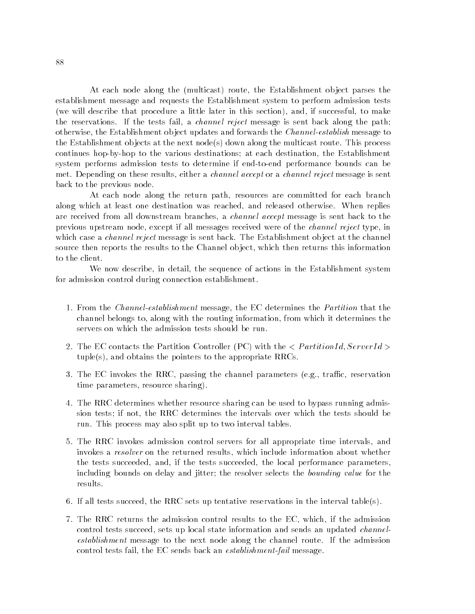At each node along the (multicast) route, the Establishment ob ject parses the establishment message and requests the Establishment system to perform admission tests (we will describe that procedure a little later in this section), and, if successful, to make the reservations. If the tests fail, a *channel reject* message is sent back along the path; otherwise, the Establishment object updates and forwards the *Channel-establish* message to the Establishment ob jects at the next node(s) down along the multicast route. This process continues hop-by-hop to the various destinations; at each destination, the Establishment system performs admission tests to determine if end-to-end performance bounds can be met. Depending on these results, either a *channel accept* or a *channel reject* message is sent back to the previous node.

At each node along the return path, resources are committed for each branch along which at least one destination was reached, and released otherwise. When replies are received from all downstream branches, a channel accept message is sent back to the previous upstream node, except if all messages received were of the channel reject type, in which case a *channel reject* message is sent back. The Establishment object at the channel source then reports the results to the Channel ob ject, which then returns this information to the client.

We now describe, in detail, the sequence of actions in the Establishment system for admission control during connection establishment.

- 1. From the Channel-establishment message, the EC determines the Partition that the channel belongs to, along with the routing information, from which it determines the servers on which the admission tests should be run.
- 2. The EC contacts the Partition Controller (PC) with the  $\langle PartitionId, ServerId \rangle$ tuple(s), and obtains the pointers to the appropriate RRCs.
- 3. The EC invokes the RRC, passing the channel parameters (e.g., traffic, reservation time parameters, resource sharing).
- 4. The RRC determines whether resource sharing can be used to bypass running admission tests; if not, the RRC determines the intervals over which the tests should be run. This process may also split up to two interval tables.
- 5. The RRC invokes admission control servers for all appropriate time intervals, and invokes a *resolver* on the returned results, which include information about whether the tests succeeded, and, if the tests succeeded, the local performance parameters, including bounds on delay and jitter; the resolver selects the bounding value for the results.
- 6. If all tests succeed, the RRC sets up tentative reservations in the interval table(s).
- 7. The RRC returns the admission control results to the EC, which, if the admission control tests succeed, sets up local state information and sends an updated channelestablishment message to the next node along the channel route. If the admission control tests fail, the EC sends back an establishment-fail message.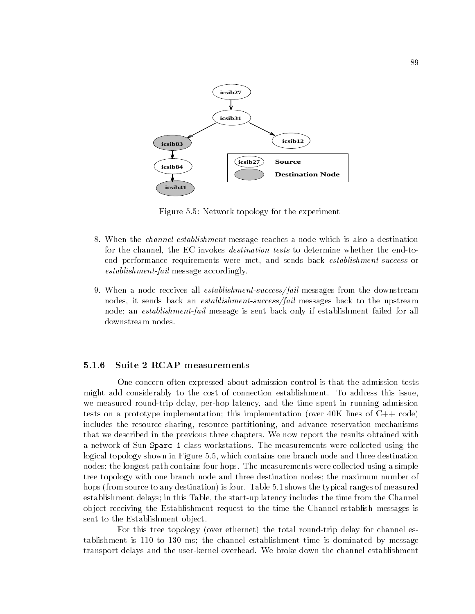

Figure 5.5: Network topology for the experiment

- 8. When the channel-establishment message reaches a node which is also a destination for the channel, the EC invokes destination tests to determine whether the end-toend performance requirements were met, and sends back establishment-success or establishment-fail message accordingly.
- 9. When a node receives all *establishment-success/fail* messages from the downstream nodes, it sends back an *establishment-success/fail* messages back to the upstream node; an establishment-fail message is sent back only if establishment failed for all downstream nodes.

### $5.1.6$ Suite 2 RCAP measurements

One concern often expressed about admission control is that the admission tests might add considerably to the cost of connection establishment. To address this issue, we measured round-trip delay, per-hop latency, and the time spent in running admission tests on a prototype implementation; this implementation (over  $40K$  lines of  $C++$  code) includes the resource sharing, resource partitioning, and advance reservation mechanisms that we described in the previous three chapters. We now report the results obtained with a network of Sun Sparc 1 class workstations. The measurements were collected using the logical topology shown in Figure 5.5, which contains one branch node and three destination nodes; the longest path contains four hops. The measurements were collected using a simple tree topology with one branch node and three destination nodes; the maximum number of hops (from source to any destination) is four. Table 5.1 shows the typical ranges of measured establishment delays; in this Table, the start-up latency includes the time from the Channel ob ject receiving the Establishment request to the time the Channel-establish messages is sent to the Establishment ob ject.

For this tree topology (over ethernet) the total round-trip delay for channel establishment is 110 to 130 ms; the channel establishment time is dominated by message transport delays and the user-kernel overhead. We broke down the channel establishment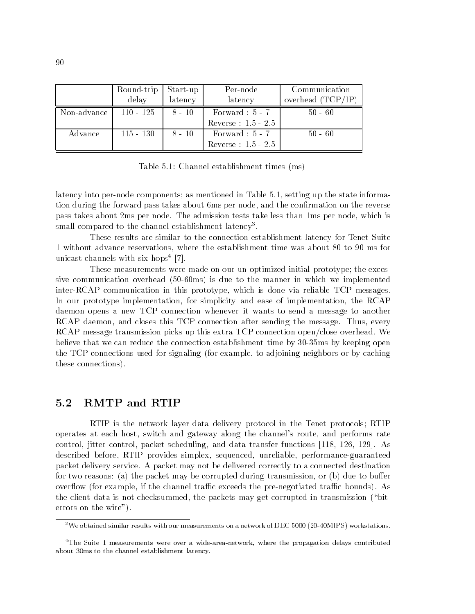|             | Round-trip  | Start-up | Per-node              | Communication       |
|-------------|-------------|----------|-----------------------|---------------------|
|             | delay       | latency  | latency               | overhead $(TCP/IP)$ |
| Non-advance | $110 - 125$ | $8 - 10$ | Forward : $5 - 7$     | $50 - 60$           |
|             |             |          | Reverse : $1.5 - 2.5$ |                     |
| Advance     | $115 - 130$ | $8 - 10$ | Forward : $5 - 7$     | $50 - 60$           |
|             |             |          | Reverse : $1.5 - 2.5$ |                     |

Table 5.1: Channel establishment times (ms)

latency into per-node components; as mentioned in Table 5.1, setting up the state information during the forward pass takes about 6ms per node, and the confirmation on the reverse pass takes about 2ms per node. The admission tests take less than 1ms per node, which is small compared to the channel establishment latency".

These results are similar to the connection establishment latency for Tenet Suite 1 without advance reservations, where the establishment time was about 80 to 90 ms for unicast channels with six hops4 [7].

These measurements were made on our un-optimized initial prototype; the excessive communication overhead (50-60ms) is due to the manner in which we implemented inter-RCAP communication in this prototype, which is done via reliable TCP messages. In our prototype implementation, for simplicity and ease of implementation, the RCAP daemon opens a new TCP connection whenever it wants to send a message to another RCAP daemon, and closes this TCP connection after sending the message. Thus, every RCAP message transmission picks up this extra TCP connection open/close overhead. We believe that we can reduce the connection establishment time by 30-35ms by keeping open the TCP connections used for signaling (for example, to adjoining neighbors or by caching these connections).

### 5.2 RMTP and RTIP  $5.2$

RTIP is the network layer data delivery protocol in the Tenet protocols; RTIP operates at each host, switch and gateway along the channel's route, and performs rate control, jitter control, packet scheduling, and data transfer functions [118, 126, 129]. As described before, RTIP provides simplex, sequenced, unreliable, performance-guaranteed packet delivery service. A packet may not be delivered correctly to a connected destination for two reasons: (a) the packet may be corrupted during transmission, or (b) due to buffer overflow (for example, if the channel traffic exceeds the pre-negotiated traffic bounds). As the client data is not checksummed, the packets may get corrupted in transmission (\biterrors on the wire").

 $3$ We obtained similar results with our measurements on a network of DEC 5000 (20-40MIPS) workstations.

<sup>&</sup>lt;sup>4</sup>The Suite 1 measurements were over a wide-area-network, where the propagation delays contributed about 30ms to the channel establishment latency.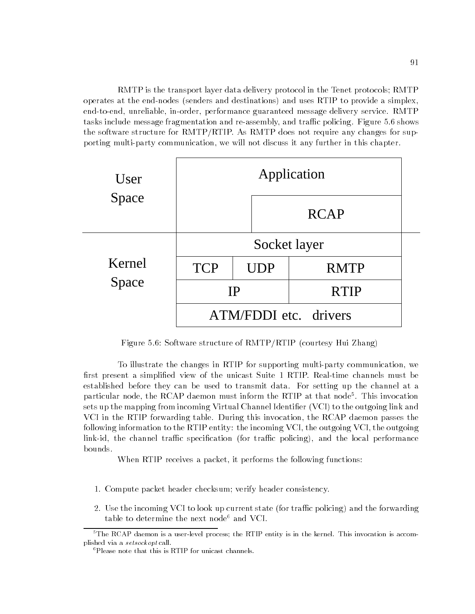RMTP is the transport layer data delivery protocol in the Tenet protocols; RMTP operates at the end-nodes (senders and destinations) and uses RTIP to provide a simplex, end-to-end, unreliable, in-order, performance guaranteed message delivery service. RMTP tasks include message fragmentation and re-assembly, and traffic policing. Figure 5.6 shows the software structure for RMTP/RTIP. As RMTP does not require any changes for supporting multi-party communication, we will not discuss it any further in this chapter.



Figure 5.6: Software structure of RMTP/RTIP (courtesy Hui Zhang)

To illustrate the changes in RTIP for supporting multi-party communication, we first present a simplified view of the unicast Suite 1 RTIP. Real-time channels must be established before they can be used to transmit data. For setting up the channel at a particular node, the RCAP daemon must inform the RTIP at that node5 . This invocation sets up the mapping from incoming Virtual Channel Identifier (VCI) to the outgoing link and VCI in the RTIP forwarding table. During this invocation, the RCAP daemon passes the following information to the RTIP entity: the incoming VCI, the outgoing VCI, the outgoing  $link-id$ , the channel traffic specification (for traffic policing), and the local performance bounds.

When RTIP receives a packet, it performs the following functions:

- 1. Compute packet header checksum; verify header consistency.
- 2. Use the incoming VCI to look up current state (for traffic policing) and the forwarding table to determine the next node<sup>6</sup> and VCI.

<sup>&</sup>lt;sup>5</sup>The RCAP daemon is a user-level process; the RTIP entity is in the kernel. This invocation is accomplished via a setsockopt call.

<sup>6</sup>Please note that this is RTIP for unicast channels.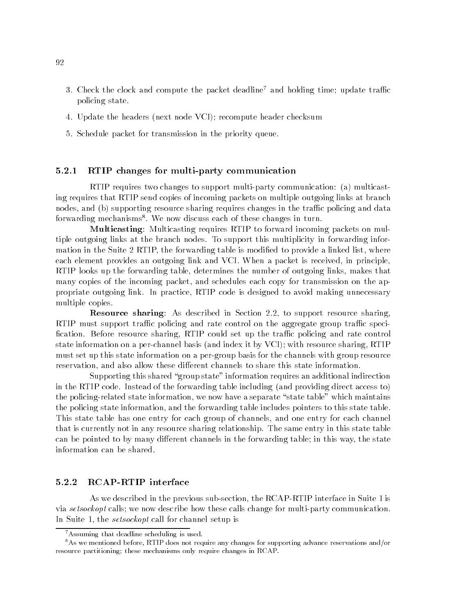- 3. Check the clock and compute the packet deadline<sup>7</sup> and holding time; update traffic policing state.
- 4. Update the headers (next node VCI); recompute header checksum
- 5. Schedule packet for transmission in the priority queue.

### 5.2.1 RTIP changes for multi-party communication

RTIP requires two changes to support multi-party communication: (a) multicasting requires that RTIP send copies of incoming packets on multiple outgoing links at branch nodes, and (b) supporting resource sharing requires changes in the traffic policing and data forwarding mechanisms8 . We now discuss each of these changes in turn.

Multicasting: Multicasting requires RTIP to forward incoming packets on multiple outgoing links at the branch nodes. To support this multiplicity in forwarding information in the Suite 2 RTIP, the forwarding table is modified to provide a linked list, where each element provides an outgoing link and VCI. When a packet is received, in principle, RTIP looks up the forwarding table, determines the number of outgoing links, makes that many copies of the incoming packet, and schedules each copy for transmission on the appropriate outgoing link. In practice, RTIP code is designed to avoid making unnecessary multiple copies.

Resource sharing: As described in Section 2.2, to support resource sharing, RTIP must support traffic policing and rate control on the aggregate group traffic specification. Before resource sharing, RTIP could set up the traffic policing and rate control state information on a per-channel basis (and index it by VCI); with resource sharing, RTIP must set up this state information on a per-group basis for the channels with group resource reservation, and also allow these different channels to share this state information.

Supporting this shared "group state" information requires an additional indirection in the RTIP code. Instead of the forwarding table including (and providing direct access to) the policing-related state information, we now have a separate "state table" which maintains the policing state information, and the forwarding table includes pointers to this state table. This state table has one entry for each group of channels, and one entry for each channel that is currently not in any resource sharing relationship. The same entry in this state table can be pointed to by many different channels in the forwarding table; in this way, the state information can be shared.

### 5.2.2 RCAP-RTIP interface

As we described in the previous sub-section, the RCAP-RTIP interface in Suite 1 is via setsockopt calls; we now describe how these calls change for multi-party communication. In Suite 1, the *setsockopt* call for channel setup is

<sup>7</sup>Assuming that deadline scheduling is used.

<sup>8</sup>As we mentioned before, RTIP does not require any changes for supporting advance reservations and/or resource partitioning; these mechanisms only require changes in RCAP.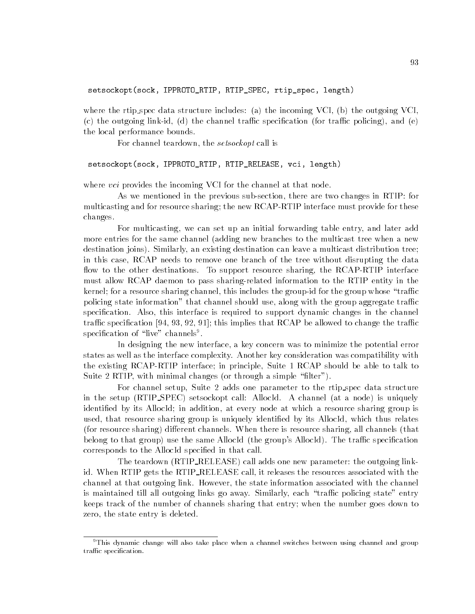where the rtip spec data structure includes: (a) the incoming VCI, (b) the outgoing VCI, (c) the outgoing link-id, (d) the channel traffic specification (for traffic policing), and (e) the local performance bounds.

For channel teardown, the *setsockopt* call is

### setsockopt(sock, IPPROTO\_RTIP, RTIP\_RELEASE, vci, length)

where *vci* provides the incoming VCI for the channel at that node.

As we mentioned in the previous sub-section, there are two changes in RTIP: for multicasting and for resource sharing; the new RCAP-RTIP interface must provide for these changes.

For multicasting, we can set up an initial forwarding table entry, and later add more entries for the same channel (adding new branches to the multicast tree when a new destination joins). Similarly, an existing destination can leaveamulticast distribution tree; in this case, RCAP needs to remove one branch of the tree without disrupting the data flow to the other destinations. To support resource sharing, the RCAP-RTIP interface must allow RCAP daemon to pass sharing-related information to the RTIP entity in the kernel; for a resource sharing channel, this includes the group-id for the group whose "traffic policing state information" that channel should use, along with the group aggregate traffic specification. Also, this interface is required to support dynamic changes in the channel traffic specification [94, 93, 92, 91]; this implies that RCAP be allowed to change the traffic specification of tive channels . .

In designing the new interface, a key concern was to minimize the potential error states as well as the interface complexity. Another key consideration was compatibility with the existing RCAP-RTIP interface; in principle, Suite 1 RCAP should be able to talk to Suite 2 RTIP, with minimal changes (or through a simple "filter").

For channel setup, Suite 2 adds one parameter to the rtip spec data structure in the setup (RTIP SPEC) setsockopt call: AllocId. A channel (at a node) is uniquely identified by its AllocId; in addition, at every node at which a resource sharing group is used, that resource sharing group is uniquely identied by its AllocId, which thus relates (for resource sharing) different channels. When there is resource sharing, all channels (that belong to that group) use the same AllocId (the group's AllocId). The traffic specification corresponds to the AllocId specied in that call.

The teardown (RTIP\_RELEASE) call adds one new parameter: the outgoing linkid. When RTIP gets the RTIP RELEASE call, it releases the resources associated with the channel at that outgoing link. However, the state information associated with the channel is maintained till all outgoing links go away. Similarly, each "traffic policing state" entry keeps track of the number of channels sharing that entry; when the number goes down to zero, the state entry is deleted.

<sup>&</sup>lt;sup>9</sup>This dynamic change will also take place when a channel switches between using channel and group traffic specification.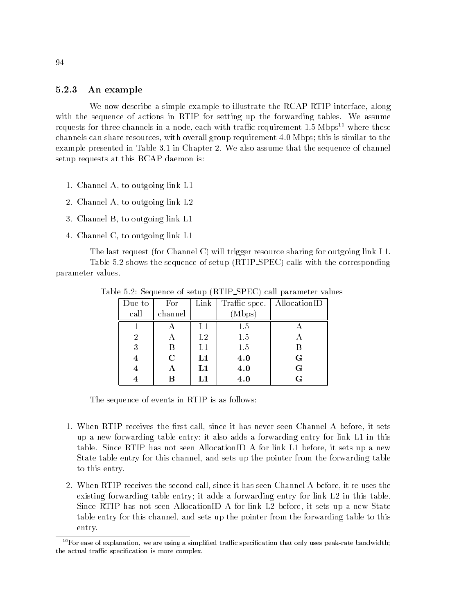### 5.2.3 An example

We now describe a simple example to illustrate the RCAP-RTIP interface, along with the sequence of actions in RTIP for setting up the forwarding tables. We assume requests for three channels in a node, each with traffic requirement  $1.5 \text{ Mbps}^{10}$  where these channels can share resources, with overall group requirement 4.0 Mbps; this is similar to the example presented in Table 3.1 in Chapter 2. We also assume that the sequence of channel setup requests at this RCAP daemon is:

- 1. Channel A, to outgoing link L1
- 2. Channel A, to outgoing link L2
- 3. Channel B, to outgoing link L1
- 4. Channel C, to outgoing link L1

The last request (for Channel C) will trigger resource sharing for outgoing link L1. Table 5.2 shows the sequence of setup (RTIP SPEC) calls with the corresponding parameter values.

| Due to         | For         | Link        | Traffic spec. | AllocationID |  |
|----------------|-------------|-------------|---------------|--------------|--|
| call           | channel     |             | (Mbps)        |              |  |
|                |             |             | 1.5           |              |  |
| $\overline{2}$ | А           | $^{\rm L2}$ | 1.5           | А            |  |
| 3              | В           | L1          | 1.5           | В            |  |
| 4              | $\mathbf C$ | L1          | 4.0           | $\mathbf G$  |  |
| 4              | Α           | L1          | 4.0           | $\mathbf G$  |  |
| 4              | В           | L1          | 4.0           | G            |  |

Table 5.2: Sequence of setup (RTIP SPEC) call parameter values

The sequence of events in RTIP is as follows:

- 1. When RTIP receives the first call, since it has never seen Channel A before, it sets up a new forwarding table entry; it also adds a forwarding entry for link L1 in this table. Since RTIP has not seen AllocationID A for link L1 before, it sets up a new State table entry for this channel, and sets up the pointer from the forwarding table to this entry.
- 2. When RTIP receives the second call, since it has seen Channel A before, it re-uses the existing forwarding table entry; it adds a forwarding entry for link L2 in this table. Since RTIP has not seen AllocationID A for link L2 before, it sets up a new State table entry for this channel, and sets up the pointer from the forwarding table to this entry.

 $10$  For ease of explanation, we are using a simplified traffic specification that only uses peak-rate bandwidth; the actual traffic specification is more complex.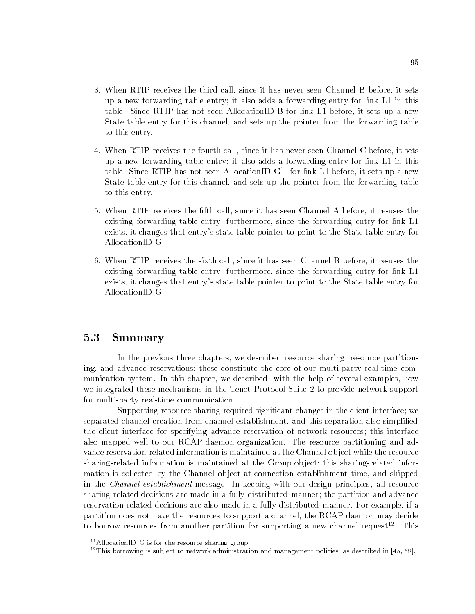- 3. When RTIP receives the third call, since it has never seen Channel B before, it sets up a new forwarding table entry; it also adds a forwarding entry for link L1 in this table. Since RTIP has not seen AllocationID B for link L1 before, it sets up a new State table entry for this channel, and sets up the pointer from the forwarding table to this entry.
- 4. When RTIP receives the fourth call, since it has never seen Channel C before, it sets up a new forwarding table entry; it also adds a forwarding entry for link L1 in this table. Since RTIP has not seen AllocationID  $G<sup>11</sup>$  for link L1 before, it sets up a new State table entry for this channel, and sets up the pointer from the forwarding table to this entry.
- 5. When RTIP receives the fth call, since it has seen Channel A before, it re-uses the existing forwarding table entry; furthermore, since the forwarding entry for link L1 exists, it changes that entry's state table pointer to point to the State table entry for AllocationID G.
- 6. When RTIP receives the sixth call, since it has seen Channel B before, it re-uses the existing forwarding table entry; furthermore, since the forwarding entry for link L1 exists, it changes that entry's state table pointer to point to the State table entry for AllocationID G.

## 5.3 Summary

In the previous three chapters, we described resource sharing, resource partitioning, and advance reservations; these constitute the core of our multi-party real-time communication system. In this chapter, we described, with the help of several examples, how we integrated these mechanisms in the Tenet Protocol Suite 2 to provide network support for multi-party real-time communication.

Supporting resource sharing required significant changes in the client interface; we separated channel creation from channel establishment, and this separation also simplied the client interface for specifying advance reservation of network resources; this interface also mapped well to our RCAP daemon organization. The resource partitioning and advance reservation-related information is maintained at the Channel ob ject while the resource sharing-related information is maintained at the Group object; this sharing-related information is collected by the Channel ob ject at connection establishment time, and shipped in the Channel establishment message. In keeping with our design principles, all resource sharing-related decisions are made in a fully-distributed manner; the partition and advance reservation-related decisions are also made in a fully-distributed manner. For example, if a partition does not have the resources to support a channel, the RCAP daemon may decide to borrow resources from another partition for supporting a new channel request<sup>12</sup>. This

<sup>&</sup>lt;sup>11</sup>AllocationID G is for the resource sharing group.

<sup>&</sup>lt;sup>12</sup>This borrowing is subject to network administration and management policies, as described in [45, 58].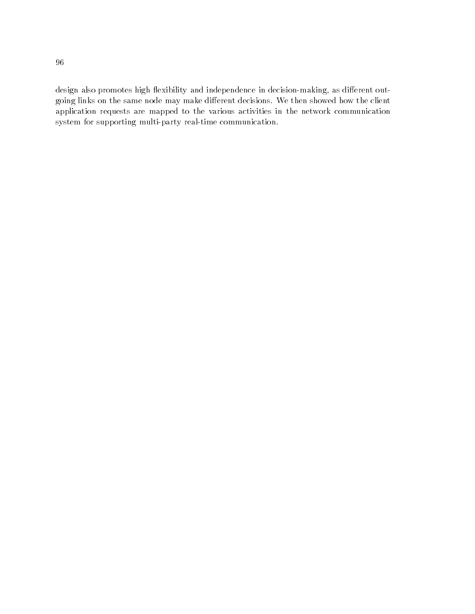design also promotes high flexibility and independence in decision-making, as different outgoing links on the same node may make different decisions. We then showed how the client application requests are mapped to the various activities in the network communication system for supporting multi-party real-time communication.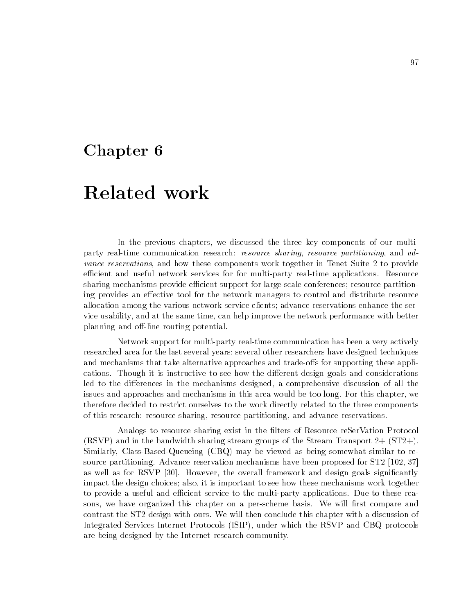## Chapter 6

## Related work

In the previous chapters, we discussed the three key components of our multiparty real-time communication research: *resource sharing, resource partitioning*, and advance reservations, and how these components work together in Tenet Suite 2 to provide efficient and useful network services for for multi-party real-time applications. Resource sharing mechanisms provide efficient support for large-scale conferences; resource partitioning provides an effective tool for the network managers to control and distribute resource allocation among the various network service clients; advance reservations enhance the service usability, and at the same time, can help improve the network performance with better planning and off-line routing potential.

Network support for multi-party real-time communication has been a very actively researched area for the last several years; several other researchers have designed techniques and mechanisms that take alternative approaches and trade-offs for supporting these applications. Though it is instructive to see how the different design goals and considerations led to the differences in the mechanisms designed, a comprehensive discussion of all the issues and approaches and mechanisms in this area would be too long. For this chapter, we therefore decided to restrict ourselves to the work directly related to the three components of this research: resource sharing, resource partitioning, and advance reservations.

Analogs to resource sharing exist in the filters of Resource reSerVation Protocol (RSVP) and in the bandwidth sharing stream groups of the Stream Transport 2+ (ST2+). Similarly, Class-Based-Queueing (CBQ) may be viewed as being somewhat similar to resource partitioning. Advance reservation mechanisms have been proposed for ST2 [102, 37] as well as for RSVP [30]. However, the overall framework and design goals significantly impact the design choices; also, it is important to see how these mechanisms work together to provide a useful and efficient service to the multi-party applications. Due to these reasons, we have organized this chapter on a per-scheme basis. We will first compare and contrast the ST2 design with ours. We will then conclude this chapter with a discussion of Integrated Services Internet Protocols (ISIP), under which the RSVP and CBQ protocols are being designed by the Internet research community.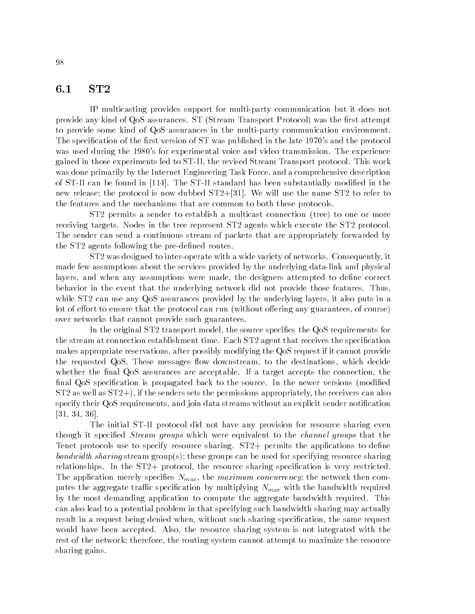### 6.1 ST2

IP multicasting provides support for multi-party communication but it does not provide any kind of QoS assurances. ST (Stream Transport Protocol) was the first attempt to provide some kind of QoS assurances in the multi-party communication environment. The specification of the first version of ST was published in the late 1970's and the protocol was used during the 1980's for experimental voice and video transmission. The experience gained in those experiments led to ST-II, the revised Stream Transport protocol. This work was done primarily by the Internet Engineering Task Force, and a comprehensive description of ST-II can be found in [114]. The ST-II standard has been substantially modied in the new release; the protocol is now dubbed  $ST2+[31]$ . We will use the name  $ST2$  to refer to the features and the mechanisms that are common to both these protocols.

ST2 permits a sender to establish a multicast connection (tree) to one or more receiving targets. Nodes in the tree represent ST2 agents which execute the ST2 protocol. The sender can send a continuous stream of packets that are appropriately forwarded by the ST2 agents following the pre-defined routes.

ST2 was designed to inter-operate with a wide variety of networks. Consequently, it made few assumptions about the services provided by the underlying data-link and physical layers, and when any assumptions were made, the designers attempted to define correct behavior in the event that the underlying network did not provide those features. Thus, while ST2 can use any QoS assurances provided by the underlying layers, it also puts in a lot of effort to ensure that the protocol can run (without offering any guarantees, of course) over networks that cannot provide such guarantees.

In the original ST2 transport model, the source specifies the QoS requirements for the stream at connection establishment time. Each ST2 agent that receives the specication makes appropriate reservations, after possibly modifying the QoS request if it cannot provide the requested QoS. These messages flow downstream, to the destinations, which decide whether the final QoS assurances are acceptable. If a target accepts the connection, the final QoS specification is propagated back to the source. In the newer versions (modified ST2 as well as ST2+), if the senders sets the permissions appropriately, the receivers can also specify their QoS requirements, and join data streams without an explicit sender notification [31, 34, 36].

The initial ST-II protocol did not have any provision for resource sharing even though it specified *Stream groups* which were equivalent to the *channel groups* that the Tenet protocols use to specify resource sharing. ST2+ permits the applications to define bandwidth sharing stream group(s); these groups can be used for specifying resource sharing relationships. In the ST2+ protocol, the resource sharing specification is very restricted. The application merely specifies  $N_{max}$ , the maximum concurrency; the network then computes the aggregate traces operation by multiplying summer with the bandwidth required  $\sim$ by the most demanding application to compute the aggregate bandwidth required. This can also lead to a potential problem in that specifying such bandwidth sharing may actually result in a request being denied when, without such sharing specication, the same request would have been accepted. Also, the resource sharing system is not integrated with the rest of the network; therefore, the routing system cannot attempt to maximize the resource sharing gains.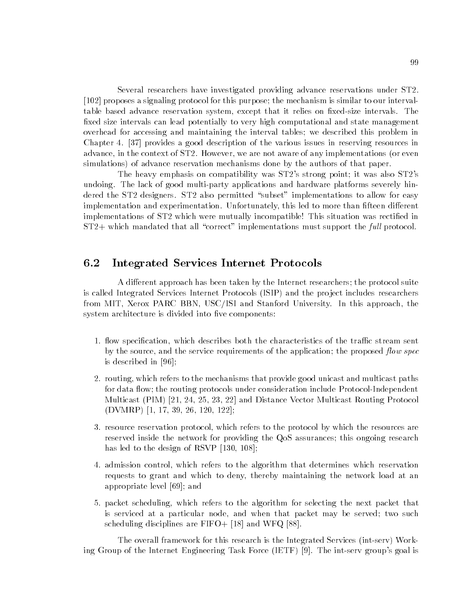Several researchers have investigated providing advance reservations under ST2. [102] proposes a signaling protocol for this purpose; the mechanism is similar to our intervaltable based advance reservation system, except that it relies on fixed-size intervals. The fixed size intervals can lead potentially to very high computational and state management overhead for accessing and maintaining the interval tables; we described this problem in Chapter 4. [37] provides a good description of the various issues in reserving resources in advance, in the context of ST2. However, we are not aware of any implementations (or even simulations) of advance reservation mechanisms done by the authors of that paper.

The heavy emphasis on compatibility was ST2's strong point; it was also ST2's undoing. The lack of good multi-party applications and hardware platforms severely hindered the  $ST2$  designers.  $ST2$  also permitted "subset" implementations to allow for easy implementation and experimentation. Unfortunately, this led to more than fifteen different implementations of ST2 which were mutually incompatible! This situation was rectied in  $ST2+$  which mandated that all "correct" implementations must support the full protocol.

#### $6.2$ 6.2 Integrated Services Internet Protocols

A different approach has been taken by the Internet researchers; the protocol suite is called Integrated Services Internet Protocols (ISIP) and the project includes researchers from MIT, Xerox PARC BBN, USC/ISI and Stanford University. In this approach, the system architecture is divided into five components:

- 1. flow specification, which describes both the characteristics of the traffic stream sent by the source, and the service requirements of the application; the proposed *flow spec* is described in [96];
- 2. routing, which refers to the mechanisms that provide good unicast and multicast paths for data flow; the routing protocols under consideration include Protocol-Independent Multicast (PIM) [21, 24, 25, 23, 22] and Distance Vector Multicast Routing Protocol (DVMRP) [1, 17, 39, 26, 120, 122];
- 3. resource reservation protocol, which refers to the protocol by which the resources are reserved inside the network for providing the QoS assurances; this ongoing research has led to the design of RSVP [130, 108];
- 4. admission control, which refers to the algorithm that determines which reservation requests to grant and which to deny, thereby maintaining the network load at an appropriate level [69]; and
- 5. packet scheduling, which refers to the algorithm for selecting the next packet that is serviced at a particular node, and when that packet may be served; two such scheduling disciplines are FIFO+ [18] and WFQ [88].

The overall framework for this research is the Integrated Services (int-serv) Working Group of the Internet Engineering Task Force (IETF) [9]. The int-serv group's goal is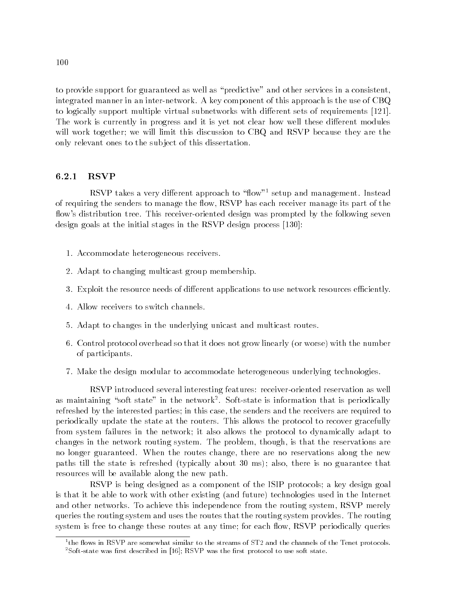to provide support for guaranteed as well as "predictive" and other services in a consistent, integrated manner in an inter-network. A key component of this approach is the use of CBQ to logically support multiple virtual subnetworks with different sets of requirements [121]. The work is currently in progress and it is yet not clear how well these different modules will work together; we will limit this discussion to CBQ and RSVP because they are the only relevant ones to the sub ject of this dissertation.

RSVP takes a very different approach to "flow"<sup>1</sup> setup and management. Instead of requiring the senders to manage the flow, RSVP has each receiver manage its part of the flow's distribution tree. This receiver-oriented design was prompted by the following seven design goals at the initial stages in the RSVP design process [130]:

- 1. Accommodate heterogeneous receivers.
- 2. Adapt to changing multicast group membership.
- 3. Exploit the resource needs of different applications to use network resources efficiently.
- 4. Allow receivers to switch channels.
- 5. Adapt to changes in the underlying unicast and multicast routes.
- 6. Control protocol overhead so that it does not grow linearly (or worse) with the number of participants.
- 7. Make the design modular to accommodate heterogeneous underlying technologies.

RSVP introduced several interesting features: receiver-oriented reservation as well as maintaining "soft state" in the network". Soft-state is information that is periodically refreshed by the interested parties; in this case, the senders and the receivers are required to periodically update the state at the routers. This allows the protocol to recover gracefully from system failures in the network; it also allows the protocol to dynamically adapt to changes in the network routing system. The problem, though, is that the reservations are no longer guaranteed. When the routes change, there are no reservations along the new paths till the state is refreshed (typically about 30 ms); also, there is no guarantee that resources will be available along the new path.

RSVP is being designed as a component of the ISIP protocols; a key design goal is that it be able to work with other existing (and future) technologies used in the Internet and other networks. To achieve this independence from the routing system, RSVP merely queries the routing system and uses the routes that the routing system provides. The routing system is free to change these routes at any time; for each flow, RSVP periodically queries

the flows in  $\text{KSVP}$  are somewhat similar to the streams of ST2 and the channels of the Tenet protocols.

 ${}^{2}$ Soft-state was first described in [16]; RSVP was the first protocol to use soft state.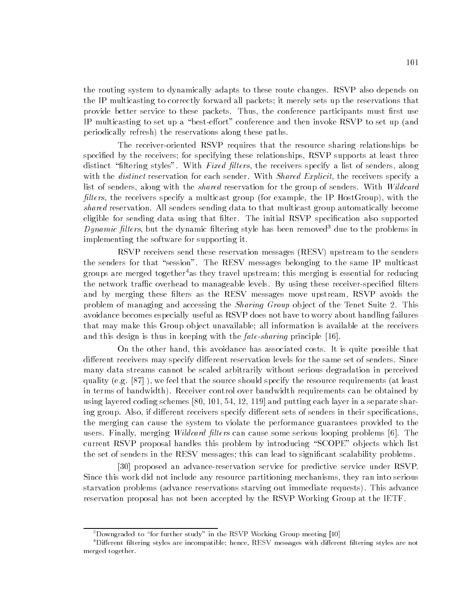the routing system to dynamically adapts to these route changes. RSVP also depends on the IP multicasting to correctly forward all packets; it merely sets up the reservations that provide better service to these packets. Thus, the conference participants must first use IP multicasting to set up a "best-effort" conference and then invoke RSVP to set up (and periodically refresh) the reservations along these paths.

The receiver-oriented RSVP requires that the resource sharing relationships be specified by the receivers; for specifying these relationships, RSVP supports at least three distinct "filtering styles". With Fixed filters, the receivers specify a list of senders, along with the *distinct* reservation for each sender. With *Shared Explicit*, the receivers specify a list of senders, along with the *shared* reservation for the group of senders. With *Wildcard filters*, the receivers specify a multicast group (for example, the IP HostGroup), with the shared reservation. All senders sending data to that multicast group automatically become eligible for sending data using that filter. The initial RSVP specification also supported Dynamic filters, but the dynamic filtering style has been removed<sup>3</sup> due to the problems in implementing the software for supporting it.

RSVP receivers send these reservation messages (RESV) upstream to the senders the senders for that "session". The RESV messages belonging to the same IP multicast groups are merged together<sup>4</sup>as they travel upstream; this merging is essential for reducing the network traffic overhead to manageable levels. By using these receiver-specified filters and by merging these filters as the RESV messages move upstream, RSVP avoids the problem of managing and accessing the *Sharing Group* object of the Tenet Suite 2. This avoidance becomes especially useful as RSVP does not have to worry about handling failures that may make this Group ob ject unavailable; all information is available at the receivers and this design is thus in keeping with the *fate-sharing* principle [16].

On the other hand, this avoidance has associated costs. It is quite possible that different receivers may specify different reservation levels for the same set of senders. Since many data streams cannot be scaled arbitrarily without serious degradation in perceived quality (e.g. [87] ), we feel that the source should specify the resource requirements (at least in terms of bandwidth). Receiver control over bandwidth requirements can be obtained by using layered coding schemes [80, 101, 54, 12, 119] and putting each layer in a separate sharing group. Also, if different receivers specify different sets of senders in their specifications, the merging can cause the system to violate the performance guarantees provided to the users. Finally, merging *Wildcard filters* can cause some serious looping problems [6]. The current RSVP proposal handles this problem by introducing "SCOPE" objects which list the set of senders in the RESV messages; this can lead to significant scalability problems.

[30] proposed an advance-reservation service for predictive service under RSVP. Since this work did not include any resource partitioning mechanisms, they ran into serious starvation problems (advance reservations starving out immediate requests). This advance reservation proposal has not been accepted by the RSVP Working Group at the IETF.

 $3$ Downgraded to "for further study" in the RSVP Working Group meeting [10]

 $4$ Different filtering styles are incompatible; hence, RESV messages with different filtering styles are not merged together.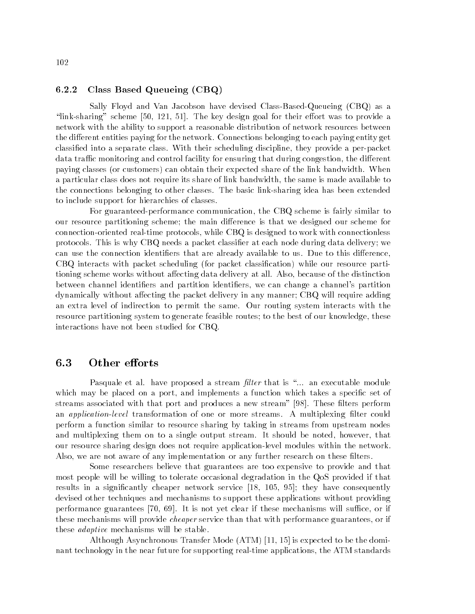#### 6.2.2 Class Based Queueing (CBQ)

Sally Floyd and Van Jacobson have devised Class-Based-Queueing (CBQ) as a " $\ln k$ -sharing" scheme [50, 121, 51]. The key design goal for their effort was to provide a network with the ability to support a reasonable distribution of network resources between the different entities paying for the network. Connections belonging to each paying entity get classied into a separate class. With their scheduling discipline, they provide a per-packet data traffic monitoring and control facility for ensuring that during congestion, the different paying classes (or customers) can obtain their expected share of the link bandwidth. When a particular class does not require its share of link bandwidth, the same is made available to the connections belonging to other classes. The basic link-sharing idea has been extended to include support for hierarchies of classes.

For guaranteed-performance communication, the CBQ scheme is fairly similar to our resource partitioning scheme; the main difference is that we designed our scheme for connection-oriented real-time protocols, while CBQ is designed to work with connectionless protocols. This is why CBQ needs a packet classifier at each node during data delivery; we can use the connection identifiers that are already available to us. Due to this difference, CBQ interacts with packet scheduling (for packet classication) while our resource partitioning scheme works without affecting data delivery at all. Also, because of the distinction between channel identifiers and partition identifiers, we can change a channel's partition dynamically without affecting the packet delivery in any manner; CBQ will require adding an extra level of indirection to permit the same. Our routing system interacts with the resource partitioning system to generate feasible routes; to the best of our knowledge, these interactions have not been studied for CBQ.

#### 6.3 Other efforts

Pasquale et al. have proposed a stream *filter* that is "... an executable module which may be placed on a port, and implements a function which takes a specific set of streams associated with that port and produces a new stream" [98]. These filters perform an *application-level* transformation of one or more streams. A multiplexing filter could perform a function similar to resource sharing by taking in streams from upstream nodes and multiplexing them on to a single output stream. It should be noted, however, that our resource sharing design does not require application-level modules within the network. Also, we are not aware of any implementation or any further research on these filters.

Some researchers believe that guarantees are too expensive to provide and that most people will be willing to tolerate occasional degradation in the QoS provided if that results in a signicantly cheaper network service [18, 105, 95]; they have consequently devised other techniques and mechanisms to support these applications without providing performance guarantees  $[70, 69]$ . It is not yet clear if these mechanisms will suffice, or if these mechanisms will provide *cheaper* service than that with performance guarantees, or if these adaptive mechanisms will be stable.

Although Asynchronous Transfer Mode (ATM) [11, 15] is expected to be the dominant technology in the near future for supporting real-time applications, the ATM standards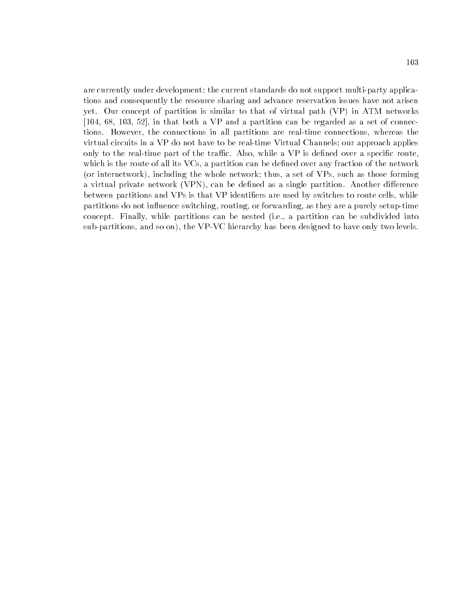are currently under development; the current standards do not support multi-party applications and consequently the resource sharing and advance reservation issues have not arisen yet. Our concept of partition is similar to that of virtual path (VP) in ATM networks [104, 68, 103, 52], in that both a VP and a partition can be regarded as a set of connections. However, the connections in all partitions are real-time connections, whereas the virtual circuits in a VP do not have to be real-time Virtual Channels; our approach applies only to the real-time part of the traffic. Also, while a VP is defined over a specific route, which is the route of all its VCs, a partition can be defined over any fraction of the network (or internetwork), including the whole network; thus, a set of VPs, such as those forming a virtual private network (VPN), can be defined as a single partition. Another difference between partitions and VPs is that VP identiers are used by switches to route cells, while partitions do not influence switching, routing, or forwarding, as they are a purely setup-time concept. Finally, while partitions can be nested (i.e., a partition can be subdivided into sub-partitions, and so on), the VP-VC hierarchy has been designed to have only two levels.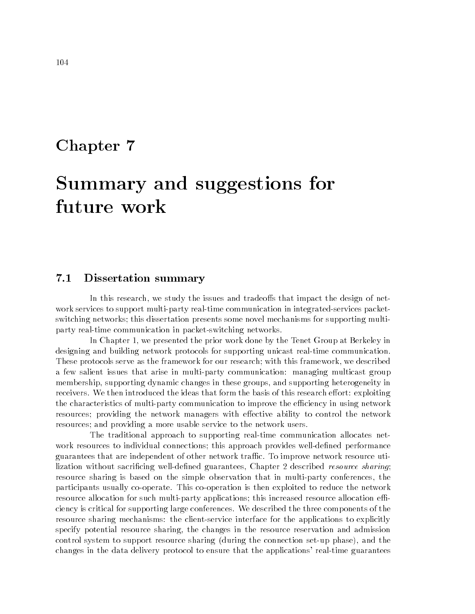### Chapter 7

# Summary and suggestions for future work

### 7.1 Dissertation summary

In this research, we study the issues and tradeoffs that impact the design of network services to support multi-party real-time communication in integrated-services packetswitching networks; this dissertation presents some novel mechanisms for supporting multiparty real-time communication in packet-switching networks.

In Chapter 1, we presented the prior work done by the Tenet Group at Berkeley in designing and building network protocols for supporting unicast real-time communication. These protocols serve as the framework for our research; with this framework, we described a few salient issues that arise in multi-party communication: managing multicast group membership, supporting dynamic changes in these groups, and supporting heterogeneity in receivers. We then introduced the ideas that form the basis of this research effort: exploiting the characteristics of multi-party communication to improve the efficiency in using network resources; providing the network managers with effective ability to control the network resources; and providing a more usable service to the network users.

The traditional approach to supporting real-time communication allocates network resources to individual connections; this approach provides well-defined performance guarantees that are independent of other network trac. To improve network resource utilization without sacrificing well-defined guarantees, Chapter 2 described resource sharing; resource sharing is based on the simple observation that in multi-party conferences, the participants usually co-operate. This co-operation is then exploited to reduce the network resource allocation for such multi-party applications; this increased resource allocation efficiency is critical for supporting large conferences. We described the three components of the resource sharing mechanisms: the client-service interface for the applications to explicitly specify potential resource sharing, the changes in the resource reservation and admission control system to support resource sharing (during the connection set-up phase), and the changes in the data delivery protocol to ensure that the applications' real-time guarantees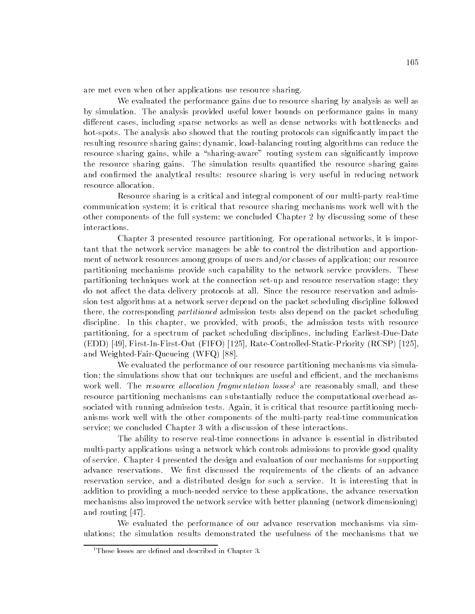are met even when other applications use resource sharing.

We evaluated the performance gains due to resource sharing by analysis as well as by simulation. The analysis provided useful lower bounds on performance gains in many different cases, including sparse networks as well as dense networks with bottlenecks and hot-spots. The analysis also showed that the routing protocols can significantly impact the resulting resource sharing gains; dynamic, load-balancing routing algorithms can reduce the resource sharing gains, while a "sharing-aware" routing system can significantly improve the resource sharing gains. The simulation results quantified the resource sharing gains and confirmed the analytical results: resource sharing is very useful in reducing network resource allocation.

Resource sharing is a critical and integral component of our multi-party real-time communication system; it is critical that resource sharing mechanisms work well with the other components of the full system; we concluded Chapter 2 by discussing some of these

Chapter 3 presented resource partitioning. For operational networks, it is important that the network service managers be able to control the distribution and apportionment of network resources among groups of users and/or classes of application; our resource partitioning mechanisms provide such capability to the network service providers. These partitioning techniques work at the connection set-up and resource reservation stage; they do not affect the data delivery protocols at all. Since the resource reservation and admission test algorithms at a network server depend on the packet scheduling discipline followed there, the corresponding *partitioned* admission tests also depend on the packet scheduling discipline. In this chapter, we provided, with proofs, the admission tests with resource partitioning, for a spectrum of packet scheduling disciplines, including Earliest-Due-Date (EDD) [49], First-In-First-Out (FIFO) [125], Rate-Controlled-Static-Priority (RCSP) [125], and Weighted-Fair-Queueing (WFQ) [88].

We evaluated the performance of our resource partitioning mechanisms via simulation; the simulations show that our techniques are useful and efficient, and the mechanisms work well. The *resource allocation fragmentation losses*<sup>1</sup> are reasonably small, and these resource partitioning mechanisms can substantially reduce the computational overhead associated with running admission tests. Again, it is critical that resource partitioning mechanisms work well with the other components of the multi-party real-time communication service; we concluded Chapter 3 with a discussion of these interactions.

The ability to reserve real-time connections in advance is essential in distributed multi-party applications using a network which controls admissions to provide good quality of service. Chapter 4 presented the design and evaluation of our mechanisms for supporting advance reservations. We first discussed the requirements of the clients of an advance reservation service, and a distributed design for such a service. It is interesting that in addition to providing a much-needed service to these applications, the advance reservation mechanisms also improved the network service with better planning (network dimensioning) and routing [47].

We evaluated the performance of our advance reservation mechanisms via simulations; the simulation results demonstrated the usefulness of the mechanisms that we

<sup>&</sup>lt;sup>1</sup>These losses are defined and described in Chapter 3.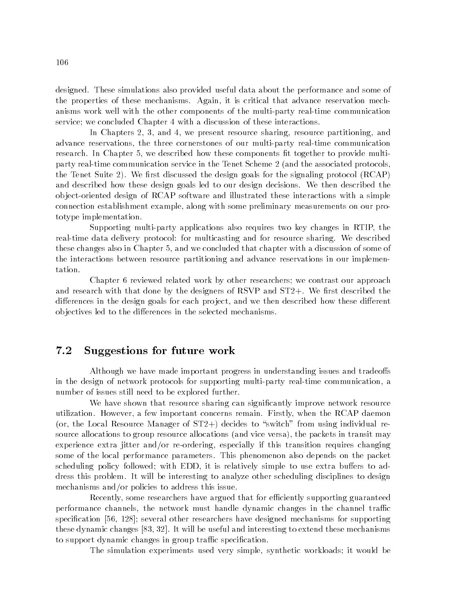designed. These simulations also provided useful data about the performance and some of the properties of these mechanisms. Again, it is critical that advance reservation mechanisms work well with the other components of the multi-party real-time communication service; we concluded Chapter 4 with a discussion of these interactions.

In Chapters 2, 3, and 4, we present resource sharing, resource partitioning, and advance reservations, the three cornerstones of our multi-party real-time communication research. In Chapter 5, we described how these components fit together to provide multiparty real-time communication service in the Tenet Scheme 2 (and the associated protocols, the Tenet Suite 2). We first discussed the design goals for the signaling protocol  $(RCAP)$ and described how these design goals led to our design decisions. We then described the ob ject-oriented design of RCAP software and illustrated these interactions with a simple connection establishment example, along with some preliminary measurements on our prototype implementation.

Supporting multi-party applications also requires two key changes in RTIP, the real-time data delivery protocol: for multicasting and for resource sharing. We described these changes also in Chapter 5, and we concluded that chapter with a discussion of some of the interactions between resource partitioning and advance reservations in our implementation.

Chapter 6 reviewed related work by other researchers; we contrast our approach and research with that done by the designers of RSVP and  $ST2+$ . We first described the differences in the design goals for each project, and we then described how these different objectives led to the differences in the selected mechanisms.

#### 7.2 Suggestions for future work

Although we have made important progress in understanding issues and tradeoffs in the design of network protocols for supporting multi-party real-time communication, a number of issues still need to be explored further.

We have shown that resource sharing can signicantly improve network resource utilization. However, a few important concerns remain. Firstly, when the RCAP daemon (or, the Local Resource Manager of  $ST2+$ ) decides to "switch" from using individual resource allocations to group resource allocations (and vice versa), the packets in transit may experience extra jitter and/or re-ordering, especially if this transition requires changing some of the local performance parameters. This phenomenon also depends on the packet scheduling policy followed; with EDD, it is relatively simple to use extra buffers to address this problem. It will be interesting to analyze other scheduling disciplines to design mechanisms and/or policies to address this issue.

Recently, some researchers have argued that for efficiently supporting guaranteed performance channels, the network must handle dynamic changes in the channel traffic specification [56, 128]; several other researchers have designed mechanisms for supporting these dynamic changes [83, 32]. It will be useful and interesting to extend these mechanisms to support dynamic changes in group traffic specification.

The simulation experiments used very simple, synthetic workloads; it would be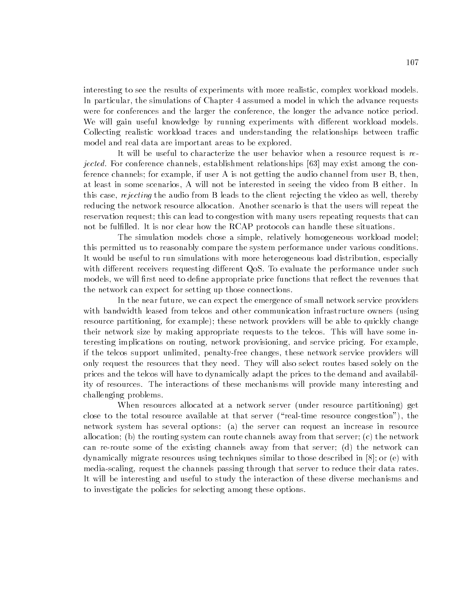interesting to see the results of experiments with more realistic, complex workload models. In particular, the simulations of Chapter 4 assumed a model in which the advance requests were for conferences and the larger the conference, the longer the advance notice period. We will gain useful knowledge by running experiments with different workload models. Collecting realistic workload traces and understanding the relationships between traffic model and real data are important areas to be explored.

It will be useful to characterize the user behavior when a resource request is rejected. For conference channels, establishment relationships [63] may exist among the conference channels; for example, if user A is not getting the audio channel from user B, then, at least in some scenarios, A will not be interested in seeing the video from B either. In this case, *rejecting* the audio from B leads to the client rejecting the video as well, thereby reducing the network resource allocation. Another scenario is that the users will repeat the reservation request; this can lead to congestion with many users repeating requests that can not be fulfilled. It is nor clear how the RCAP protocols can handle these situations.

The simulation models chose a simple, relatively homogeneous workload model; this permitted us to reasonably compare the system performance under various conditions. It would be useful to run simulations with more heterogeneous load distribution, especially with different receivers requesting different QoS. To evaluate the performance under such models, we will first need to define appropriate price functions that reflect the revenues that the network can expect for setting up those connections.

In the near future, we can expect the emergence of small network service providers with bandwidth leased from telcos and other communication infrastructure owners (using resource partitioning, for example); these network providers will be able to quickly change their network size by making appropriate requests to the telcos. This will have some interesting implications on routing, network provisioning, and service pricing. For example, if the telcos support unlimited, penalty-free changes, these network service providers will only request the resources that they need. They will also select routes based solely on the prices and the telcos will have to dynamically adapt the prices to the demand and availability of resources. The interactions of these mechanisms will provide many interesting and challenging problems.

When resources allocated at a network server (under resource partitioning) get close to the total resource available at that server ("real-time resource congestion"), the network system has several options: (a) the server can request an increase in resource allocation; (b) the routing system can route channels away from that server; (c) the network can re-route some of the existing channels away from that server; (d) the network can dynamically migrate resources using techniques similar to those described in [8]; or (e) with media-scaling, request the channels passing through that server to reduce their data rates. It will be interesting and useful to study the interaction of these diverse mechanisms and to investigate the policies for selecting among these options.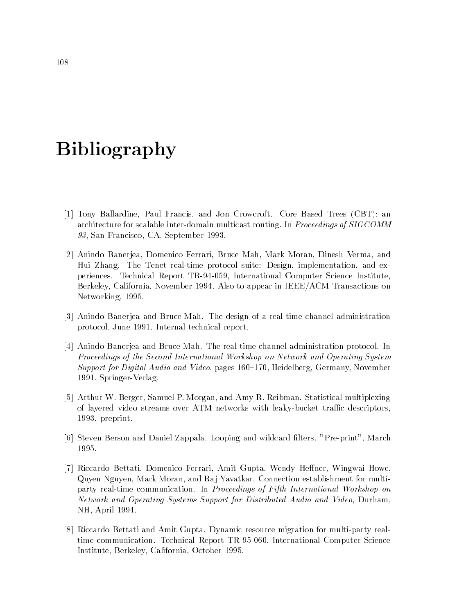# Bibliography

- [1] Tony Ballardine, Paul Francis, and Jon Crowcroft. Core Based Trees (CBT): an architecture for scalable inter-domain multicast routing. In *Proceedings of SIGCOMM* 93, San Francisco, CA, September 1993.
- [2] Anindo Banerjea, Domenico Ferrari, Bruce Mah, Mark Moran, Dinesh Verma, and Hui Zhang. The Tenet real-time protocol suite: Design, implementation, and experiences. Technical Report TR-94-059, International Computer Science Institute, Berkeley, California, November 1994. Also to appear in IEEE/ACM Transactions on Networking, 1995.
- [3] Anindo Banerjea and Bruce Mah. The design of a real-time channel administration protocol, June 1991. Internal technical report.
- [4] Anindo Banerjea and Bruce Mah. The real-time channel administration protocol. In Proceedings of the Second International Workshop on Network and Operating System Support for Digital Audio and Video, pages 160–170, Heidelberg, Germany, November 1991. Springer-Verlag.
- [5] Arthur W. Berger, Samuel P. Morgan, and Amy R. Reibman. Statistical multiplexing of layered video streams over ATM networks with leaky-bucket traffic descriptors, 1993. preprint.
- [6] Steven Berson and Daniel Zappala. Looping and wildcard lters. "Pre-print", March 1995.
- [7] Riccardo Bettati, Domenico Ferrari, Amit Gupta, Wendy Heffner, Wingwai Howe, Quyen Nguyen, Mark Moran, and Raj Yavatkar. Connection establishment for multiparty real-time communication. In Proceedings of Fifth International Workshop on Network and Operating Systems Support for Distributed Audio and Video, Durham, NH, April 1994.
- [8] Riccardo Bettati and Amit Gupta. Dynamic resource migration for multi-party realtime communication. Technical Report TR-95-060, International Computer Science Institute, Berkeley, California, October 1995.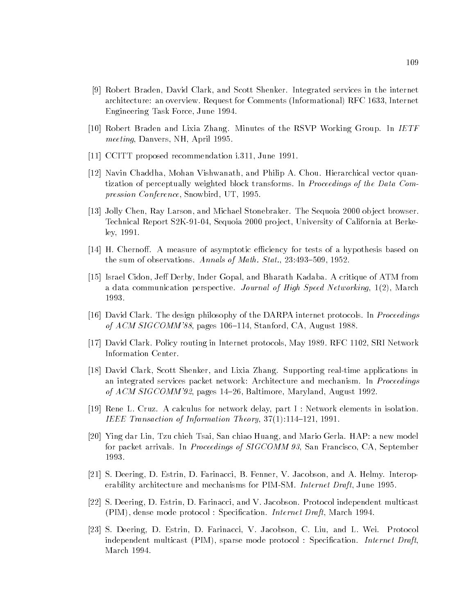- [9] Robert Braden, David Clark, and Scott Shenker. Integrated services in the internet architecture: an overview. Request for Comments (Informational) RFC 1633, Internet Engineering Task Force, June 1994.
- [10] Robert Braden and Lixia Zhang. Minutes of the RSVP Working Group. In IETF meeting, Danvers, NH, April 1995.
- [11] CCITT proposed recommendation i.311, June 1991.
- [12] Navin Chaddha, Mohan Vishwanath, and Philip A. Chou. Hierarchical vector quantization of perceptually weighted block transforms. In Proceedings of the Data Compression Conference, Snowbird, UT, 1995.
- [13] Jolly Chen, Ray Larson, and Michael Stonebraker. The Sequoia 2000 ob ject browser. Technical Report S2K-91-04, Sequoia 2000 project, University of California at Berkeley, 1991.
- [14] H. Chernoff. A measure of asymptotic efficiency for tests of a hypothesis based on the sum of observations. Annals of Math. Stat.,  $23:493-509$ ,  $1952$ .
- [15] Israel Cidon, Jeff Derby, Inder Gopal, and Bharath Kadaba. A critique of ATM from a data communication perspective. Journal of High Speed Networking, 1(2), March 1993.
- [16] David Clark. The design philosophy of the DARPA internet protocols. In Proceedings of  $ACM$  SIGCOMM'88, pages 106-114, Stanford, CA, August 1988.
- [17] David Clark. Policy routing in Internet protocols, May 1989. RFC 1102, SRI Network Information Center.
- [18] David Clark, Scott Shenker, and Lixia Zhang. Supporting real-time applications in an integrated services packet network: Architecture and mechanism. In *Proceedings* of ACM SIGCOMM'92, pages 14-26, Baltimore, Maryland, August 1992.
- [19] Rene L. Cruz. A calculus for network delay, part I : Network elements in isolation. IEEE Transaction of Information Theory,  $37(1):114-121$ , 1991.
- [20] Ying dar Lin, Tzu chieh Tsai, San chiao Huang, and Mario Gerla. HAP: a new model for packet arrivals. In Proceedings of SIGCOMM 93, San Francisco, CA, September 1993.
- [21] S. Deering, D. Estrin, D. Farinacci, B. Fenner, V. Jacobson, and A. Helmy. Interoperability architecture and mechanisms for PIM-SM. Internet Draft, June 1995.
- [22] S. Deering, D. Estrin, D. Farinacci, and V. Jacobson. Protocol independent multicast (PIM), dense mode protocol : Specication. Internet Draft, March 1994.
- [23] S. Deering, D. Estrin, D. Farinacci, V. Jacobson, C. Liu, and L. Wei. Protocol independent multicast  $(PIM)$ , sparse mode protocol : Specification. *Internet Draft*. March 1994.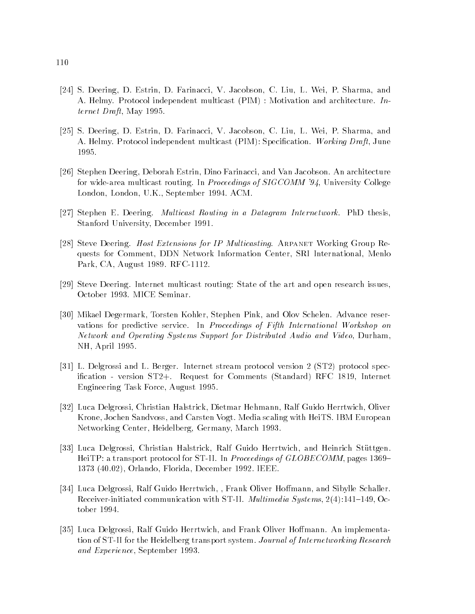- [24] S. Deering, D. Estrin, D. Farinacci, V. Jacobson, C. Liu, L. Wei, P. Sharma, and A. Helmy. Protocol independent multicast (PIM) : Motivation and architecture. Internet Draft, May 1995.
- [25] S. Deering, D. Estrin, D. Farinacci, V. Jacobson, C. Liu, L. Wei, P. Sharma, and A. Helmy. Protocol independent multicast (PIM): Specification. Working Draft, June 1995.
- [26] Stephen Deering, Deborah Estrin, Dino Farinacci, and Van Jacobson. An architecture for wide-area multicast routing. In Proceedings of SIGCOMM '94, University College London, London, U.K., September 1994. ACM.
- [27] Stephen E. Deering. Multicast Routing in a Datagram Internetwork. PhD thesis, Stanford University, December 1991.
- [28] Steve Deering. Host Extensions for IP Multicasting. ARPANET Working Group Requests for Comment, DDN Network Information Center, SRI International, Menlo Park, CA, August 1989. RFC-1112.
- [29] Steve Deering. Internet multicast routing: State of the art and open research issues, October 1993. MICE Seminar.
- [30] Mikael Degermark, Torsten Kohler, Stephen Pink, and Olov Schelen. Advance reservations for predictive service. In Proceedings of Fifth International Workshop on Network and Operating Systems Support for Distributed Audio and Video, Durham, NH, April 1995.
- [31] L. Delgrossi and L. Berger. Internet stream protocol version 2 (ST2) protocol specication - version ST2+. Request for Comments (Standard) RFC 1819, Internet Engineering Task Force, August 1995.
- [32] Luca Delgrossi, Christian Halstrick, Dietmar Hehmann, Ralf Guido Herrtwich, Oliver Krone, Jochen Sandvoss, and Carsten Vogt. Media scaling with HeiTS. IBM European Networking Center, Heidelberg, Germany, March 1993.
- [33] Luca Delgrossi, Christian Halstrick, Ralf Guido Herrtwich, and Heinrich Stuttgen. HeiTP: a transport protocol for ST-II. In *Proceedings of GLOBECOMM*, pages 1369– 1373 (40.02), Orlando, Florida, December 1992. IEEE.
- [34] Luca Delgrossi, Ralf Guido Herrtwich, , Frank Oliver Hoffmann, and Sibylle Schaller. Receiver-initiated communication with ST-II. *Multimedia Systems*,  $2(4)$ :141-149, October 1994.
- [35] Luca Delgrossi, Ralf Guido Herrtwich, and Frank Oliver Hoffmann. An implementation of ST-II for the Heidelberg transport system. Journal of Internetworking Research and Experience, September 1993.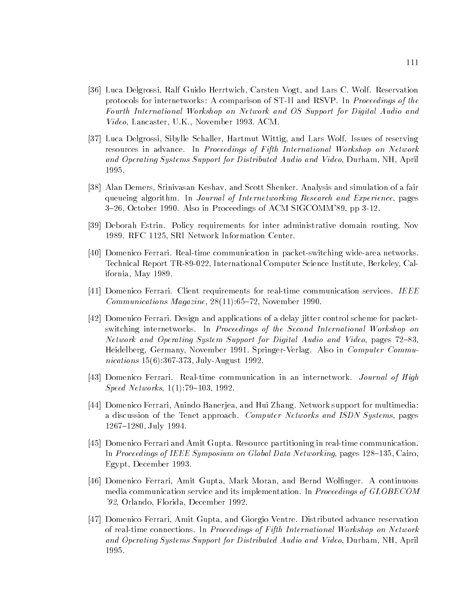- [36] Luca Delgrossi, Ralf Guido Herrtwich, Carsten Vogt, and Lars C. Wolf. Reservation protocols for internetworks: A comparison of ST-II and RSVP. In Proceedings of the Fourth International Workshop on Network and OS Support for Digital Audio and Video, Lancaster, U.K., November 1993. ACM.
- [37] Luca Delgrossi, Sibylle Schaller, Hartmut Wittig, and Lars Wolf. Issues of reserving resources in advance. In Proceedings of Fifth International Workshop on Network and Operating Systems Support for Distributed Audio and Video, Durham, NH, April 1995.
- [38] Alan Demers, Srinivasan Keshav, and Scott Shenker. Analysis and simulation of a fair queueing algorithm. In Journal of Internetworking Research and Experience, pages 3{26, October 1990. Also in Proceedings of ACM SIGCOMM'89, pp 3-12.
- [39] Deborah Estrin. Policy requirements for inter administrative domain routing, Nov 1989. RFC 1125, SRI Network Information Center.
- [40] Domenico Ferrari. Real-time communication in packet-switching wide-area networks. Technical Report TR-89-022, International Computer Science Institute, Berkeley, California, May 1989.
- [41] Domenico Ferrari. Client requirements for real-time communication services. IEEE Communications Magazine,  $28(11):65{-}72$ , November 1990.
- [42] Domenico Ferrari. Design and applications of a delay jitter control scheme for packetswitching internetworks. In Proceedings of the Second International Workshop on Network and Operating System Support for Digital Audio and Video, pages 72–83, Heidelberg, Germany, November 1991. Springer-Verlag. Also in Computer Communications 15(6):367-373, July-August 1992.
- [43] Domenico Ferrari. Real-time communication in an internetwork. Journal of High  $Speed Networks, 1(1):79–103, 1992.$
- [44] Domenico Ferrari, Anindo Banerjea, and Hui Zhang. Network support for multimedia: a discussion of the Tenet approach. Computer Networks and ISDN Systems, pages 1267-1280, July 1994.
- [45] Domenico Ferrari and Amit Gupta. Resource partitioning in real-time communication. In Proceedings of IEEE Symposium on Global Data Networking, pages  $128{-}135$ , Cairo, Egypt, December 1993.
- [46] Domenico Ferrari, Amit Gupta, Mark Moran, and Bernd Wolfinger. A continuous media communication service and its implementation. In *Proceedings of GLOBECOM* '92, Orlando, Florida, December 1992.
- [47] Domenico Ferrari, Amit Gupta, and Giorgio Ventre. Distributed advance reservation of real-time connections. In Proceedings of Fifth International Workshop on Network and Operating Systems Support for Distributed Audio and Video, Durham, NH, April 1995.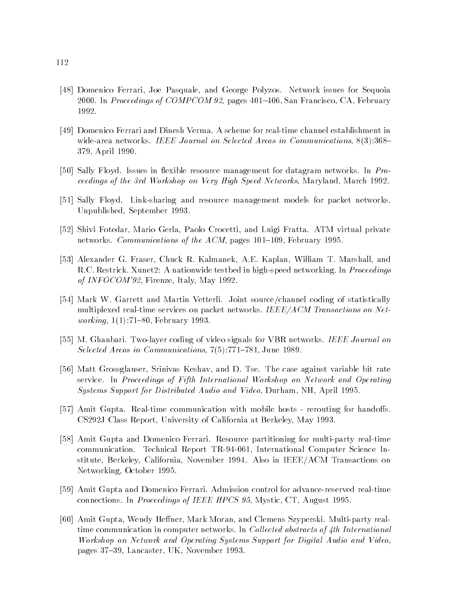- [48] Domenico Ferrari, Joe Pasquale, and George Polyzos. Network issues for Sequoia 2000. In Proceedings of COMPCOM 92, pages 401–406, San Francisco, CA, February 1992.
- [49] Domenico Ferrari and Dinesh Verma. A scheme for real-time channel establishment in wide-area networks. IEEE Journal on Selected Areas in Communications,  $8(3):368-$ 379, April 1990.
- [50] Sally Floyd. Issues in flexible resource management for datagram networks. In Proceedings of the 3rd Workshop on Very High Speed Networks, Maryland, March 1992.
- [51] Sally Floyd. Link-sharing and resource management models for packet networks. Unpublished, September 1993.
- [52] Shivi Fotedar, Mario Gerla, Paolo Crocetti, and Luigi Fratta. ATM virtual private networks. Communications of the  $ACM$ , pages 101-109, February 1995.
- [53] Alexander G. Fraser, Chuck R. Kalmanek, A.E. Kaplan, William T. Marshall, and R.C. Restrick. Xunet2: A nationwide testbed in high-speed networking. In *Proceedings* of INFOCOM'92, Firenze, Italy, May 1992.
- [54] Mark W. Garrett and Martin Vetterli. Joint source/channel coding of statistically multiplexed real-time services on packet networks. IEEE/ACM Transactions on Net*working*,  $1(1):71{-}80$ , February 1993.
- [55] M. Ghanbari. Two-layer coding of video signals for VBR networks. IEEE Journal on Selected Areas in Communications,  $7(5):771{-}781$ , June 1989.
- [56] Matt Grossglauser, Srinivas Keshav, and D. Tse. The case against variable bit rate service. In Proceedings of Fifth International Workshop on Network and Operating Systems Support for Distributed Audio and Video, Durham, NH, April 1995.
- [57] Amit Gupta. Real-time communication with mobile hosts rerouting for handoffs. CS292J Class Report, University of California at Berkeley, May 1993.
- [58] Amit Gupta and Domenico Ferrari. Resource partitioning for multi-party real-time communication. Technical Report TR-94-061, International Computer Science Institute, Berkeley, California, November 1994. Also in IEEE/ACM Transactions on Networking, October 1995.
- [59] Amit Gupta and Domenico Ferrari. Admission control for advance-reserved real-time connections. In Proceedings of IEEE HPCS 95, Mystic, CT, August 1995.
- [60] Amit Gupta, Wendy Heffner, Mark Moran, and Clemens Szyperski. Multi-party realtime communication in computer networks. In *Collected abstracts of 4th International* Workshop on Network and Operating Systems Support for Digital Audio and Video, pages 37-39, Lancaster, UK, November 1993.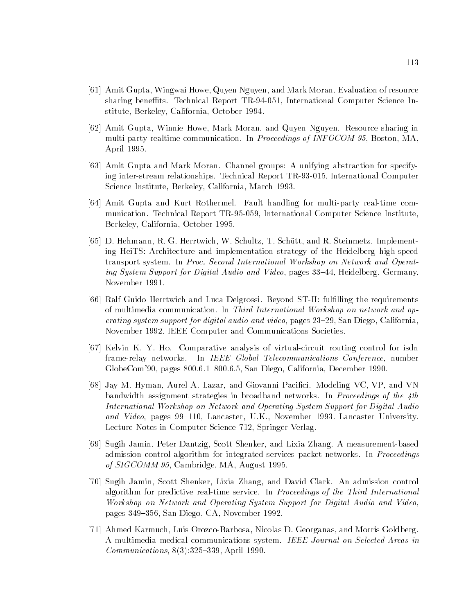- [61] Amit Gupta, Wingwai Howe, Quyen Nguyen, and Mark Moran. Evaluation of resource sharing beneffits. Technical Report TR-94-051, International Computer Science Institute, Berkeley, California, October 1994.
- [62] Amit Gupta, Winnie Howe, Mark Moran, and Quyen Nguyen. Resource sharing in multi-party realtime communication. In *Proceedings of INFOCOM 95*, Boston, MA. April 1995.
- [63] Amit Gupta and Mark Moran. Channel groups: A unifying abstraction for specifying inter-stream relationships. Technical Report TR-93-015, International Computer Science Institute, Berkeley, California, March 1993.
- [64] Amit Gupta and Kurt Rothermel. Fault handling for multi-party real-time communication. Technical Report TR-95-059, International Computer Science Institute, Berkeley, California, October 1995.
- [65] D. Hehmann, R. G. Herrtwich, W. Schultz, T. Schutt, and R. Steinmetz. Implementing HeiTS: Architecture and implementation strategy of the Heidelberg high-speed transport system. In Proc. Second International Workshop on Network and Operating System Support for Digital Audio and Video, pages 33–44, Heidelberg, Germany, November 1991.
- [66] Ralf Guido Herrtwich and Luca Delgrossi. Beyond ST-II: fulfilling the requirements of multimedia communication. In Third International Workshop on network and operating system support for digital audio and video, pages  $23-29$ , San Diego, California, November 1992. IEEE Computer and Communications Societies.
- [67] Kelvin K. Y. Ho. Comparative analysis of virtual-circuit routing control for isdn frame-relay networks. In IEEE Global Telecommunications Conference, number GlobeCom'90, pages 800.6.1-800.6.5, San Diego, California, December 1990.
- [68] Jay M. Hyman, Aurel A. Lazar, and Giovanni Pacici. Modeling VC, VP, and VN bandwidth assignment strategies in broadband networks. In Proceedings of the 4th International Workshop on Network and Operating System Support for Digital Audio and Video, pages  $99-110$ , Lancaster, U.K., November 1993. Lancaster University. Lecture Notes in Computer Science 712, Springer Verlag.
- [69] Sugih Jamin, Peter Dantzig, Scott Shenker, and Lixia Zhang. A measurement-based admission control algorithm for integrated services packet networks. In *Proceedings* of SIGCOMM 95, Cambridge, MA, August 1995.
- [70] Sugih Jamin, Scott Shenker, Lixia Zhang, and David Clark. An admission control algorithm for predictive real-time service. In *Proceedings of the Third International* Workshop on Network and Operating System Support for Digital Audio and Video, pages 349–356, San Diego, CA, November 1992.
- [71] Ahmed Karmuch, Luis Orozco-Barbosa, Nicolas D. Georganas, and Morris Goldberg. A multimedia medical communications system. IEEE Journal on Selected Areas in  $Communications, 8(3):325–339, April 1990.$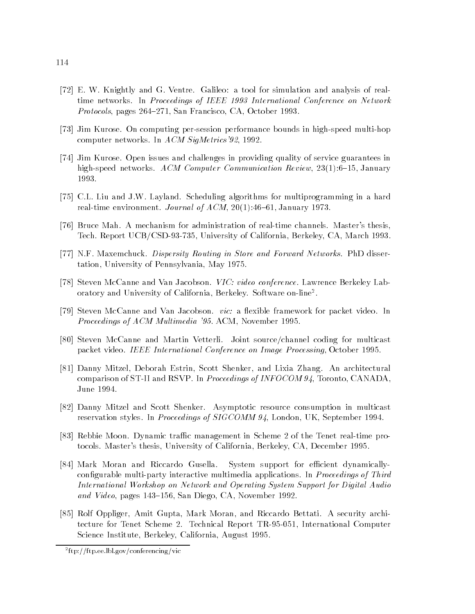- [72] E. W. Knightly and G. Ventre. Galileo: a tool for simulation and analysis of realtime networks. In Proceedings of IEEE 1993 International Conference on Network Protocols, pages 264-271, San Francisco, CA, October 1993.
- [73] Jim Kurose. On computing per-session performance bounds in high-speed multi-hop computer networks. In ACM SigMetrics'92, 1992.
- [74] Jim Kurose. Open issues and challenges in providing quality of service guarantees in high-speed networks. ACM Computer Communication Review,  $23(1)$ :6-15, January 1993.
- [75] C.L. Liu and J.W. Layland. Scheduling algorithms for multiprogramming in a hard real-time environment. Journal of  $ACM$ ,  $20(1)$ :46-61, January 1973.
- [76] Bruce Mah. A mechanism for administration of real-time channels. Master's thesis, Tech. Report UCB/CSD-93-735, University of California, Berkeley, CA, March 1993.
- [77] N.F. Maxemchuck. Dispersity Routing in Store and Forward Networks. PhD dissertation, University of Pennsylvania, May 1975.
- [78] Steven McCanne and Van Jacobson. VIC: video conference. Lawrence Berkeley Laboratory and University of California, Berkeley. Software on-line<sup>2</sup> .
- [79] Steven McCanne and Van Jacobson. vic: a flexible framework for packet video. In Proceedings of ACM Multimedia '95. ACM, November 1995.
- [80] Steven McCanne and Martin Vetterli. Joint source/channel coding for multicast packet video. IEEE International Conference on Image Processing, October 1995.
- [81] Danny Mitzel, Deborah Estrin, Scott Shenker, and Lixia Zhang. An architectural comparison of ST-II and RSVP. In Proceedings of INFOCOM 94, Toronto, CANADA, June 1994.
- [82] Danny Mitzel and Scott Shenker. Asymptotic resource consumption in multicast reservation styles. In Proceedings of SIGCOMM 94, London, UK, September 1994.
- [83] Rebbie Moon. Dynamic traffic management in Scheme 2 of the Tenet real-time protocols. Master's thesis, University of California, Berkeley, CA, December 1995.
- [84] Mark Moran and Riccardo Gusella. System support for efficient dynamicallyconfigurable multi-party interactive multimedia applications. In *Proceedings of Third* International Workshop on Network and Operating System Support for Digital Audio and Video, pages 143-156, San Diego, CA, November 1992.
- [85] Rolf Oppliger, Amit Gupta, Mark Moran, and Riccardo Bettati. A security architecture for Tenet Scheme 2. Technical Report TR-95-051, International Computer Science Institute, Berkeley, California, August 1995.

<sup>2</sup> ftp://ftp.ee.lbl.gov/conferencing/vic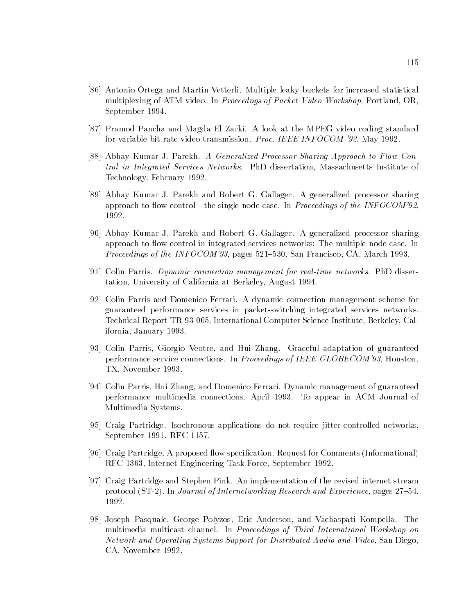- [86] Antonio Ortega and Martin Vetterli. Multiple leaky buckets for increased statistical multiplexing of ATM video. In *Proceedngs of Packet Video Workshop*, Portland, OR, September 1994.
- [87] Pramod Pancha and Magda El Zarki. A look at the MPEG video coding standard for variable bit rate video transmission. Proc. IEEE INFOCOM '92, May 1992.
- [88] Abhay Kumar J. Parekh. A Generalized Processor Sharing Approach to Flow Control in Integrated Services Networks. PhD dissertation, Massachusetts Institute of Technology, February 1992.
- [89] Abhay Kumar J. Parekh and Robert G. Gallager. A generalized processor sharing approach to flow control - the single node case. In *Proceedings of the INFOCOM'92*. 1992.
- [90] Abhay Kumar J. Parekh and Robert G. Gallager. A generalized processor sharing approach to flow control in integrated services networks: The multiple node case. In *Proceedings of the INFOCOM'93*, pages 521-530, San Francisco, CA, March 1993.
- [91] Colin Parris. Dynamic connection management for real-time networks. PhD dissertation, University of California at Berkeley, August 1994.
- [92] Colin Parris and Domenico Ferrari. A dynamic connection management scheme for guaranteed performance services in packet-switching integrated services networks. Technical Report TR-93-005, International Computer Science Institute, Berkeley, California, January 1993.
- [93] Colin Parris, Giorgio Ventre, and Hui Zhang. Graceful adaptation of guaranteed performance service connections. In Proceedings of IEEE GLOBECOM'93, Houston, TX, November 1993.
- [94] Colin Parris, Hui Zhang, and Domenico Ferrari. Dynamic management of guaranteed performance multimedia connections, April 1993. To appear in ACM Journal of Multimedia Systems.
- [95] Craig Partridge. Isochronous applications do not require jitter-controlled networks, September 1991. RFC 1157.
- [96] Craig Partridge. A proposed flow specification. Request for Comments (Informational) RFC 1363, Internet Engineering Task Force, September 1992.
- [97] Craig Partridge and Stephen Pink. An implementation of the revised internet stream protocol (ST-2). In *Journal of Internetworking Research and Experience*, pages  $27–54$ , 1992.
- [98] Joseph Pasquale, George Polyzos, Eric Anderson, and Vachaspati Kompella. The multimedia multicast channel. In Proceedings of Third International Workshop on Network and Operating Systems Support for Distributed Audio and Video, San Diego, CA, November 1992.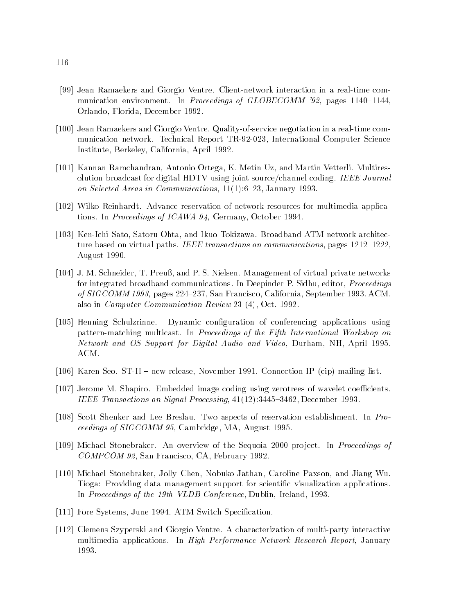- [99] Jean Ramaekers and Giorgio Ventre. Client-network interaction in a real-time communication environment. In Proceedings of GLOBECOMM '92, pages  $1140-1144$ , Orlando, Florida, December 1992.
- [100] Jean Ramaekers and Giorgio Ventre. Quality-of-service negotiation in a real-time communication network. Technical Report TR-92-023, International Computer Science Institute, Berkeley, California, April 1992.
- [101] Kannan Ramchandran, Antonio Ortega, K. Metin Uz, and Martin Vetterli. Multiresolution broadcast for digital HDTV using joint source/channel coding. IEEE Journal on Selected Areas in Communications,  $11(1): 6-23$ , January 1993.
- [102] Wilko Reinhardt. Advance reservation of network resources for multimedia applications. In Proceedings of ICAWA 94, Germany, October 1994.
- [103] Ken-Ichi Sato, Satoru Ohta, and Ikuo Tokizawa. Broadband ATM network architecture based on virtual paths. IEEE transactions on communications, pages  $1212{-}1222$ . August 1990.
- [104] J. M. Schneider, T. Preuß, and P. S. Nielsen. Management of virtual private networks for integrated broadband communications. In Deepinder P. Sidhu, editor, Proceedings of SIGCOMM 1993, pages 224-237, San Francisco, California, September 1993. ACM. also in Computer Communication Review 23 (4), Oct. 1992.
- [105] Henning Schulzrinne. Dynamic conguration of conferencing applications using pattern-matching multicast. In Proceedings of the Fifth International Workshop on Network and OS Support for Digital Audio and Video, Durham, NH, April 1995. ACM.
- [106] Karen Seo. ST-II new release, November 1991. Connection IP (cip) mailing list.
- [107] Jerome M. Shapiro. Embedded image coding using zerotrees of wavelet coefficients. IEEE Transactions on Signal Processing, 41(12):3445-3462, December 1993.
- [108] Scott Shenker and Lee Breslau. Two aspects of reservation establishment. In Proceedings of SIGCOMM 95, Cambridge, MA, August 1995.
- [109] Michael Stonebraker. An overview of the Sequoia 2000 project. In *Proceedings of* COMPCOM 92, San Francisco, CA, February 1992.
- [110] Michael Stonebraker, Jolly Chen, Nobuko Jathan, Caroline Paxson, and Jiang Wu. Tioga: Providing data management support for scientific visualization applications. In Proceedings of the 19th VLDB Conference, Dublin, Ireland, 1993.
- [111] Fore Systems, June 1994. ATM Switch Specification.
- [112] Clemens Szyperski and Giorgio Ventre. A characterization of multi-party interactive multimedia applications. In *High Performance Network Research Report*, January 1993.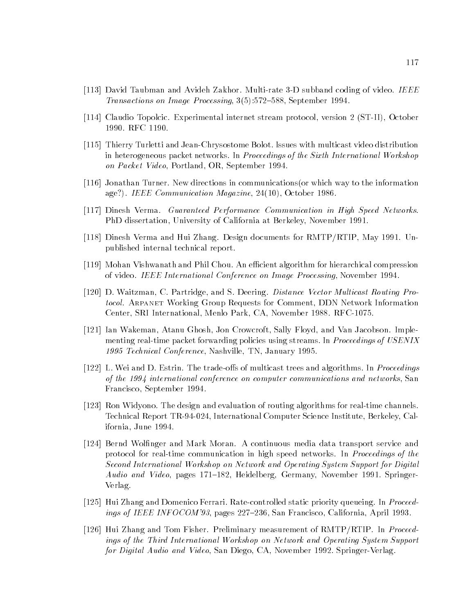- [113] David Taubman and Avideh Zakhor. Multi-rate 3-D subband coding of video. IEEE Transactions on Image Processing,  $3(5):572{-}588$ , September 1994.
- [114] Claudio Topolcic. Experimental internet stream protocol, version 2 (ST-II), October 1990. RFC 1190.
- [115] Thierry Turletti and Jean-Chrysostome Bolot. Issues with multicast video distribution in heterogeneous packet networks. In Proceedings of the Sixth International Workshop on Packet Video, Portland, OR, September 1994.
- [116] Jonathan Turner. New directions in communications(or which way to the information age?). IEEE Communication Magazine, 24(10), October 1986.
- [117] Dinesh Verma. Guaranteed Performance Communication in High Speed Networks. PhD dissertation, University of California at Berkeley, November 1991.
- [118] Dinesh Verma and Hui Zhang. Design documents for RMTP/RTIP, May 1991. Unpublished internal technical report.
- [119] Mohan Vishwanath and Phil Chou. An efficient algorithm for hierarchical compression of video. IEEE International Conference on Image Processing, November 1994.
- [120] D. Waitzman, C. Partridge, and S. Deering. Distance Vector Multicast Routing Protocol. Arpanet Working Group Requests for Comment, DDN Network Information Center, SRI International, Menlo Park, CA, November 1988. RFC-1075.
- [121] Ian Wakeman, Atanu Ghosh, Jon Crowcroft, Sally Floyd, and Van Jacobson. Implementing real-time packet forwarding policies using streams. In *Proceedings of USENIX* 1995 Technical Conference, Nashville, TN, January 1995.
- [122] L. Wei and D. Estrin. The trade-offs of multicast trees and algorithms. In *Proceedings* of the 1994 international conference on computer communications and networks, San Francisco, September 1994.
- [123] Ron Widyono. The design and evaluation of routing algorithms for real-time channels. Technical Report TR-94-024, International Computer Science Institute, Berkeley, California, June 1994.
- [124] Bernd Wolfinger and Mark Moran. A continuous media data transport service and protocol for real-time communication in high speed networks. In *Proceedings of the* Second International Workshop on Network and Operating System Support for Digital Audio and Video, pages 171–182, Heidelberg, Germany, November 1991. Springer-Verlag.
- [125] Hui Zhang and Domenico Ferrari. Rate-controlled static priority queueing. In Proceedings of IEEE INFOCOM'93, pages  $227{-}236$ , San Francisco, California, April 1993.
- [126] Hui Zhang and Tom Fisher. Preliminary measurement of RMTP/RTIP. In Proceedings of the Third International Workshop on Network and Operating System Support for Digital Audio and Video, San Diego, CA, November 1992. Springer-Verlag.